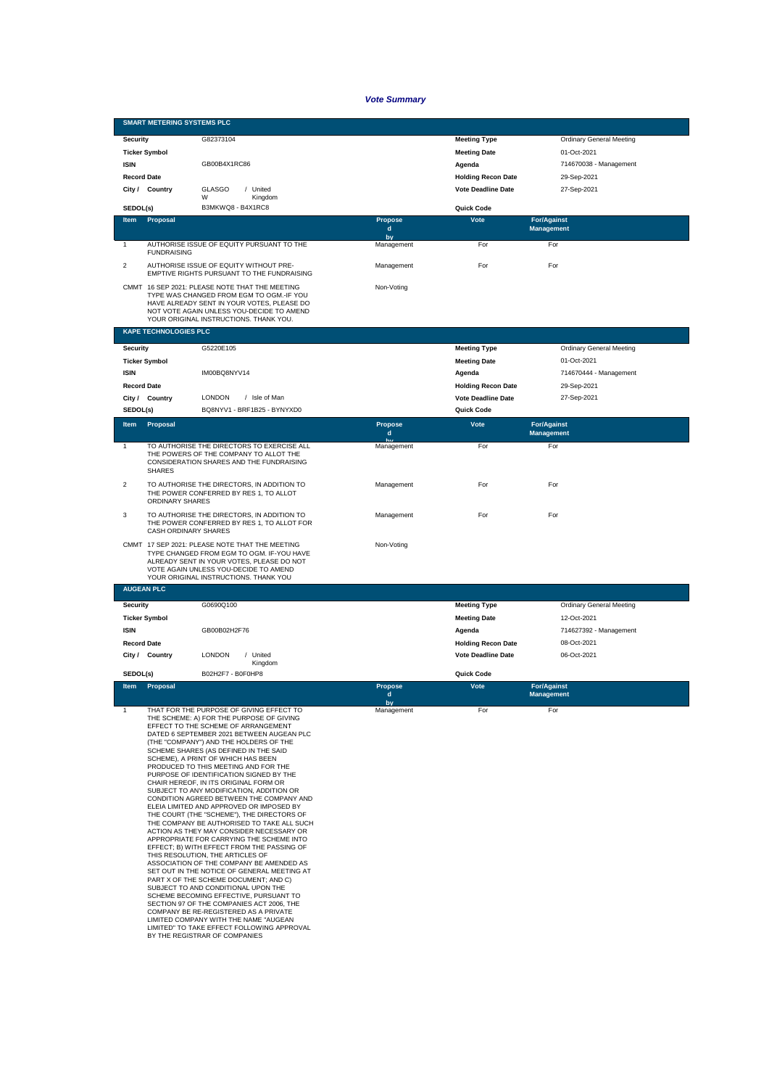## *Vote Summary*

|                      | <b>SMART METERING SYSTEMS PLC</b>                                                                                |                                                                                                                                                                                                                                                                                        |                                                                                                                                                                                                                                                                                                                                                                                                                                                                                                                                                                                                                                                                                                                                                                               |                     |                           |                                         |
|----------------------|------------------------------------------------------------------------------------------------------------------|----------------------------------------------------------------------------------------------------------------------------------------------------------------------------------------------------------------------------------------------------------------------------------------|-------------------------------------------------------------------------------------------------------------------------------------------------------------------------------------------------------------------------------------------------------------------------------------------------------------------------------------------------------------------------------------------------------------------------------------------------------------------------------------------------------------------------------------------------------------------------------------------------------------------------------------------------------------------------------------------------------------------------------------------------------------------------------|---------------------|---------------------------|-----------------------------------------|
| <b>Security</b>      |                                                                                                                  | G82373104                                                                                                                                                                                                                                                                              |                                                                                                                                                                                                                                                                                                                                                                                                                                                                                                                                                                                                                                                                                                                                                                               |                     | <b>Meeting Type</b>       | <b>Ordinary General Meeting</b>         |
| <b>Ticker Symbol</b> |                                                                                                                  |                                                                                                                                                                                                                                                                                        |                                                                                                                                                                                                                                                                                                                                                                                                                                                                                                                                                                                                                                                                                                                                                                               |                     | <b>Meeting Date</b>       | 01-Oct-2021                             |
| <b>ISIN</b>          |                                                                                                                  | GB00B4X1RC86                                                                                                                                                                                                                                                                           |                                                                                                                                                                                                                                                                                                                                                                                                                                                                                                                                                                                                                                                                                                                                                                               |                     | Agenda                    | 714670038 - Management                  |
| <b>Record Date</b>   |                                                                                                                  |                                                                                                                                                                                                                                                                                        |                                                                                                                                                                                                                                                                                                                                                                                                                                                                                                                                                                                                                                                                                                                                                                               |                     | <b>Holding Recon Date</b> | 29-Sep-2021                             |
|                      | City / Country                                                                                                   | <b>GLASGO</b><br>w                                                                                                                                                                                                                                                                     | / United                                                                                                                                                                                                                                                                                                                                                                                                                                                                                                                                                                                                                                                                                                                                                                      |                     | <b>Vote Deadline Date</b> | 27-Sep-2021                             |
| SEDOL(s)             |                                                                                                                  | B3MKWQ8 - B4X1RC8                                                                                                                                                                                                                                                                      | Kingdom                                                                                                                                                                                                                                                                                                                                                                                                                                                                                                                                                                                                                                                                                                                                                                       |                     | Quick Code                |                                         |
| Item                 | Proposal                                                                                                         |                                                                                                                                                                                                                                                                                        |                                                                                                                                                                                                                                                                                                                                                                                                                                                                                                                                                                                                                                                                                                                                                                               | <b>Propose</b>      | Vote                      | <b>For/Against</b>                      |
|                      |                                                                                                                  |                                                                                                                                                                                                                                                                                        |                                                                                                                                                                                                                                                                                                                                                                                                                                                                                                                                                                                                                                                                                                                                                                               | $\mathbf d$<br>b١   |                           | <b>Management</b>                       |
| 1                    |                                                                                                                  |                                                                                                                                                                                                                                                                                        | AUTHORISE ISSUE OF EQUITY PURSUANT TO THE                                                                                                                                                                                                                                                                                                                                                                                                                                                                                                                                                                                                                                                                                                                                     | Management          | For                       | For                                     |
|                      | <b>FUNDRAISING</b>                                                                                               |                                                                                                                                                                                                                                                                                        |                                                                                                                                                                                                                                                                                                                                                                                                                                                                                                                                                                                                                                                                                                                                                                               |                     |                           |                                         |
| $\overline{2}$       |                                                                                                                  | AUTHORISE ISSUE OF EQUITY WITHOUT PRE-                                                                                                                                                                                                                                                 | EMPTIVE RIGHTS PURSUANT TO THE FUNDRAISING                                                                                                                                                                                                                                                                                                                                                                                                                                                                                                                                                                                                                                                                                                                                    | Management          | For                       | For                                     |
|                      |                                                                                                                  | YOUR ORIGINAL INSTRUCTIONS. THANK YOU.                                                                                                                                                                                                                                                 | CMMT 16 SEP 2021: PLEASE NOTE THAT THE MEETING<br>TYPE WAS CHANGED FROM EGM TO OGM.-IF YOU<br>HAVE ALREADY SENT IN YOUR VOTES, PLEASE DO<br>NOT VOTE AGAIN UNLESS YOU-DECIDE TO AMEND                                                                                                                                                                                                                                                                                                                                                                                                                                                                                                                                                                                         | Non-Voting          |                           |                                         |
|                      | <b>KAPE TECHNOLOGIES PLC</b>                                                                                     |                                                                                                                                                                                                                                                                                        |                                                                                                                                                                                                                                                                                                                                                                                                                                                                                                                                                                                                                                                                                                                                                                               |                     |                           |                                         |
| <b>Security</b>      |                                                                                                                  | G5220E105                                                                                                                                                                                                                                                                              |                                                                                                                                                                                                                                                                                                                                                                                                                                                                                                                                                                                                                                                                                                                                                                               |                     | <b>Meeting Type</b>       | <b>Ordinary General Meeting</b>         |
| <b>Ticker Symbol</b> |                                                                                                                  |                                                                                                                                                                                                                                                                                        |                                                                                                                                                                                                                                                                                                                                                                                                                                                                                                                                                                                                                                                                                                                                                                               |                     | <b>Meeting Date</b>       | 01-Oct-2021                             |
| <b>ISIN</b>          |                                                                                                                  | IM00BQ8NYV14                                                                                                                                                                                                                                                                           |                                                                                                                                                                                                                                                                                                                                                                                                                                                                                                                                                                                                                                                                                                                                                                               |                     | Agenda                    | 714670444 - Management                  |
| <b>Record Date</b>   |                                                                                                                  |                                                                                                                                                                                                                                                                                        |                                                                                                                                                                                                                                                                                                                                                                                                                                                                                                                                                                                                                                                                                                                                                                               |                     | <b>Holding Recon Date</b> | 29-Sep-2021                             |
| City / Country       |                                                                                                                  | <b>LONDON</b>                                                                                                                                                                                                                                                                          | / Isle of Man                                                                                                                                                                                                                                                                                                                                                                                                                                                                                                                                                                                                                                                                                                                                                                 |                     | Vote Deadline Date        | 27-Sep-2021                             |
| SEDOL(s)             |                                                                                                                  |                                                                                                                                                                                                                                                                                        | BQ8NYV1 - BRF1B25 - BYNYXD0                                                                                                                                                                                                                                                                                                                                                                                                                                                                                                                                                                                                                                                                                                                                                   |                     | Quick Code                |                                         |
| Item                 | Proposal                                                                                                         |                                                                                                                                                                                                                                                                                        |                                                                                                                                                                                                                                                                                                                                                                                                                                                                                                                                                                                                                                                                                                                                                                               | <b>Propose</b><br>d | Vote                      | <b>For/Against</b><br><b>Management</b> |
| 1                    | <b>SHARES</b>                                                                                                    |                                                                                                                                                                                                                                                                                        | TO AUTHORISE THE DIRECTORS TO EXERCISE ALL<br>THE POWERS OF THE COMPANY TO ALLOT THE<br>CONSIDERATION SHARES AND THE FUNDRAISING                                                                                                                                                                                                                                                                                                                                                                                                                                                                                                                                                                                                                                              | Management          | For                       | For                                     |
| $\overline{2}$       | ORDINARY SHARES                                                                                                  |                                                                                                                                                                                                                                                                                        | TO AUTHORISE THE DIRECTORS, IN ADDITION TO<br>THE POWER CONFERRED BY RES 1, TO ALLOT                                                                                                                                                                                                                                                                                                                                                                                                                                                                                                                                                                                                                                                                                          | Management          | For                       | For                                     |
| 3                    | CASH ORDINARY SHARES                                                                                             |                                                                                                                                                                                                                                                                                        | TO AUTHORISE THE DIRECTORS, IN ADDITION TO<br>THE POWER CONFERRED BY RES 1, TO ALLOT FOR                                                                                                                                                                                                                                                                                                                                                                                                                                                                                                                                                                                                                                                                                      | Management          | For                       | For                                     |
|                      |                                                                                                                  | VOTE AGAIN UNLESS YOU-DECIDE TO AMEND<br>YOUR ORIGINAL INSTRUCTIONS. THANK YOU                                                                                                                                                                                                         | CMMT 17 SEP 2021: PLEASE NOTE THAT THE MEETING<br>TYPE CHANGED FROM EGM TO OGM. IF-YOU HAVE<br>ALREADY SENT IN YOUR VOTES, PLEASE DO NOT                                                                                                                                                                                                                                                                                                                                                                                                                                                                                                                                                                                                                                      | Non-Voting          |                           |                                         |
| <b>AUGEAN PLC</b>    |                                                                                                                  |                                                                                                                                                                                                                                                                                        |                                                                                                                                                                                                                                                                                                                                                                                                                                                                                                                                                                                                                                                                                                                                                                               |                     |                           |                                         |
| <b>Security</b>      |                                                                                                                  | G0690Q100                                                                                                                                                                                                                                                                              |                                                                                                                                                                                                                                                                                                                                                                                                                                                                                                                                                                                                                                                                                                                                                                               |                     | <b>Meeting Type</b>       | <b>Ordinary General Meeting</b>         |
| <b>Ticker Symbol</b> |                                                                                                                  |                                                                                                                                                                                                                                                                                        |                                                                                                                                                                                                                                                                                                                                                                                                                                                                                                                                                                                                                                                                                                                                                                               |                     | <b>Meeting Date</b>       | 12-Oct-2021                             |
| <b>ISIN</b>          |                                                                                                                  | GB00B02H2F76                                                                                                                                                                                                                                                                           |                                                                                                                                                                                                                                                                                                                                                                                                                                                                                                                                                                                                                                                                                                                                                                               |                     | Agenda                    | 714627392 - Management                  |
| <b>Record Date</b>   |                                                                                                                  |                                                                                                                                                                                                                                                                                        |                                                                                                                                                                                                                                                                                                                                                                                                                                                                                                                                                                                                                                                                                                                                                                               |                     | <b>Holding Recon Date</b> | 08-Oct-2021                             |
|                      | City / Country                                                                                                   | <b>LONDON</b>                                                                                                                                                                                                                                                                          | / United                                                                                                                                                                                                                                                                                                                                                                                                                                                                                                                                                                                                                                                                                                                                                                      |                     | <b>Vote Deadline Date</b> | 06-Oct-2021                             |
|                      |                                                                                                                  |                                                                                                                                                                                                                                                                                        | Kingdom                                                                                                                                                                                                                                                                                                                                                                                                                                                                                                                                                                                                                                                                                                                                                                       |                     |                           |                                         |
| SEDOL(s)<br>Item     | <b>Proposal</b>                                                                                                  | B02H2F7 - B0F0HP8                                                                                                                                                                                                                                                                      |                                                                                                                                                                                                                                                                                                                                                                                                                                                                                                                                                                                                                                                                                                                                                                               | <b>Propose</b>      | Quick Code<br>Vote        | <b>For/Against</b>                      |
|                      |                                                                                                                  |                                                                                                                                                                                                                                                                                        |                                                                                                                                                                                                                                                                                                                                                                                                                                                                                                                                                                                                                                                                                                                                                                               |                     |                           |                                         |
| 1                    | THIS RESOLUTION, THE ARTICLES OF<br>PART X OF THE SCHEME DOCUMENT; AND C)<br>SUBJECT TO AND CONDITIONAL UPON THE | EFFECT TO THE SCHEME OF ARRANGEMENT<br>(THE "COMPANY") AND THE HOLDERS OF THE<br>SCHEME SHARES (AS DEFINED IN THE SAID<br>SCHEME), A PRINT OF WHICH HAS BEEN<br>PRODUCED TO THIS MEETING AND FOR THE<br>CHAIR HEREOF. IN ITS ORIGINAL FORM OR<br>COMPANY BE RE-REGISTERED AS A PRIVATE | THAT FOR THE PURPOSE OF GIVING EFFECT TO<br>THE SCHEME: A) FOR THE PURPOSE OF GIVING<br>DATED 6 SEPTEMBER 2021 BETWEEN AUGEAN PLC<br>PURPOSE OF IDENTIFICATION SIGNED BY THE<br>SUBJECT TO ANY MODIFICATION. ADDITION OR<br>CONDITION AGREED BETWEEN THE COMPANY AND<br>ELEIA LIMITED AND APPROVED OR IMPOSED BY<br>THE COURT (THE "SCHEME"), THE DIRECTORS OF<br>THE COMPANY BE AUTHORISED TO TAKE ALL SUCH<br>ACTION AS THEY MAY CONSIDER NECESSARY OR<br>APPROPRIATE FOR CARRYING THE SCHEME INTO<br>EFFECT; B) WITH EFFECT FROM THE PASSING OF<br>ASSOCIATION OF THE COMPANY BE AMENDED AS<br>SET OUT IN THE NOTICE OF GENERAL MEETING AT<br>SCHEME BECOMING EFFECTIVE, PURSUANT TO<br>SECTION 97 OF THE COMPANIES ACT 2006, THE<br>LIMITED COMPANY WITH THE NAME "AUGEAN | Management          | For                       | For                                     |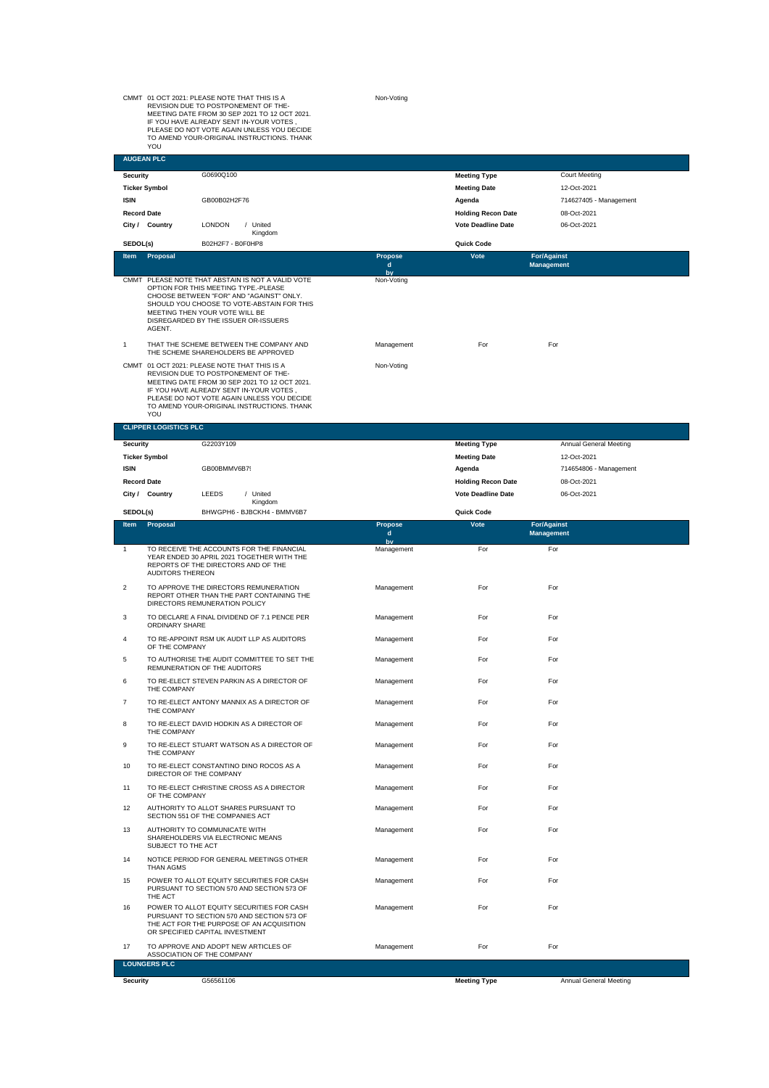Non-Voting

CMMT 01 OCT 2021: PLEASE NOTE THAT THIS IS A<br>REVISION DUE TO POSTPONEMENT OF THE-<br>MEETING DATE FROM 30 SEP 2021 TO 12 OCT 2021.<br>IF YOU HAVE ALREADY SENT IN-YOUR VOTES<br>PLEASE DO NOT VOTE AGAIN UNLESS YOU DECIDE<br>TO AMEND YOU

|                    | <b>AUGEAN PLC</b>            |                                                                                                                                                                                                                                                                              |         |            |                           |                        |
|--------------------|------------------------------|------------------------------------------------------------------------------------------------------------------------------------------------------------------------------------------------------------------------------------------------------------------------------|---------|------------|---------------------------|------------------------|
| <b>Security</b>    |                              | G0690Q100                                                                                                                                                                                                                                                                    |         |            | <b>Meeting Type</b>       | <b>Court Meeting</b>   |
|                    | <b>Ticker Symbol</b>         |                                                                                                                                                                                                                                                                              |         |            | <b>Meeting Date</b>       | 12-Oct-2021            |
| <b>ISIN</b>        |                              | GB00B02H2F76                                                                                                                                                                                                                                                                 |         |            | Agenda                    | 714627405 - Management |
| <b>Record Date</b> |                              |                                                                                                                                                                                                                                                                              |         |            | <b>Holding Recon Date</b> | 08-Oct-2021            |
|                    | City / Country               | <b>LONDON</b><br>/ United<br>Kingdom                                                                                                                                                                                                                                         |         |            | Vote Deadline Date        | 06-Oct-2021            |
| SEDOL(s)           |                              | B02H2F7 - B0F0HP8                                                                                                                                                                                                                                                            |         |            | Quick Code                |                        |
| Item               | Proposal                     |                                                                                                                                                                                                                                                                              | Propose |            | Vote                      | <b>For/Against</b>     |
|                    |                              |                                                                                                                                                                                                                                                                              | d<br>bv |            |                           | <b>Management</b>      |
|                    | AGENT.                       | CMMT PLEASE NOTE THAT ABSTAIN IS NOT A VALID VOTE<br>OPTION FOR THIS MEETING TYPE.-PLEASE<br>CHOOSE BETWEEN "FOR" AND "AGAINST" ONLY.<br>SHOULD YOU CHOOSE TO VOTE-ABSTAIN FOR THIS<br>MEETING THEN YOUR VOTE WILL BE<br>DISREGARDED BY THE ISSUER OR-ISSUERS                |         | Non-Voting |                           |                        |
| 1                  |                              | THAT THE SCHEME BETWEEN THE COMPANY AND<br>THE SCHEME SHAREHOLDERS BE APPROVED                                                                                                                                                                                               |         | Management | For                       | For                    |
|                    | YOU                          | CMMT 01 OCT 2021: PLEASE NOTE THAT THIS IS A<br>REVISION DUE TO POSTPONEMENT OF THE-<br>MEETING DATE FROM 30 SEP 2021 TO 12 OCT 2021.<br>IF YOU HAVE ALREADY SENT IN-YOUR VOTES,<br>PLEASE DO NOT VOTE AGAIN UNLESS YOU DECIDE<br>TO AMEND YOUR-ORIGINAL INSTRUCTIONS. THANK |         | Non-Voting |                           |                        |
|                    | <b>CLIPPER LOGISTICS PLC</b> |                                                                                                                                                                                                                                                                              |         |            |                           |                        |
| <b>Security</b>    |                              | G2203Y109                                                                                                                                                                                                                                                                    |         |            | <b>Meeting Type</b>       | Annual General Meeting |
|                    | <b>Ticker Symbol</b>         |                                                                                                                                                                                                                                                                              |         |            | <b>Meeting Date</b>       | 12-Oct-2021            |
| <b>ISIN</b>        |                              | GB00BMMV6B79                                                                                                                                                                                                                                                                 |         |            | Agenda                    | 714654806 - Management |
| <b>Record Date</b> |                              |                                                                                                                                                                                                                                                                              |         |            | <b>Holding Recon Date</b> | 08-Oct-2021            |
|                    | City / Country               | LEEDS<br>/ United<br>Kingdom                                                                                                                                                                                                                                                 |         |            | <b>Vote Deadline Date</b> | 06-Oct-2021            |
| SEDOL(s)           |                              | BHWGPH6 - BJBCKH4 - BMMV6B7                                                                                                                                                                                                                                                  |         |            | Quick Code                |                        |
| Item               | Proposal                     |                                                                                                                                                                                                                                                                              | Propose |            | Vote                      | <b>For/Against</b>     |
|                    |                              |                                                                                                                                                                                                                                                                              | d<br>bv |            |                           | <b>Management</b>      |
| 1                  | <b>AUDITORS THEREON</b>      | TO RECEIVE THE ACCOUNTS FOR THE FINANCIAL<br>YEAR ENDED 30 APRIL 2021 TOGETHER WITH THE<br>REPORTS OF THE DIRECTORS AND OF THE                                                                                                                                               |         | Management | For                       | For                    |
| $\overline{2}$     |                              | TO APPROVE THE DIRECTORS REMUNERATION<br>REPORT OTHER THAN THE PART CONTAINING THE<br>DIRECTORS REMUNERATION POLICY                                                                                                                                                          |         | Management | For                       | For                    |
| 3                  | ORDINARY SHARE               | TO DECLARE A FINAL DIVIDEND OF 7.1 PENCE PER                                                                                                                                                                                                                                 |         | Management | For                       | For                    |
| 4                  | OF THE COMPANY               | TO RE-APPOINT RSM UK AUDIT LLP AS AUDITORS                                                                                                                                                                                                                                   |         | Management | For                       | For                    |
| 5                  |                              | TO AUTHORISE THE AUDIT COMMITTEE TO SET THE<br>REMUNERATION OF THE AUDITORS                                                                                                                                                                                                  |         | Management | For                       | For                    |
| 6                  | THE COMPANY                  | TO RE-ELECT STEVEN PARKIN AS A DIRECTOR OF                                                                                                                                                                                                                                   |         | Management | For                       | For                    |
| 7                  | THE COMPANY                  | TO RE-ELECT ANTONY MANNIX AS A DIRECTOR OF                                                                                                                                                                                                                                   |         | Management | For                       | For                    |
| 8                  | THE COMPANY                  | TO RE-ELECT DAVID HODKIN AS A DIRECTOR OF                                                                                                                                                                                                                                    |         | Management | For                       | For                    |
| $\mathsf g$        | THE COMPANY                  | TO RE-ELECT STUART WATSON AS A DIRECTOR OF                                                                                                                                                                                                                                   |         | Management | For                       | For                    |
| 10                 | DIRECTOR OF THE COMPANY      | TO RE-ELECT CONSTANTINO DINO ROCOS AS A                                                                                                                                                                                                                                      |         | Management | For                       | For                    |
| 11                 | OF THE COMPANY               | TO RE-ELECT CHRISTINE CROSS AS A DIRECTOR                                                                                                                                                                                                                                    |         | Management | For                       | For                    |
| 12                 |                              | AUTHORITY TO ALLOT SHARES PURSUANT TO<br>SECTION 551 OF THE COMPANIES ACT                                                                                                                                                                                                    |         | Management | For                       | For                    |
| 13                 | SUBJECT TO THE ACT           | AUTHORITY TO COMMUNICATE WITH<br>SHAREHOLDERS VIA ELECTRONIC MEANS                                                                                                                                                                                                           |         | Management | For                       | For                    |
| 14                 | <b>THAN AGMS</b>             | NOTICE PERIOD FOR GENERAL MEETINGS OTHER                                                                                                                                                                                                                                     |         | Management | For                       | For                    |
| 15                 | THE ACT                      | POWER TO ALLOT EQUITY SECURITIES FOR CASH<br>PURSUANT TO SECTION 570 AND SECTION 573 OF                                                                                                                                                                                      |         | Management | For                       | For                    |
| 16                 |                              | POWER TO ALLOT EQUITY SECURITIES FOR CASH<br>PURSUANT TO SECTION 570 AND SECTION 573 OF<br>THE ACT FOR THE PURPOSE OF AN ACQUISITION<br>OR SPECIFIED CAPITAL INVESTMENT                                                                                                      |         | Management | For                       | For                    |
| 17                 | <b>LOUNGERS PLC</b>          | TO APPROVE AND ADOPT NEW ARTICLES OF<br>ASSOCIATION OF THE COMPANY                                                                                                                                                                                                           |         | Management | For                       | For                    |
|                    |                              |                                                                                                                                                                                                                                                                              |         |            |                           | Annual General Meeting |
| Security           |                              | G56561106                                                                                                                                                                                                                                                                    |         |            | <b>Meeting Type</b>       |                        |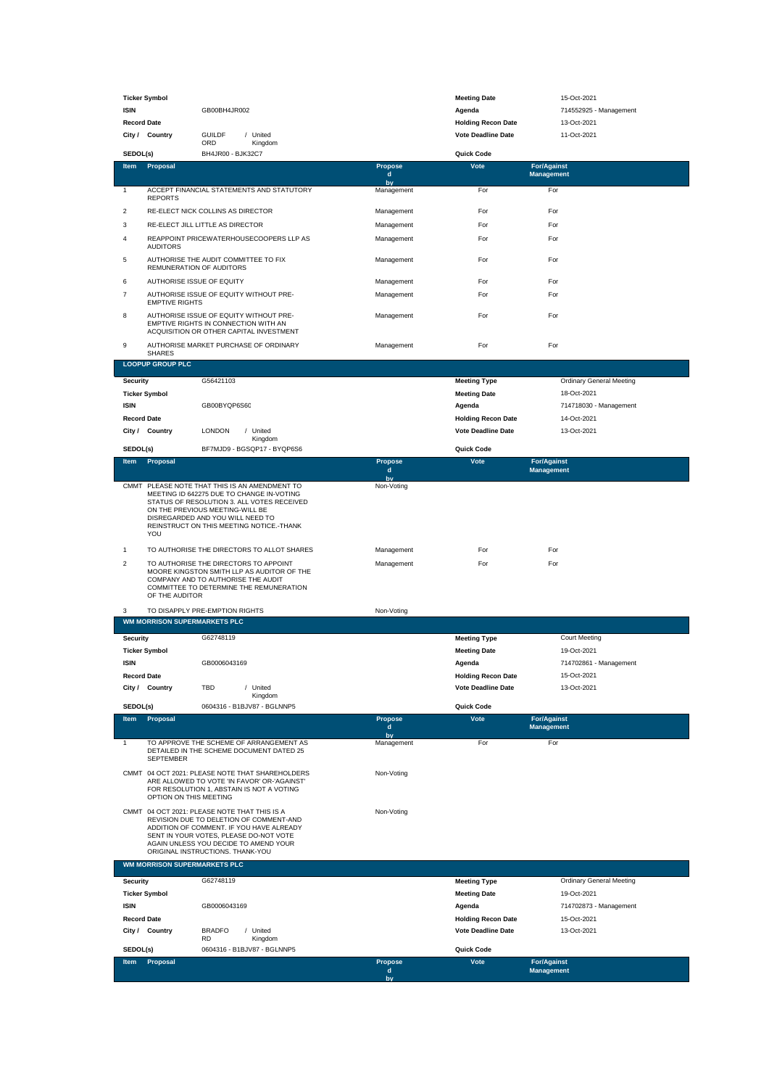| <b>Ticker Symbol</b>                    |                                                                                               |                          |                                                                                                                                                                                      |                  | <b>Meeting Date</b>                                    | 15-Oct-2021                             |  |
|-----------------------------------------|-----------------------------------------------------------------------------------------------|--------------------------|--------------------------------------------------------------------------------------------------------------------------------------------------------------------------------------|------------------|--------------------------------------------------------|-----------------------------------------|--|
| <b>ISIN</b><br><b>Record Date</b>       |                                                                                               | GB00BH4JR002             |                                                                                                                                                                                      |                  | Agenda<br><b>Holding Recon Date</b>                    | 714552925 - Management<br>13-Oct-2021   |  |
| City /                                  | Country                                                                                       | <b>GUILDF</b>            | / United                                                                                                                                                                             |                  | <b>Vote Deadline Date</b>                              | 11-Oct-2021                             |  |
| SEDOL(s)                                |                                                                                               | ORD<br>BH4JR00 - BJK32C7 | Kingdom                                                                                                                                                                              |                  | Quick Code                                             |                                         |  |
| Item                                    | Proposal                                                                                      |                          |                                                                                                                                                                                      | Propose          | Vote                                                   | <b>For/Against</b>                      |  |
|                                         |                                                                                               |                          |                                                                                                                                                                                      | d<br>bv          |                                                        | <b>Management</b>                       |  |
| 1                                       | <b>REPORTS</b>                                                                                |                          | ACCEPT FINANCIAL STATEMENTS AND STATUTORY                                                                                                                                            | Management       | For                                                    | For                                     |  |
| 2                                       | RE-ELECT NICK COLLINS AS DIRECTOR                                                             |                          |                                                                                                                                                                                      | Management       | For                                                    | For                                     |  |
| 3                                       | RE-ELECT JILL LITTLE AS DIRECTOR                                                              |                          |                                                                                                                                                                                      | Management       | For                                                    | For                                     |  |
| 4                                       | <b>AUDITORS</b>                                                                               |                          | REAPPOINT PRICEWATERHOUSECOOPERS LLP AS                                                                                                                                              | Management       | For                                                    | For                                     |  |
| 5                                       | AUTHORISE THE AUDIT COMMITTEE TO FIX<br>REMUNERATION OF AUDITORS                              |                          |                                                                                                                                                                                      | Management       | For                                                    | For                                     |  |
| 6                                       | AUTHORISE ISSUE OF EQUITY                                                                     |                          |                                                                                                                                                                                      | Management       | For                                                    | For                                     |  |
| 7                                       | AUTHORISE ISSUE OF EQUITY WITHOUT PRE-<br><b>EMPTIVE RIGHTS</b>                               |                          |                                                                                                                                                                                      | Management       | For                                                    | For                                     |  |
| 8                                       | AUTHORISE ISSUE OF EQUITY WITHOUT PRE-<br>EMPTIVE RIGHTS IN CONNECTION WITH AN                |                          | ACQUISITION OR OTHER CAPITAL INVESTMENT                                                                                                                                              | Management       | For                                                    | For                                     |  |
| 9                                       |                                                                                               |                          | AUTHORISE MARKET PURCHASE OF ORDINARY                                                                                                                                                | Management       | For                                                    | For                                     |  |
|                                         | <b>SHARES</b><br><b>LOOPUP GROUP PLC</b>                                                      |                          |                                                                                                                                                                                      |                  |                                                        |                                         |  |
| <b>Security</b>                         |                                                                                               | G56421103                |                                                                                                                                                                                      |                  | <b>Meeting Type</b>                                    | <b>Ordinary General Meeting</b>         |  |
| <b>Ticker Symbol</b>                    |                                                                                               |                          |                                                                                                                                                                                      |                  | <b>Meeting Date</b>                                    | 18-Oct-2021                             |  |
| <b>ISIN</b>                             |                                                                                               | GB00BYQP6S60             |                                                                                                                                                                                      |                  | Agenda                                                 | 714718030 - Management                  |  |
| <b>Record Date</b>                      | City / Country                                                                                | <b>LONDON</b>            | / United                                                                                                                                                                             |                  | <b>Holding Recon Date</b><br><b>Vote Deadline Date</b> | 14-Oct-2021<br>13-Oct-2021              |  |
|                                         |                                                                                               |                          | Kingdom                                                                                                                                                                              |                  |                                                        |                                         |  |
| SEDOL(s)<br>Item                        | Proposal                                                                                      |                          | BF7MJD9 - BGSQP17 - BYQP6S6                                                                                                                                                          | Propose          | Quick Code<br>Vote                                     | <b>For/Against</b>                      |  |
|                                         |                                                                                               |                          |                                                                                                                                                                                      | d<br>b١          |                                                        | <b>Management</b>                       |  |
|                                         | ON THE PREVIOUS MEETING-WILL BE<br>DISREGARDED AND YOU WILL NEED TO<br>YOU                    |                          | CMMT PLEASE NOTE THAT THIS IS AN AMENDMENT TO<br>MEETING ID 642275 DUE TO CHANGE IN-VOTING<br>STATUS OF RESOLUTION 3. ALL VOTES RECEIVED<br>REINSTRUCT ON THIS MEETING NOTICE.-THANK | Non-Voting       |                                                        |                                         |  |
| 1                                       |                                                                                               |                          | TO AUTHORISE THE DIRECTORS TO ALLOT SHARES                                                                                                                                           | Management       | For                                                    | For                                     |  |
| $\overline{2}$                          | TO AUTHORISE THE DIRECTORS TO APPOINT<br>COMPANY AND TO AUTHORISE THE AUDIT<br>OF THE AUDITOR |                          | MOORE KINGSTON SMITH LLP AS AUDITOR OF THE<br>COMMITTEE TO DETERMINE THE REMUNERATION                                                                                                | Management       | For                                                    | For                                     |  |
| 3                                       | TO DISAPPLY PRE-EMPTION RIGHTS                                                                |                          |                                                                                                                                                                                      | Non-Voting       |                                                        |                                         |  |
|                                         | <b>WM MORRISON SUPERMARKETS PLC</b>                                                           |                          |                                                                                                                                                                                      |                  |                                                        |                                         |  |
| <b>Security</b><br><b>Ticker Symbol</b> |                                                                                               | G62748119                |                                                                                                                                                                                      |                  | <b>Meeting Type</b><br><b>Meeting Date</b>             | <b>Court Meeting</b><br>19-Oct-2021     |  |
| <b>ISIN</b>                             |                                                                                               | GB0006043169             |                                                                                                                                                                                      |                  | Agenda                                                 | 714702861 - Management                  |  |
| <b>Record Date</b>                      |                                                                                               |                          |                                                                                                                                                                                      |                  | <b>Holding Recon Date</b>                              | 15-Oct-2021                             |  |
|                                         | City / Country                                                                                | <b>TBD</b>               | / United<br>Kingdom                                                                                                                                                                  |                  | <b>Vote Deadline Date</b>                              | 13-Oct-2021                             |  |
| SEDOL(s)                                |                                                                                               |                          | 0604316 - B1BJV87 - BGLNNP5                                                                                                                                                          |                  | Quick Code                                             |                                         |  |
| Item                                    | Proposal                                                                                      |                          |                                                                                                                                                                                      | Propose<br>d     | Vote                                                   | <b>For/Against</b><br><b>Management</b> |  |
| 1                                       | <b>SEPTEMBER</b>                                                                              |                          | TO APPROVE THE SCHEME OF ARRANGEMENT AS<br>DETAILED IN THE SCHEME DOCUMENT DATED 25                                                                                                  | bv<br>Management | For                                                    | For                                     |  |
|                                         | OPTION ON THIS MEETING                                                                        |                          | CMMT 04 OCT 2021: PLEASE NOTE THAT SHAREHOLDERS<br>ARE ALLOWED TO VOTE 'IN FAVOR' OR-'AGAINST'<br>FOR RESOLUTION 1, ABSTAIN IS NOT A VOTING                                          | Non-Voting       |                                                        |                                         |  |
|                                         | CMMT 04 OCT 2021: PLEASE NOTE THAT THIS IS A<br>SENT IN YOUR VOTES, PLEASE DO-NOT VOTE        |                          | REVISION DUE TO DELETION OF COMMENT-AND<br>ADDITION OF COMMENT. IF YOU HAVE ALREADY<br>AGAIN UNLESS YOU DECIDE TO AMEND YOUR                                                         | Non-Voting       |                                                        |                                         |  |
|                                         | ORIGINAL INSTRUCTIONS. THANK-YOU<br><b>WM MORRISON SUPERMARKETS PLC</b>                       |                          |                                                                                                                                                                                      |                  |                                                        |                                         |  |
| <b>Security</b>                         |                                                                                               | G62748119                |                                                                                                                                                                                      |                  | <b>Meeting Type</b>                                    | <b>Ordinary General Meeting</b>         |  |
| <b>Ticker Symbol</b>                    |                                                                                               |                          |                                                                                                                                                                                      |                  | <b>Meeting Date</b>                                    | 19-Oct-2021                             |  |
| ISIN                                    |                                                                                               | GB0006043169             |                                                                                                                                                                                      |                  | Agenda                                                 | 714702873 - Management                  |  |
| <b>Record Date</b>                      |                                                                                               |                          |                                                                                                                                                                                      |                  | <b>Holding Recon Date</b>                              | 15-Oct-2021                             |  |
| City /                                  | Country                                                                                       | <b>BRADFO</b><br>RD      | / United<br>Kingdom                                                                                                                                                                  |                  | <b>Vote Deadline Date</b>                              | 13-Oct-2021                             |  |
| SEDOL(s)                                |                                                                                               |                          | 0604316 - B1BJV87 - BGLNNP5                                                                                                                                                          |                  | Quick Code                                             |                                         |  |
| Item                                    | Proposal                                                                                      |                          |                                                                                                                                                                                      | Propose<br>d     | Vote                                                   | <b>For/Against</b><br><b>Management</b> |  |

**by**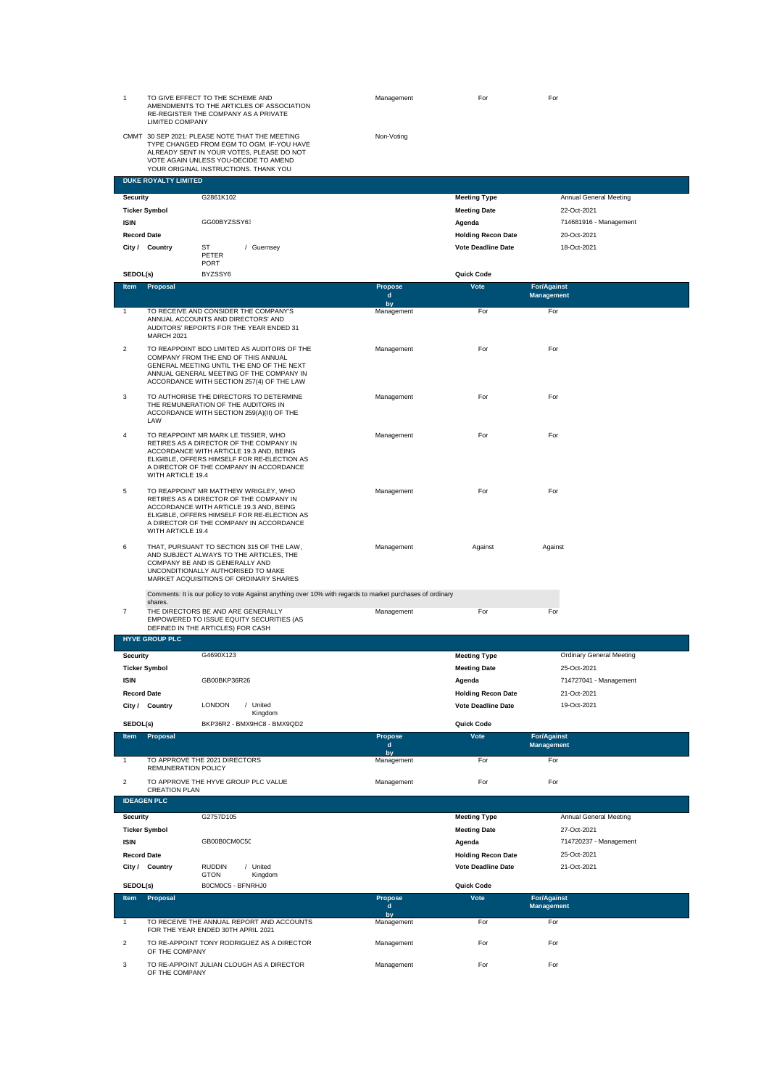| 1                                 | <b>LIMITED COMPANY</b>                      | TO GIVE EFFECT TO THE SCHEME AND                                        | AMENDMENTS TO THE ARTICLES OF ASSOCIATION<br>RE-REGISTER THE COMPANY AS A PRIVATE                                                                                                                                          | Management                                                                                                              | For                                                    | For                                   |  |
|-----------------------------------|---------------------------------------------|-------------------------------------------------------------------------|----------------------------------------------------------------------------------------------------------------------------------------------------------------------------------------------------------------------------|-------------------------------------------------------------------------------------------------------------------------|--------------------------------------------------------|---------------------------------------|--|
|                                   |                                             |                                                                         | CMMT 30 SEP 2021: PLEASE NOTE THAT THE MEETING<br>TYPE CHANGED FROM EGM TO OGM. IF-YOU HAVE<br>ALREADY SENT IN YOUR VOTES, PLEASE DO NOT<br>VOTE AGAIN UNLESS YOU-DECIDE TO AMEND<br>YOUR ORIGINAL INSTRUCTIONS. THANK YOU | Non-Voting                                                                                                              |                                                        |                                       |  |
|                                   | <b>DUKE ROYALTY LIMITED</b>                 |                                                                         |                                                                                                                                                                                                                            |                                                                                                                         |                                                        |                                       |  |
| <b>Security</b>                   |                                             | G2861K102                                                               |                                                                                                                                                                                                                            |                                                                                                                         | <b>Meeting Type</b>                                    | Annual General Meeting                |  |
|                                   | <b>Ticker Symbol</b>                        |                                                                         |                                                                                                                                                                                                                            |                                                                                                                         | <b>Meeting Date</b>                                    | 22-Oct-2021                           |  |
| <b>ISIN</b>                       |                                             | GG00BYZSSY63                                                            |                                                                                                                                                                                                                            |                                                                                                                         | Agenda                                                 | 714681916 - Management                |  |
| <b>Record Date</b>                |                                             |                                                                         |                                                                                                                                                                                                                            |                                                                                                                         | <b>Holding Recon Date</b>                              | 20-Oct-2021                           |  |
|                                   | City / Country                              | ST<br>PETER<br><b>PORT</b>                                              | / Guernsey                                                                                                                                                                                                                 |                                                                                                                         | <b>Vote Deadline Date</b>                              | 18-Oct-2021                           |  |
| SEDOL(s)<br>Item                  | <b>Proposal</b>                             | BYZSSY6                                                                 |                                                                                                                                                                                                                            | Propose                                                                                                                 | Quick Code<br>Vote                                     | <b>For/Against</b>                    |  |
|                                   |                                             |                                                                         |                                                                                                                                                                                                                            | d                                                                                                                       |                                                        | <b>Management</b>                     |  |
| $\mathbf{1}$                      | <b>MARCH 2021</b>                           | ANNUAL ACCOUNTS AND DIRECTORS' AND                                      | TO RECEIVE AND CONSIDER THE COMPANY'S<br>AUDITORS' REPORTS FOR THE YEAR ENDED 31                                                                                                                                           | by<br>Management                                                                                                        | For                                                    | For                                   |  |
| $\overline{2}$                    |                                             | COMPANY FROM THE END OF THIS ANNUAL                                     | TO REAPPOINT BDO LIMITED AS AUDITORS OF THE<br>GENERAL MEETING UNTIL THE END OF THE NEXT<br>ANNUAL GENERAL MEETING OF THE COMPANY IN<br>ACCORDANCE WITH SECTION 257(4) OF THE LAW                                          | Management                                                                                                              | For                                                    | For                                   |  |
| 3                                 | LAW                                         | THE REMUNERATION OF THE AUDITORS IN                                     | TO AUTHORISE THE DIRECTORS TO DETERMINE<br>ACCORDANCE WITH SECTION 259(A)(II) OF THE                                                                                                                                       | Management                                                                                                              | For                                                    | For                                   |  |
| 4                                 | WITH ARTICLE 19.4                           | TO REAPPOINT MR MARK LE TISSIER, WHO                                    | RETIRES AS A DIRECTOR OF THE COMPANY IN<br>ACCORDANCE WITH ARTICLE 19.3 AND, BEING<br>ELIGIBLE, OFFERS HIMSELF FOR RE-ELECTION AS<br>A DIRECTOR OF THE COMPANY IN ACCORDANCE                                               | Management                                                                                                              | For                                                    | For                                   |  |
| 5                                 | WITH ARTICLE 19.4                           |                                                                         | TO REAPPOINT MR MATTHEW WRIGLEY, WHO<br>RETIRES AS A DIRECTOR OF THE COMPANY IN<br>ACCORDANCE WITH ARTICLE 19.3 AND, BEING<br>ELIGIBLE, OFFERS HIMSELF FOR RE-ELECTION AS<br>A DIRECTOR OF THE COMPANY IN ACCORDANCE       | Management                                                                                                              | For                                                    | For                                   |  |
| 6                                 |                                             | COMPANY BE AND IS GENERALLY AND<br>UNCONDITIONALLY AUTHORISED TO MAKE   | THAT, PURSUANT TO SECTION 315 OF THE LAW,<br>AND SUBJECT ALWAYS TO THE ARTICLES, THE<br>MARKET ACQUISITIONS OF ORDINARY SHARES                                                                                             | Management                                                                                                              | Against                                                | Against                               |  |
| 7                                 | shares.                                     | THE DIRECTORS BE AND ARE GENERALLY<br>DEFINED IN THE ARTICLES) FOR CASH | EMPOWERED TO ISSUE EQUITY SECURITIES (AS                                                                                                                                                                                   | Comments: It is our policy to vote Against anything over 10% with regards to market purchases of ordinary<br>Management | For                                                    | For                                   |  |
|                                   | <b>HYVE GROUP PLC</b>                       |                                                                         |                                                                                                                                                                                                                            |                                                                                                                         |                                                        |                                       |  |
| Security                          |                                             | G4690X123                                                               |                                                                                                                                                                                                                            |                                                                                                                         | Meeting Type                                           | <b>Ordinary General Meeting</b>       |  |
|                                   | Ticker Symbol                               |                                                                         |                                                                                                                                                                                                                            |                                                                                                                         | Meeting Date                                           | 25-Oct-2021                           |  |
| <b>ISIN</b>                       |                                             | GB00BKP36R26                                                            |                                                                                                                                                                                                                            |                                                                                                                         | Agenda                                                 | 714727041 - Management                |  |
| <b>Record Date</b>                | City / Country                              | <b>LONDON</b>                                                           | / United                                                                                                                                                                                                                   |                                                                                                                         | <b>Holding Recon Date</b><br><b>Vote Deadline Date</b> | 21-Oct-2021<br>19-Oct-2021            |  |
|                                   |                                             |                                                                         | Kingdom                                                                                                                                                                                                                    |                                                                                                                         |                                                        |                                       |  |
| SEDOL(s)<br>Item                  | Proposal                                    |                                                                         | BKP36R2 - BMX9HC8 - BMX9QD2                                                                                                                                                                                                | <b>Propose</b>                                                                                                          | Quick Code<br>Vote                                     | <b>For/Against</b>                    |  |
|                                   |                                             |                                                                         |                                                                                                                                                                                                                            | d                                                                                                                       |                                                        | <b>Management</b>                     |  |
| 1                                 |                                             | TO APPROVE THE 2021 DIRECTORS                                           |                                                                                                                                                                                                                            | bv<br>Management                                                                                                        | For                                                    | For                                   |  |
| $\overline{\mathbf{c}}$           | REMUNERATION POLICY<br><b>CREATION PLAN</b> | TO APPROVE THE HYVE GROUP PLC VALUE                                     |                                                                                                                                                                                                                            | Management                                                                                                              | For                                                    | For                                   |  |
|                                   | <b>IDEAGEN PLC</b>                          |                                                                         |                                                                                                                                                                                                                            |                                                                                                                         |                                                        |                                       |  |
| <b>Security</b>                   |                                             | G2757D105                                                               |                                                                                                                                                                                                                            |                                                                                                                         | <b>Meeting Type</b>                                    | Annual General Meeting                |  |
|                                   | <b>Ticker Symbol</b>                        |                                                                         |                                                                                                                                                                                                                            |                                                                                                                         | <b>Meeting Date</b>                                    | 27-Oct-2021                           |  |
| <b>ISIN</b><br><b>Record Date</b> |                                             | GB00B0CM0C50                                                            |                                                                                                                                                                                                                            |                                                                                                                         | Agenda                                                 | 714720237 - Management<br>25-Oct-2021 |  |
|                                   | City / Country                              | <b>RUDDIN</b>                                                           | / United                                                                                                                                                                                                                   |                                                                                                                         | <b>Holding Recon Date</b><br><b>Vote Deadline Date</b> | 21-Oct-2021                           |  |
|                                   |                                             | <b>GTON</b>                                                             | Kingdom                                                                                                                                                                                                                    |                                                                                                                         |                                                        |                                       |  |
| SEDOL(s)<br>Item                  | <b>Proposal</b>                             | BOCMOC5 - BFNRHJ0                                                       |                                                                                                                                                                                                                            | Propose                                                                                                                 | Quick Code<br>Vote                                     | <b>For/Against</b>                    |  |
|                                   |                                             |                                                                         |                                                                                                                                                                                                                            | d                                                                                                                       |                                                        | <b>Management</b>                     |  |
| 1                                 |                                             |                                                                         | TO RECEIVE THE ANNUAL REPORT AND ACCOUNTS                                                                                                                                                                                  | bv<br>Management                                                                                                        | For                                                    | For                                   |  |
| $\overline{2}$                    | OF THE COMPANY                              | FOR THE YEAR ENDED 30TH APRIL 2021                                      | TO RE-APPOINT TONY RODRIGUEZ AS A DIRECTOR                                                                                                                                                                                 | Management                                                                                                              | For                                                    | For                                   |  |
| 3                                 | OF THE COMPANY                              |                                                                         | TO RE-APPOINT JULIAN CLOUGH AS A DIRECTOR                                                                                                                                                                                  | Management                                                                                                              | For                                                    | For                                   |  |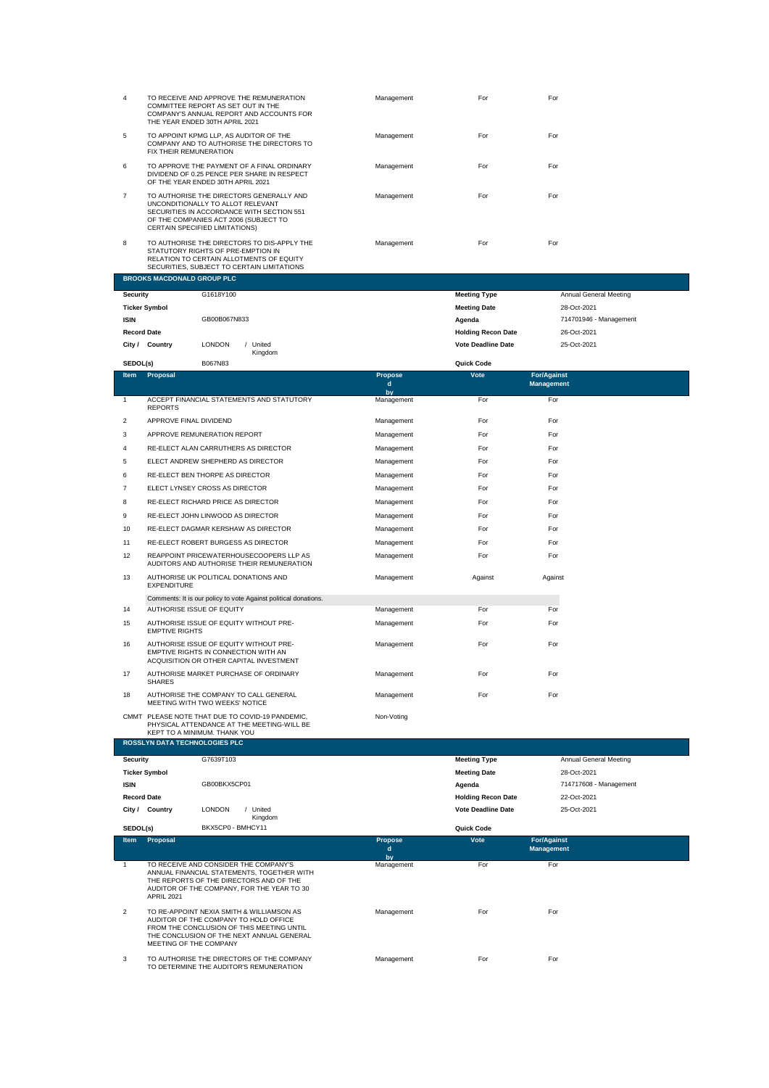| 4              | TO RECEIVE AND APPROVE THE REMUNERATION<br>COMMITTEE REPORT AS SET OUT IN THE<br>COMPANY'S ANNUAL REPORT AND ACCOUNTS FOR<br>THE YEAR ENDED 30TH APRIL 2021                                           | Management | For | For |
|----------------|-------------------------------------------------------------------------------------------------------------------------------------------------------------------------------------------------------|------------|-----|-----|
| 5              | TO APPOINT KPMG LLP. AS AUDITOR OF THE<br>COMPANY AND TO AUTHORISE THE DIRECTORS TO<br><b>FIX THEIR REMUNERATION</b>                                                                                  | Management | For | For |
| 6              | TO APPROVE THE PAYMENT OF A FINAL ORDINARY<br>DIVIDEND OF 0.25 PENCE PER SHARE IN RESPECT<br>OF THE YEAR ENDED 30TH APRIL 2021                                                                        | Management | For | For |
| $\overline{7}$ | TO AUTHORISE THE DIRECTORS GENERALLY AND<br>UNCONDITIONALLY TO ALLOT RELEVANT<br>SECURITIES IN ACCORDANCE WITH SECTION 551<br>OF THE COMPANIES ACT 2006 (SUBJECT TO<br>CERTAIN SPECIFIED LIMITATIONS) | Management | For | For |
| 8              | TO AUTHORISE THE DIRECTORS TO DIS-APPLY THE<br>STATUTORY RIGHTS OF PRE-EMPTION IN<br>RELATION TO CERTAIN ALLOTMENTS OF EQUITY                                                                         | Management | For | For |

RELATION TO CERTAIN ALLOTMENTS OF EQUITY SECURITIES, SUBJECT TO CERTAIN LIMITATIONS

Τ

| <b>BROOKS MACDONALD GROUP PLC</b> |                                    |                           |                        |  |  |  |
|-----------------------------------|------------------------------------|---------------------------|------------------------|--|--|--|
| <b>Security</b>                   | G1618Y100                          | <b>Meeting Type</b>       | Annual General Meeting |  |  |  |
| <b>Ticker Symbol</b>              |                                    | <b>Meeting Date</b>       | 28-Oct-2021            |  |  |  |
| <b>ISIN</b>                       | GB00B067N833                       | Agenda                    | 714701946 - Management |  |  |  |
| <b>Record Date</b>                |                                    | <b>Holding Recon Date</b> | 26-Oct-2021            |  |  |  |
| City /<br>Country                 | <b>LONDON</b><br>United<br>Kingdom | <b>Vote Deadline Date</b> | 25-Oct-2021            |  |  |  |
| SEDOL(s)                          | B067N83                            | Quick Code                |                        |  |  |  |

| Item           | Proposal                                                                                                                  | Propose<br>d<br>bv | Vote    | <b>For/Against</b><br><b>Management</b> |
|----------------|---------------------------------------------------------------------------------------------------------------------------|--------------------|---------|-----------------------------------------|
| 1              | ACCEPT FINANCIAL STATEMENTS AND STATUTORY<br><b>REPORTS</b>                                                               | Management         | For     | For                                     |
| $\overline{2}$ | APPROVE FINAL DIVIDEND                                                                                                    | Management         | For     | For                                     |
| 3              | APPROVE REMUNERATION REPORT                                                                                               | Management         | For     | For                                     |
| 4              | RE-ELECT ALAN CARRUTHERS AS DIRECTOR                                                                                      | Management         | For     | For                                     |
| 5              | ELECT ANDREW SHEPHERD AS DIRECTOR                                                                                         | Management         | For     | For                                     |
| 6              | RE-ELECT BEN THORPE AS DIRECTOR                                                                                           | Management         | For     | For                                     |
| $\overline{7}$ | ELECT LYNSEY CROSS AS DIRECTOR                                                                                            | Management         | For     | For                                     |
| 8              | RE-ELECT RICHARD PRICE AS DIRECTOR                                                                                        | Management         | For     | For                                     |
| 9              | RE-ELECT JOHN LINWOOD AS DIRECTOR                                                                                         | Management         | For     | For                                     |
| 10             | RE-ELECT DAGMAR KERSHAW AS DIRECTOR                                                                                       | Management         | For     | For                                     |
| 11             | <b>RE-ELECT ROBERT BURGESS AS DIRECTOR</b>                                                                                | Management         | For     | For                                     |
| 12             | REAPPOINT PRICEWATERHOUSECOOPERS LLP AS<br>AUDITORS AND AUTHORISE THEIR REMUNERATION                                      | Management         | For     | For                                     |
| 13             | AUTHORISE UK POLITICAL DONATIONS AND<br><b>EXPENDITURE</b>                                                                | Management         | Against | Against                                 |
|                | Comments: It is our policy to vote Against political donations.                                                           |                    |         |                                         |
| 14             | AUTHORISE ISSUE OF EQUITY                                                                                                 | Management         | For     | For                                     |
| 15             | AUTHORISE ISSUE OF EQUITY WITHOUT PRE-<br><b>EMPTIVE RIGHTS</b>                                                           | Management         | For     | For                                     |
| 16             | AUTHORISE ISSUE OF EQUITY WITHOUT PRE-<br>EMPTIVE RIGHTS IN CONNECTION WITH AN<br>ACQUISITION OR OTHER CAPITAL INVESTMENT | Management         | For     | For                                     |
| 17             | AUTHORISE MARKET PURCHASE OF ORDINARY<br><b>SHARES</b>                                                                    | Management         | For     | For                                     |
| 18             | AUTHORISE THE COMPANY TO CALL GENERAL<br>MEETING WITH TWO WEEKS' NOTICE                                                   | Management         | For     | For                                     |
|                | CMMT PLEASE NOTE THAT DUE TO COVID-19 PANDEMIC,                                                                           | Non-Voting         |         |                                         |

CMMT PLEASE NOTE THAT DUE TO COVID-19 PANDEMIC, PHYSICAL ATTENDANCE AT THE MEETING-WILL BE KEPT TO A MINIMUM. THANK YOU

|  |  | KEPT TO A MINIMUM. THANK YOU |  |
|--|--|------------------------------|--|
|  |  |                              |  |

I

|                    | <b>ROSSLYN DATA TECHNOLOGIES PLC</b> |                                                                                                                                                                               |                    |                           |                                         |
|--------------------|--------------------------------------|-------------------------------------------------------------------------------------------------------------------------------------------------------------------------------|--------------------|---------------------------|-----------------------------------------|
| Security           |                                      | G7639T103                                                                                                                                                                     |                    | <b>Meeting Type</b>       | Annual General Meeting                  |
|                    | <b>Ticker Symbol</b>                 |                                                                                                                                                                               |                    | <b>Meeting Date</b>       | 28-Oct-2021                             |
| <b>ISIN</b>        |                                      | GB00BKX5CP01                                                                                                                                                                  |                    | Agenda                    | 714717608 - Management                  |
| <b>Record Date</b> |                                      |                                                                                                                                                                               |                    | <b>Holding Recon Date</b> | 22-Oct-2021                             |
|                    | City / Country                       | <b>LONDON</b><br>United<br>Kingdom                                                                                                                                            |                    | <b>Vote Deadline Date</b> | 25-Oct-2021                             |
| SEDOL(s)           |                                      | BKX5CP0 - BMHCY11                                                                                                                                                             |                    | Quick Code                |                                         |
| <b>Item</b>        | Proposal                             |                                                                                                                                                                               | Propose<br>d<br>by | Vote                      | <b>For/Against</b><br><b>Management</b> |
|                    | <b>APRIL 2021</b>                    | TO RECEIVE AND CONSIDER THE COMPANY'S<br>ANNUAL FINANCIAL STATEMENTS. TOGETHER WITH<br>THE REPORTS OF THE DIRECTORS AND OF THE<br>AUDITOR OF THE COMPANY, FOR THE YEAR TO 30  | Management         | For                       | For                                     |
| $\overline{2}$     | MEETING OF THE COMPANY               | TO RE-APPOINT NEXIA SMITH & WILLIAMSON AS<br>AUDITOR OF THE COMPANY TO HOLD OFFICE<br>FROM THE CONCLUSION OF THIS MEETING UNTIL.<br>THE CONCLUSION OF THE NEXT ANNUAL GENERAL | Management         | For                       | For                                     |
| 3                  |                                      | TO AUTHORISE THE DIRECTORS OF THE COMPANY<br>TO DETERMINE THE AUDITOR'S REMUNERATION                                                                                          | Management         | For                       | For                                     |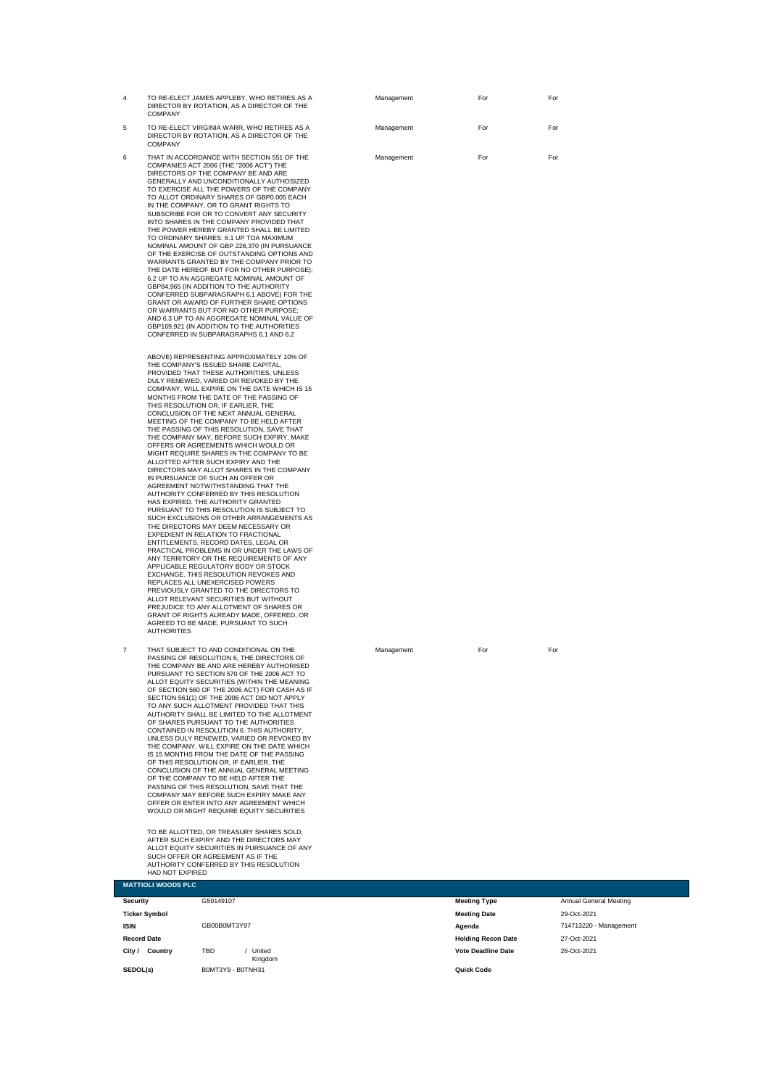- 4 For TO RE-ELECT JAMES APPLEBY, WHO RETIRES AS A DIRECTOR BY ROTATION, AS A DIRECTOR OF THE COMPANY
- 5 TO RE-ELECT VIRGINIA WARR, WHO RETIRES AS A **Management** Management DIRECTOR BY ROTATION, AS A DIRECTOR OF THE COMPANY
- 6 THAT IN ACCORDANCE WITH SECTION 551 OF THE Management Management For COMPANIES ACT 2006 (THE "2006 ACT") THE DIRECTORS OF THE COMPANY BE AND ARE GENERALLY AND UNCONDITIONALLY AUTHOSIZED TO EXERCISE ALL THE POWERS OF THE COMPANY TO ALLOT ORDINARY SHARES OF GBP0.005 EACH<br>IN THE COMPANY, OR TO GRANT RIGHTS TO<br>SUBSCRIBE FOR OR TO CONVERT ANY SECURITY<br>INTO SHARES IN THE COMPANY PROVIDED THAT<br>THE POWER HEREBY GRANTED SHALL BE LIMITED TO ORDINARY SHARES: 6.1 UP TOA MAXIMUM<br>NOMINAL AMOUNT OF GBP 226,370 (IN PURSUANCE<br>OF THE EXERCISE OF OUTSTANDING OPTIONS AND<br>WARRANTS GRANTED BY THE COMPANY PRIOR TO<br>THE DATE HEREOF BUT FOR NO OTHER PURPOSE); 6.2 UP TO AN AGGREGATE NOMINAL AMOUNT OF GBP84,965 (IN ADDITION TO THE AUTHORITY CONFERRED SUBPARAGRAPH 6.1 ABOVE) FOR THE GRANT OR AWARD OF FURTHER SHARE OPTIONS<br>OR WARRANTS BUT FOR NO OTHER PURPOSE: OR WARRANTS BUT FOR NO OTHER PURPOSE;<br>AND 6.3 UP TO AN AGGREGATE NOMINAL VALUE OF<br>GBP169,921 (IN ADDITION TO THE AUTHORITIES<br>CONFERRED IN SUBPARAGRAPHS 6.1 AND 6.2

ABOVE) REPRESENTING APPROXIMATELY 10% OF THE COMPANY'S ISSUED SHARE CAPITAL, PROVIDED THAT THESE AUTHORITIES, UNLESS DULY RENEWED, VARIED OR REVOKED BY THE COMPANY, WILL EXPIRE ON THE DATE WHICH IS 15 MONTHS FROM THE DATE OF THE PASSING OF<br>THIS RESOLUTION OR, IF EARLIER, THE<br>CONCLUSION OF THE NEXT ANNUAL GENERAL<br>MEETING OF THE COMPANY TO BE HELD AFTER<br>THE PASSING OF THIS RESOLUTION, SAVE THAT<br>THE COMPANY MAY, BEFORE SUC OFFERS OR AGREEMENTS WHICH WOULD OR MIGHT REQUIRE SHARES IN THE COMPANY TO BE ALLOTTED AFTER SUCH EXPIRY AND THE DIRECTORS MAY ALLOT SHARES IN THE COMPANY<br>IN PURSUANCE OF SUCH AN OFFER OR<br>AGREEMENT NOTWITHSTANDING THAT THE<br>AUTHORITY CONFERRED BY THIS RESOLUTION<br>HAS EXPIRED. THE AUTHORITY GRANTED<br>PURSUANT TO THIS RESOLUTION IS SUBJECT PRACTICAL PROBLEMS IN OR UNDER THE LAWS OF ANY TERRITORY OR THE REQUIREMENTS OF ANY APPLICABLE REGULATORY BODY OR STOCK EXCHANGE. THIS RESOLUTION REVOKES AND REPLACES ALL UNEXERCISED POWERS<br>PREVIOUSLY GRANTED TO THE DIRECTORS TO<br>ALLOT RELEVANT SECURITIES BUT WITHOUT<br>PREJUDICE TO ANY ALLOTMENT OF SHARES OR<br>GRANT OF RIGHTS ALREADY MADE, OFFERED, OR AGREED TO BE MADE, PURSUANT TO SUCH AUTHORITIES

7 For THAT SUBJECT TO AND CONDITIONAL ON THE PASSING OF RESOLUTION 6, THE DIRECTORS OF THE COMPANY BE AND ARE HEREBY AUTHORISED<br>PURSUANT TO SECTION 570 OF THE 2006 ACT TO<br>ALLOT EQUITY SECURITIES (WITHIN THE MEANING<br>OF SECTION 560 OF THE 2006 ACT) FOR CASH AS IF<br>SECTION 561 (1) OF THE 2006 ACT DID NOT APPLY<br>T AUTHORITY SHALL BE LIMITED TO THE ALLOTMENT OF SHARES PURSUANT TO THE AUTHORITIES CONTAINED IN RESOLUTION 6. THIS AUTHORITY, UNLESS DULY RENEWED, VARIED OR REVOKED BY<br>THE COMPANY, WILL EXPIRE ON THE DATE WHICH<br>IS 15 MONTHS FROM THE DATE OF THE PASSING<br>OF THIS RESOLUTION OR, IF EARLIER, THE CONCLUSION OF THE ANNUAL GENERAL MEETING<br>OF THE COMPANY TO BE HELD AFTER THE<br>PASSING OF THIS RESOLUTION, SAVE THAT THE<br>COMPANY MAY BEFORE SUCH EXPIRY MAKE ANY<br>OFFER OR ENTER INTO ANY AGREEMENT WHICH WOULD OR MIGHT REQUIRE EQUITY SECURITIES

TO BE ALLOTTED, OR TREASURY SHARES SOLD,<br>AFTER SUCH EXPIRY AND THE DIRECTORS MAY<br>ALLOT EQUITY SECURITIES IN PURSUANCE OF ANY<br>SUCH OFFER OR AGREEMENT AS IF THE<br>AUTHORITY CONFERRED BY THIS RESOLUTION HAD NOT EXPIRED

| Management | For | For |
|------------|-----|-----|
| Management | For | For |
| Management | For | For |

Management For For For

## **City / Country** TBD / United Kingdom **Security Ticker Symbo ISIN** G59149107 GB00B0MT3Y97 **Meeting Type** Annual General Meeting **Meeting Date Agenda** 714713220 - Management 29-Oct-2021 **MATTIOLI WOODS PLC Record Date SEDOL(s) Quick Code** B0MT3Y9 - B0TNH31 **Vote Deadline Date Holding Recon Date** 27-Oct-2021 26-Oct-2021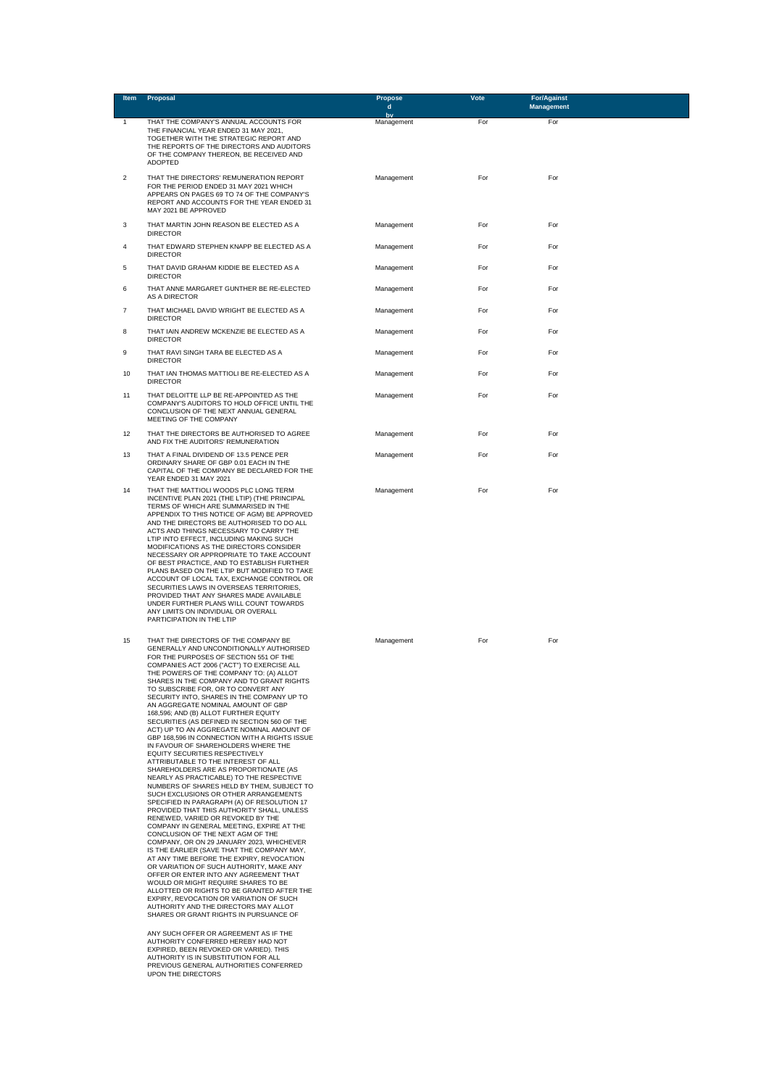| Item           | Proposal                                                                                                                                                                                                                                                                                                                                                                                                                                                                                                                                                                                                                                                                                                                                                                                                                                                                                                                                                                                                                                                                                                                                                                                                                                                                                                                                                                                                                                                                                                                                                                                                                                                                                                             | <b>Propose</b><br>d | Vote | <b>For/Against</b><br><b>Management</b> |  |
|----------------|----------------------------------------------------------------------------------------------------------------------------------------------------------------------------------------------------------------------------------------------------------------------------------------------------------------------------------------------------------------------------------------------------------------------------------------------------------------------------------------------------------------------------------------------------------------------------------------------------------------------------------------------------------------------------------------------------------------------------------------------------------------------------------------------------------------------------------------------------------------------------------------------------------------------------------------------------------------------------------------------------------------------------------------------------------------------------------------------------------------------------------------------------------------------------------------------------------------------------------------------------------------------------------------------------------------------------------------------------------------------------------------------------------------------------------------------------------------------------------------------------------------------------------------------------------------------------------------------------------------------------------------------------------------------------------------------------------------------|---------------------|------|-----------------------------------------|--|
| 1              | THAT THE COMPANY'S ANNUAL ACCOUNTS FOR<br>THE FINANCIAL YEAR ENDED 31 MAY 2021,<br>TOGETHER WITH THE STRATEGIC REPORT AND<br>THE REPORTS OF THE DIRECTORS AND AUDITORS<br>OF THE COMPANY THEREON, BE RECEIVED AND<br><b>ADOPTED</b>                                                                                                                                                                                                                                                                                                                                                                                                                                                                                                                                                                                                                                                                                                                                                                                                                                                                                                                                                                                                                                                                                                                                                                                                                                                                                                                                                                                                                                                                                  | by<br>Management    | For  | For                                     |  |
| $\overline{2}$ | THAT THE DIRECTORS' REMUNERATION REPORT<br>FOR THE PERIOD ENDED 31 MAY 2021 WHICH<br>APPEARS ON PAGES 69 TO 74 OF THE COMPANY'S<br>REPORT AND ACCOUNTS FOR THE YEAR ENDED 31<br>MAY 2021 BE APPROVED                                                                                                                                                                                                                                                                                                                                                                                                                                                                                                                                                                                                                                                                                                                                                                                                                                                                                                                                                                                                                                                                                                                                                                                                                                                                                                                                                                                                                                                                                                                 | Management          | For  | For                                     |  |
| 3              | THAT MARTIN JOHN REASON BE ELECTED AS A<br><b>DIRECTOR</b>                                                                                                                                                                                                                                                                                                                                                                                                                                                                                                                                                                                                                                                                                                                                                                                                                                                                                                                                                                                                                                                                                                                                                                                                                                                                                                                                                                                                                                                                                                                                                                                                                                                           | Management          | For  | For                                     |  |
| 4              | THAT EDWARD STEPHEN KNAPP BE ELECTED AS A<br><b>DIRECTOR</b>                                                                                                                                                                                                                                                                                                                                                                                                                                                                                                                                                                                                                                                                                                                                                                                                                                                                                                                                                                                                                                                                                                                                                                                                                                                                                                                                                                                                                                                                                                                                                                                                                                                         | Management          | For  | For                                     |  |
| 5              | THAT DAVID GRAHAM KIDDIE BE ELECTED AS A<br><b>DIRECTOR</b>                                                                                                                                                                                                                                                                                                                                                                                                                                                                                                                                                                                                                                                                                                                                                                                                                                                                                                                                                                                                                                                                                                                                                                                                                                                                                                                                                                                                                                                                                                                                                                                                                                                          | Management          | For  | For                                     |  |
| 6              | THAT ANNE MARGARET GUNTHER BE RE-ELECTED<br><b>AS A DIRECTOR</b>                                                                                                                                                                                                                                                                                                                                                                                                                                                                                                                                                                                                                                                                                                                                                                                                                                                                                                                                                                                                                                                                                                                                                                                                                                                                                                                                                                                                                                                                                                                                                                                                                                                     | Management          | For  | For                                     |  |
| $\overline{7}$ | THAT MICHAEL DAVID WRIGHT BE ELECTED AS A<br><b>DIRECTOR</b>                                                                                                                                                                                                                                                                                                                                                                                                                                                                                                                                                                                                                                                                                                                                                                                                                                                                                                                                                                                                                                                                                                                                                                                                                                                                                                                                                                                                                                                                                                                                                                                                                                                         | Management          | For  | For                                     |  |
| 8              | THAT IAIN ANDREW MCKENZIE BE ELECTED AS A<br><b>DIRECTOR</b>                                                                                                                                                                                                                                                                                                                                                                                                                                                                                                                                                                                                                                                                                                                                                                                                                                                                                                                                                                                                                                                                                                                                                                                                                                                                                                                                                                                                                                                                                                                                                                                                                                                         | Management          | For  | For                                     |  |
| 9              | THAT RAVI SINGH TARA BE ELECTED AS A<br><b>DIRECTOR</b>                                                                                                                                                                                                                                                                                                                                                                                                                                                                                                                                                                                                                                                                                                                                                                                                                                                                                                                                                                                                                                                                                                                                                                                                                                                                                                                                                                                                                                                                                                                                                                                                                                                              | Management          | For  | For                                     |  |
| 10             | THAT IAN THOMAS MATTIOLI BE RE-ELECTED AS A<br><b>DIRECTOR</b>                                                                                                                                                                                                                                                                                                                                                                                                                                                                                                                                                                                                                                                                                                                                                                                                                                                                                                                                                                                                                                                                                                                                                                                                                                                                                                                                                                                                                                                                                                                                                                                                                                                       | Management          | For  | For                                     |  |
| 11             | THAT DELOITTE LLP BE RE-APPOINTED AS THE<br>COMPANY'S AUDITORS TO HOLD OFFICE UNTIL THE<br>CONCLUSION OF THE NEXT ANNUAL GENERAL<br>MEETING OF THE COMPANY                                                                                                                                                                                                                                                                                                                                                                                                                                                                                                                                                                                                                                                                                                                                                                                                                                                                                                                                                                                                                                                                                                                                                                                                                                                                                                                                                                                                                                                                                                                                                           | Management          | For  | For                                     |  |
| 12             | THAT THE DIRECTORS BE AUTHORISED TO AGREE<br>AND FIX THE AUDITORS' REMUNERATION                                                                                                                                                                                                                                                                                                                                                                                                                                                                                                                                                                                                                                                                                                                                                                                                                                                                                                                                                                                                                                                                                                                                                                                                                                                                                                                                                                                                                                                                                                                                                                                                                                      | Management          | For  | For                                     |  |
| 13             | THAT A FINAL DIVIDEND OF 13.5 PENCE PER<br>ORDINARY SHARE OF GBP 0.01 EACH IN THE<br>CAPITAL OF THE COMPANY BE DECLARED FOR THE<br>YEAR ENDED 31 MAY 2021                                                                                                                                                                                                                                                                                                                                                                                                                                                                                                                                                                                                                                                                                                                                                                                                                                                                                                                                                                                                                                                                                                                                                                                                                                                                                                                                                                                                                                                                                                                                                            | Management          | For  | For                                     |  |
| 14             | THAT THE MATTIOLI WOODS PLC LONG TERM<br>INCENTIVE PLAN 2021 (THE LTIP) (THE PRINCIPAL<br>TERMS OF WHICH ARE SUMMARISED IN THE<br>APPENDIX TO THIS NOTICE OF AGM) BE APPROVED<br>AND THE DIRECTORS BE AUTHORISED TO DO ALL<br>ACTS AND THINGS NECESSARY TO CARRY THE<br>LTIP INTO EFFECT, INCLUDING MAKING SUCH<br>MODIFICATIONS AS THE DIRECTORS CONSIDER<br>NECESSARY OR APPROPRIATE TO TAKE ACCOUNT<br>OF BEST PRACTICE, AND TO ESTABLISH FURTHER<br>PLANS BASED ON THE LTIP BUT MODIFIED TO TAKE<br>ACCOUNT OF LOCAL TAX, EXCHANGE CONTROL OR<br>SECURITIES LAWS IN OVERSEAS TERRITORIES,<br>PROVIDED THAT ANY SHARES MADE AVAILABLE<br>UNDER FURTHER PLANS WILL COUNT TOWARDS<br>ANY LIMITS ON INDIVIDUAL OR OVERALL<br>PARTICIPATION IN THE LTIP                                                                                                                                                                                                                                                                                                                                                                                                                                                                                                                                                                                                                                                                                                                                                                                                                                                                                                                                                               | Management          | For  | For                                     |  |
| 15             | THAT THE DIRECTORS OF THE COMPANY BE<br>GENERALLY AND UNCONDITIONALLY AUTHORISED<br>FOR THE PURPOSES OF SECTION 551 OF THE<br>COMPANIES ACT 2006 ("ACT") TO EXERCISE ALL<br>THE POWERS OF THE COMPANY TO: (A) ALLOT<br>SHARES IN THE COMPANY AND TO GRANT RIGHTS<br>TO SUBSCRIBE FOR, OR TO CONVERT ANY<br>SECURITY INTO, SHARES IN THE COMPANY UP TO<br>AN AGGREGATE NOMINAL AMOUNT OF GBP<br>168,596; AND (B) ALLOT FURTHER EQUITY<br>SECURITIES (AS DEFINED IN SECTION 560 OF THE<br>ACT) UP TO AN AGGREGATE NOMINAL AMOUNT OF<br>GBP 168,596 IN CONNECTION WITH A RIGHTS ISSUE<br>IN FAVOUR OF SHAREHOLDERS WHERE THE<br>EQUITY SECURITIES RESPECTIVELY<br>ATTRIBUTABLE TO THE INTEREST OF ALL<br>SHAREHOLDERS ARE AS PROPORTIONATE (AS<br>NEARLY AS PRACTICABLE) TO THE RESPECTIVE<br>NUMBERS OF SHARES HELD BY THEM, SUBJECT TO<br>SUCH EXCLUSIONS OR OTHER ARRANGEMENTS<br>SPECIFIED IN PARAGRAPH (A) OF RESOLUTION 17<br>PROVIDED THAT THIS AUTHORITY SHALL, UNLESS<br>RENEWED, VARIED OR REVOKED BY THE<br>COMPANY IN GENERAL MEETING, EXPIRE AT THE<br>CONCLUSION OF THE NEXT AGM OF THE<br>COMPANY, OR ON 29 JANUARY 2023, WHICHEVER<br>IS THE EARLIER (SAVE THAT THE COMPANY MAY,<br>AT ANY TIME BEFORE THE EXPIRY, REVOCATION<br>OR VARIATION OF SUCH AUTHORITY, MAKE ANY<br>OFFER OR ENTER INTO ANY AGREEMENT THAT<br>WOULD OR MIGHT REQUIRE SHARES TO BE<br>ALLOTTED OR RIGHTS TO BE GRANTED AFTER THE<br>EXPIRY, REVOCATION OR VARIATION OF SUCH<br>AUTHORITY AND THE DIRECTORS MAY ALLOT<br>SHARES OR GRANT RIGHTS IN PURSUANCE OF<br>ANY SUCH OFFER OR AGREEMENT AS IF THE<br>AUTHORITY CONFERRED HEREBY HAD NOT<br>EXPIRED, BEEN REVOKED OR VARIED). THIS<br>AUTHORITY IS IN SUBSTITUTION FOR ALL | Management          | For  | For                                     |  |

AUTHORITY IS IN SUBSTITUTION FOR ALL PREVIOUS GENERAL AUTHORITIES CONFERRED UPON THE DIRECTORS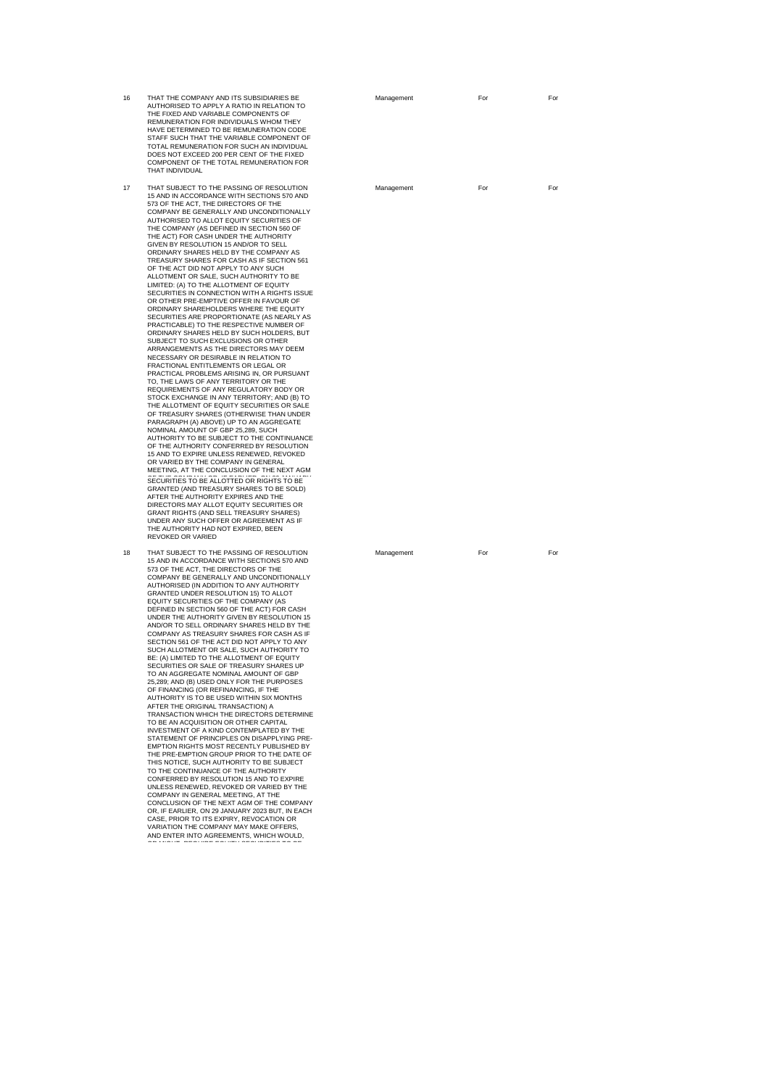- 16 For THAT THE COMPANY AND ITS SUBSIDIARIES BE AUTHORISED TO APPLY A RATIO IN RELATION TO THE FIXED AND VARIABLE COMPONENTS OF REMUNERATION FOR INDIVIDUALS WHOM THEY HAVE DETERMINED TO BE REMUNERATION CODE STAFF SUCH THAT THE VARIABLE COMPONENT OF TOTAL REMUNERATION FOR SUCH AN INDIVIDUAL DOES NOT EXCEED 200 PER CENT OF THE FIXED COMPONENT OF THE TOTAL REMUNERATION FOR THAT INDIVIDUAL
- 17 For THAT SUBJECT TO THE PASSING OF RESOLUTION 15 AND IN ACCORDANCE WITH SECTIONS 570 AND 573 OF THE ACT, THE DIRECTORS OF THE COMPANY BE GENERALLY AND UNCONDITIONALLY AUTHORISED TO ALLOT EQUITY SECURITIES OF THE COMPANY (AS DEFINED IN SECTION 560 OF THE ACT) FOR CASH UNDER THE AUTHORITY GIVEN BY RESOLUTION 15 AND/OR TO SELL ORDINARY SHARES HELD BY THE COMPANY AS TREASURY SHARES FOR CASH AS IF SECTION 561 OF THE ACT DID NOT APPLY TO ANY SUCH ALLOTMENT OR SALE, SUCH AUTHORITY TO BE LIMITED: (A) TO THE ALLOTMENT OF EQUITY<br>SECURITIES IN CONNECTION WITH A RIGHTS ISSUE<br>OR OTHER PRE-EMPTIVE OFFER IN FAVOUR OF<br>ORDINARY SHAREHOLDERS WHERE THE EQUITY SECURITIES ARE PROPORTIONATE (AS NEARLY AS PRACTICABLE) TO THE RESPECTIVE NUMBER OF<br>ORDINARY SHARES HELD BY SUCH HOLDERS, BUT<br>SUBJECT TO SUCH EXCLUSIONS OR OTHER<br>ARRANGEMENTS AS THE DIRECTORS MAY DEEM NECESSARY OR DESIRABLE IN RELATION TO FRACTIONAL ENTITLEMENTS OR LEGAL OR<br>PRACTICAL PROBLEMS ARISING IN, OR PURSUANT<br>TO, THE LAWS OF ANY TERRITORY OR THE<br>REQUIREMENTS OF ANY REGULATORY BODY OR STOCK EXCHANGE IN ANY TERRITORY; AND (B) TO THE ALLOTMENT OF EQUITY SECURITIES OR SALE OF TREASURY SHARES (OTHERWISE THAN UNDER PARAGRAPH (A) ABOVE) UP TO AN AGGREGATE NOMINAL AMOUNT OF GBP 25,289, SUCH AUTHORITY TO BE SUBJECT TO THE CONTINUANCE OF THE AUTHORITY CONFERRED BY RESOLUTION 15 AND TO EXPIRE UNLESS RENEWED, REVOKED OR VARIED BY THE COMPANY IN GENERAL MEETING, AT THE CONCLUSION OF THE NEXT AGM SECURITIES TO BE ALLOTTED OR RIGHTS TO BE GRANTED (AND TREASURY SHARES TO BE SOLD) AFTER THE AUTHORITY EXPIRES AND THE DIRECTORS MAY ALLOT EQUITY SECURITIES OR GRANT RIGHTS (AND SELL TREASURY SHARES) UNDER ANY SUCH OFFER OR AGREEMENT AS IF THE AUTHORITY HAD NOT EXPIRED, BEEN REVOKED OR VARIED
- 18 THAT SUBJECT TO THE PASSING OF RESOLUTION Management Management For 15 AND IN ACCORDANCE WITH SECTIONS 570 AND 573 OF THE ACT, THE DIRECTORS OF THE COMPANY BE GENERALLY AND UNCONDITIONALLY AUTHORISED (IN ADDITION TO ANY AUTHORITY GRANTED UNDER RESOLUTION 15) TO ALLOT EQUITY SECURITIES OF THE COMPANY (AS DEFINED IN SECTION 560 OF THE ACT) FOR CASH UNDER THE AUTHORITY GIVEN BY RESOLUTION 15 AND/OR TO SELL ORDINARY SHARES HELD BY THE COMPANY AS TREASURY SHARES FOR CASH AS IF SECTION 561 OF THE ACT DID NOT APPLY TO ANY SUCH ALLOTMENT OR SALE, SUCH AUTHORITY TO BE: (A) LIMITED TO THE ALLOTMENT OF EQUITY SECURITIES OR SALE OF TREASURY SHARES UP TO AN AGGREGATE NOMINAL AMOUNT OF GBP<br>25,289; AND (B) USED ONLY FOR THE PURPOSES<br>OF FINANCING (OR REFINANCING, IF THE<br>AUTHORITY IS TO BE USED WITHIN SIX MONTHS AFTER THE ORIGINAL TRANSACTION) A<br>TRANSACTION WHICH THE DIRECTORS DETERMINE<br>TO BE AN ACQUISITION OR OTHER CAPITAL<br>INVESTMENT OF A KIND CONTEMPLATED BY THE STATEMENT OF PRINCIPLES ON DISAPPLYING PRE-<br>EMPTION RIGHTS MOST RECENTLY PUBLISHED BY<br>THE PRE-EMPTION GROUP PRIOR TO THE DATE OF<br>THIS NOTICE, SUCH AUTHORITY TO BE SUBJECT TO THE CONTINUANCE OF THE AUTHORITY CONFERRED BY RESOLUTION 15 AND TO EXPIRE UNLESS RENEWED, REVOKED OR VARIED BY THE COMPANY IN GENERAL MEETING, AT THE CONCLUSION OF THE NEXT AGM OF THE COMPANY OR, IF EARLIER, ON 29 JANUARY 2023 BUT, IN EACH CASE, PRIOR TO ITS EXPIRY, REVOCATION OR VARIATION THE COMPANY MAY MAKE OFFERS, AND ENTER INTO AGREEMENTS, WHICH WOULD, OR MIGHT, REQUIRE EQUITY SECURITIES TO BE
- Management For For For Management For For For
	-
- 

| Management | For | For |
|------------|-----|-----|
|            |     |     |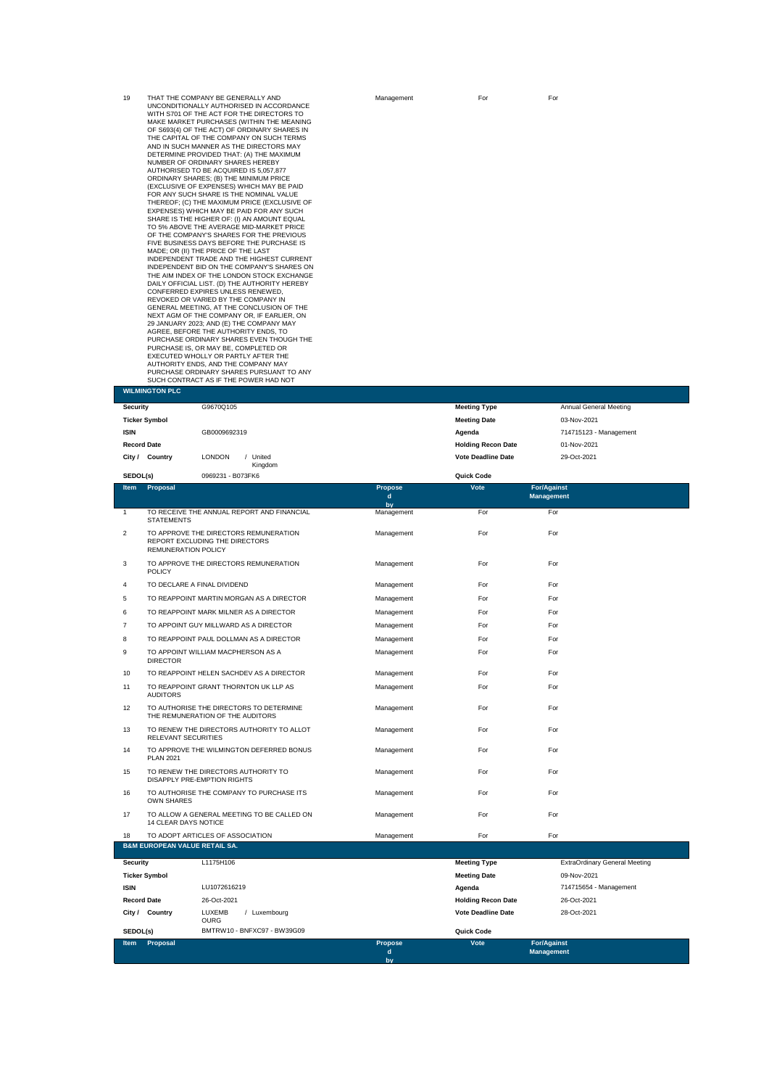|                         | City / Country                                           | <b>LONDON</b>                         | / United<br>Kingdom                        |                              | <b>Vote Deadline Date</b> | 29-Oct-2021                             |
|-------------------------|----------------------------------------------------------|---------------------------------------|--------------------------------------------|------------------------------|---------------------------|-----------------------------------------|
| SEDOL(s)                |                                                          | 0969231 - B073FK6                     |                                            |                              | Quick Code                |                                         |
| Item                    | Proposal                                                 |                                       |                                            | Propose<br>$\mathbf d$<br>by | Vote                      | <b>For/Against</b><br><b>Management</b> |
| $\mathbf{1}$            | <b>STATEMENTS</b>                                        |                                       | TO RECEIVE THE ANNUAL REPORT AND FINANCIAL | Management                   | For                       | For                                     |
| $\overline{\mathbf{c}}$ | <b>REMUNERATION POLICY</b>                               | REPORT EXCLUDING THE DIRECTORS        | TO APPROVE THE DIRECTORS REMUNERATION      | Management                   | For                       | For                                     |
| 3                       | <b>POLICY</b>                                            |                                       | TO APPROVE THE DIRECTORS REMUNERATION      | Management                   | For                       | For                                     |
| $\overline{4}$          | TO DECLARE A FINAL DIVIDEND                              |                                       |                                            | Management                   | For                       | For                                     |
| 5                       |                                                          |                                       | TO REAPPOINT MARTIN MORGAN AS A DIRECTOR   | Management                   | For                       | For                                     |
| 6                       | TO REAPPOINT MARK MILNER AS A DIRECTOR                   |                                       |                                            | Management                   | For                       | For                                     |
| $\overline{7}$          |                                                          | TO APPOINT GUY MILLWARD AS A DIRECTOR |                                            | Management                   | For                       | For                                     |
| 8                       |                                                          |                                       | TO REAPPOINT PAUL DOLLMAN AS A DIRECTOR    | Management                   | For                       | For                                     |
| 9                       | TO APPOINT WILLIAM MACPHERSON AS A<br><b>DIRECTOR</b>    |                                       |                                            | Management                   | For                       | For                                     |
| 10                      |                                                          |                                       | TO REAPPOINT HELEN SACHDEV AS A DIRECTOR   | Management                   | For                       | For                                     |
| 11                      | TO REAPPOINT GRANT THORNTON UK LLP AS<br><b>AUDITORS</b> |                                       |                                            | Management                   | For                       | For                                     |
| 12                      |                                                          | THE REMUNERATION OF THE AUDITORS      | TO AUTHORISE THE DIRECTORS TO DETERMINE    | Management                   | For                       | For                                     |
| 13                      | RELEVANT SECURITIES                                      |                                       | TO RENEW THE DIRECTORS AUTHORITY TO ALLOT  | Management                   | For                       | For                                     |
| 14                      | <b>PLAN 2021</b>                                         |                                       | TO APPROVE THE WILMINGTON DEFERRED BONUS   | Management                   | For                       | For                                     |
| 15                      | TO RENEW THE DIRECTORS AUTHORITY TO                      | DISAPPLY PRE-EMPTION RIGHTS           |                                            | Management                   | For                       | For                                     |
| 16                      | <b>OWN SHARES</b>                                        |                                       | TO AUTHORISE THE COMPANY TO PURCHASE ITS   | Management                   | For                       | For                                     |
| 17                      | <b>14 CLEAR DAYS NOTICE</b>                              |                                       | TO ALLOW A GENERAL MEETING TO BE CALLED ON | Management                   | For                       | For                                     |
| 18                      |                                                          | TO ADOPT ARTICLES OF ASSOCIATION      |                                            | Management                   | For                       | For                                     |
|                         | <b>B&amp;M EUROPEAN VALUE RETAIL SA.</b>                 |                                       |                                            |                              |                           |                                         |
| Security                |                                                          | L1175H106                             |                                            |                              | <b>Meeting Type</b>       | <b>ExtraOrdinary General Meeting</b>    |
|                         | <b>Ticker Symbol</b>                                     |                                       |                                            |                              | <b>Meeting Date</b>       | 09-Nov-2021                             |
| <b>ISIN</b>             |                                                          | LU1072616219                          |                                            |                              | Agenda                    | 714715654 - Management                  |
| <b>Record Date</b>      |                                                          | 26-Oct-2021                           |                                            |                              | <b>Holding Recon Date</b> | 26-Oct-2021                             |
|                         | City / Country                                           | LUXEMB<br>OURG                        | / Luxembourg                               |                              | <b>Vote Deadline Date</b> | 28-Oct-2021                             |
| SEDOL(s)                |                                                          |                                       | BMTRW10 - BNFXC97 - BW39G09                |                              | Quick Code                |                                         |
| Item                    | Proposal                                                 |                                       |                                            | <b>Propose</b><br>d<br>by    | Vote                      | <b>For/Against</b><br><b>Management</b> |

THAT THE COMPANY BE GENERALLY AND CORDANCE<br>
UNCONDITIONALLY AUTHORISED IN ACCORDANCE<br>
WITH S701 OF THE ACT FOR THE DIRECTORS TO<br>
MAKE MARKET PURCHASES (WITHIN THE MEANING<br>
OF S693(4) OF THE ACT) OF ORDINARY SHARES IN<br>
THE THEREOF: (C) THE MAXIMUM PRICE (EXCLUSIVE OF<br>EXPENSES) WHICH MAY BE PAID FOR ANY SUCH<br>SHARE IS THE HIGHER OF: (I) AN AMOUNT EQUAL<br>TO 5% ABOVE THE AVERAGE MID-MARKET PRICE<br>OF THE COMPANY'S SHARES FOR THE PREVIOUS<br>FIVE BUSIN REVOKED OR VARIED BY THE COMPANY IN<br>GENERAL MEETING, AT THE CONCLUSION OF THE<br>NEXT AGM OF THE COMPANY OR, IF EARLIER, ON<br>29 JANUARY 2023; AND (E) THE COMPANY MAY<br>AGREE, BEFORE THE AUTHORITY ENDS, TO<br>PURCHASE ORDINARY SHARE PURCHASE ORDINARY SHARES PURSUANT TO ANY SUCH CONTRACT AS IF THE POWER HAD NOT **WILMINGTON PLC** 

> G9670Q105 GB0009692319

**Security Ticker Symbol ISIN**

**Record Date**

Management For For For

**Meeting Date**

**Holding Recon Date**

**Meeting Type Annual General Meeting** 

**Agenda** 714715123 - Management

03-Nov-2021

01-Nov-2021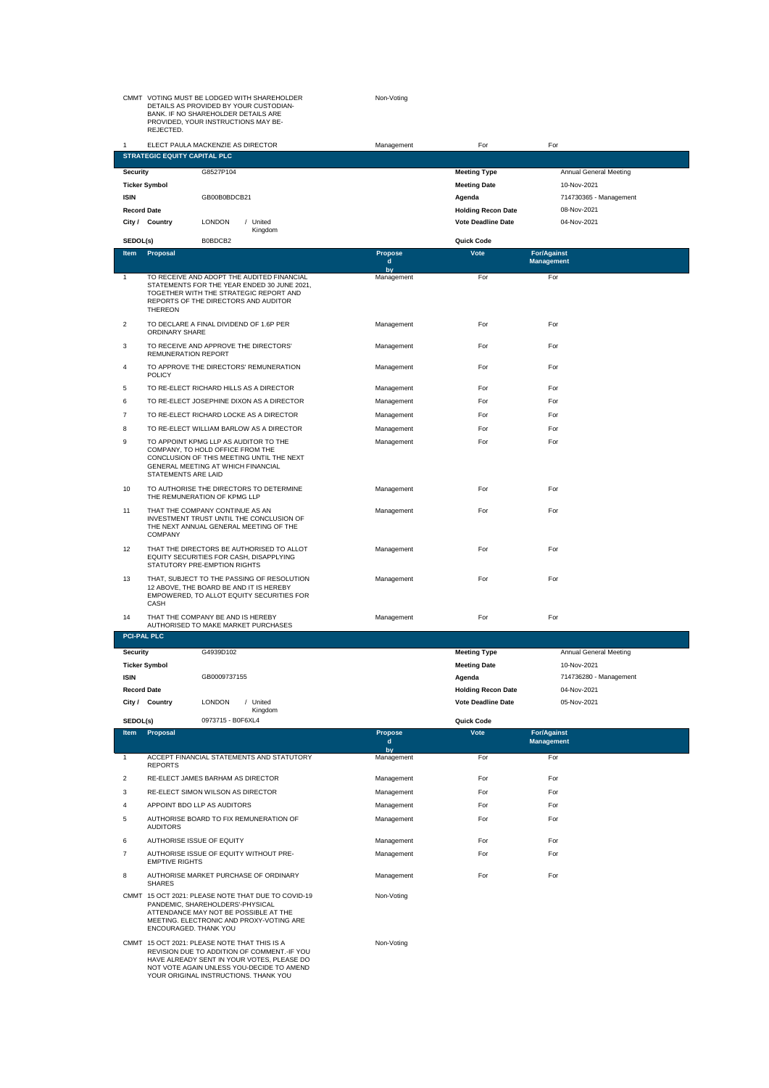|                     | REJECTED.                              | CMMT VOTING MUST BE LODGED WITH SHAREHOLDER<br>DETAILS AS PROVIDED BY YOUR CUSTODIAN-<br>BANK. IF NO SHAREHOLDER DETAILS ARE<br>PROVIDED, YOUR INSTRUCTIONS MAY BE-                                                             | Non-Voting               |                                                        |                                         |  |
|---------------------|----------------------------------------|---------------------------------------------------------------------------------------------------------------------------------------------------------------------------------------------------------------------------------|--------------------------|--------------------------------------------------------|-----------------------------------------|--|
| 1                   |                                        | ELECT PAULA MACKENZIE AS DIRECTOR                                                                                                                                                                                               | Management               | For                                                    | For                                     |  |
|                     | <b>STRATEGIC EQUITY CAPITAL PLC</b>    |                                                                                                                                                                                                                                 |                          |                                                        |                                         |  |
| <b>Security</b>     |                                        | G8527P104                                                                                                                                                                                                                       |                          | <b>Meeting Type</b>                                    | Annual General Meeting                  |  |
|                     | <b>Ticker Symbol</b>                   |                                                                                                                                                                                                                                 |                          | <b>Meeting Date</b>                                    | 10-Nov-2021                             |  |
| <b>ISIN</b>         |                                        | GB00B0BDCB21                                                                                                                                                                                                                    |                          | Agenda                                                 | 714730365 - Management                  |  |
| <b>Record Date</b>  |                                        |                                                                                                                                                                                                                                 |                          | <b>Holding Recon Date</b>                              | 08-Nov-2021                             |  |
|                     | City / Country                         | <b>LONDON</b><br>/ United<br>Kingdom                                                                                                                                                                                            |                          | <b>Vote Deadline Date</b>                              | 04-Nov-2021                             |  |
| SEDOL(s)            |                                        | B0BDCB2                                                                                                                                                                                                                         |                          | Quick Code                                             |                                         |  |
| Item                | Proposal                               |                                                                                                                                                                                                                                 | Propose<br>d             | Vote                                                   | <b>For/Against</b><br><b>Management</b> |  |
| $\mathbf{1}$        |                                        | TO RECEIVE AND ADOPT THE AUDITED FINANCIAL                                                                                                                                                                                      | by<br>Management         | For                                                    | For                                     |  |
|                     | <b>THEREON</b>                         | STATEMENTS FOR THE YEAR ENDED 30 JUNE 2021,<br>TOGETHER WITH THE STRATEGIC REPORT AND<br>REPORTS OF THE DIRECTORS AND AUDITOR                                                                                                   |                          |                                                        |                                         |  |
| $\overline{2}$      | ORDINARY SHARE                         | TO DECLARE A FINAL DIVIDEND OF 1.6P PER                                                                                                                                                                                         | Management               | For                                                    | For                                     |  |
| 3                   | <b>REMUNERATION REPORT</b>             | TO RECEIVE AND APPROVE THE DIRECTORS'                                                                                                                                                                                           | Management               | For                                                    | For                                     |  |
| 4                   | <b>POLICY</b>                          | TO APPROVE THE DIRECTORS' REMUNERATION                                                                                                                                                                                          | Management               | For                                                    | For                                     |  |
| 5                   |                                        | TO RE-ELECT RICHARD HILLS AS A DIRECTOR                                                                                                                                                                                         | Management               | For                                                    | For                                     |  |
| 6<br>$\overline{7}$ |                                        | TO RE-ELECT JOSEPHINE DIXON AS A DIRECTOR                                                                                                                                                                                       | Management               | For                                                    | For                                     |  |
|                     |                                        | TO RE-ELECT RICHARD LOCKE AS A DIRECTOR                                                                                                                                                                                         | Management               | For                                                    | For                                     |  |
| 8<br>9              |                                        | TO RE-ELECT WILLIAM BARLOW AS A DIRECTOR<br>TO APPOINT KPMG LLP AS AUDITOR TO THE                                                                                                                                               | Management<br>Management | For<br>For                                             | For<br>For                              |  |
|                     | STATEMENTS ARE LAID                    | COMPANY, TO HOLD OFFICE FROM THE<br>CONCLUSION OF THIS MEETING UNTIL THE NEXT<br>GENERAL MEETING AT WHICH FINANCIAL                                                                                                             |                          |                                                        |                                         |  |
| 10                  |                                        | TO AUTHORISE THE DIRECTORS TO DETERMINE<br>THE REMUNERATION OF KPMG LLP                                                                                                                                                         | Management               | For                                                    | For                                     |  |
| 11                  | <b>COMPANY</b>                         | THAT THE COMPANY CONTINUE AS AN<br>INVESTMENT TRUST UNTIL THE CONCLUSION OF<br>THE NEXT ANNUAL GENERAL MEETING OF THE                                                                                                           | Management               | For                                                    | For                                     |  |
| 12                  |                                        | THAT THE DIRECTORS BE AUTHORISED TO ALLOT<br>EQUITY SECURITIES FOR CASH, DISAPPLYING<br>STATUTORY PRE-EMPTION RIGHTS                                                                                                            | Management               | For                                                    | For                                     |  |
| 13                  | CASH                                   | THAT, SUBJECT TO THE PASSING OF RESOLUTION<br>12 ABOVE, THE BOARD BE AND IT IS HEREBY<br>EMPOWERED, TO ALLOT EQUITY SECURITIES FOR                                                                                              | Management               | For                                                    | For                                     |  |
| 14                  |                                        | THAT THE COMPANY BE AND IS HEREBY<br>AUTHORISED TO MAKE MARKET PURCHASES                                                                                                                                                        | Management               | For                                                    | For                                     |  |
|                     | <b>PCI-PAL PLC</b>                     |                                                                                                                                                                                                                                 |                          |                                                        |                                         |  |
| <b>Security</b>     |                                        | G4939D102                                                                                                                                                                                                                       |                          | <b>Meeting Type</b>                                    | Annual General Meeting                  |  |
|                     | <b>Ticker Symbol</b>                   |                                                                                                                                                                                                                                 |                          | <b>Meeting Date</b>                                    | 10-Nov-2021                             |  |
| <b>ISIN</b>         |                                        | GB0009737155                                                                                                                                                                                                                    |                          | Agenda                                                 | 714736280 - Management                  |  |
| <b>Record Date</b>  | City / Country                         | <b>LONDON</b><br>/ United                                                                                                                                                                                                       |                          | <b>Holding Recon Date</b><br><b>Vote Deadline Date</b> | 04-Nov-2021<br>05-Nov-2021              |  |
|                     |                                        | Kingdom                                                                                                                                                                                                                         |                          |                                                        |                                         |  |
| SEDOL(s)            |                                        | 0973715 - B0F6XL4                                                                                                                                                                                                               |                          | Quick Code                                             |                                         |  |
| <b>Item</b>         | Proposal                               |                                                                                                                                                                                                                                 | Propose<br>d             | Vote                                                   | <b>For/Against</b><br><b>Management</b> |  |
| 1                   | <b>REPORTS</b>                         | ACCEPT FINANCIAL STATEMENTS AND STATUTORY                                                                                                                                                                                       | by<br>Management         | For                                                    | For                                     |  |
| 2                   |                                        | RE-ELECT JAMES BARHAM AS DIRECTOR                                                                                                                                                                                               | Management               | For                                                    | For                                     |  |
| 3                   |                                        | RE-ELECT SIMON WILSON AS DIRECTOR                                                                                                                                                                                               | Management               | For                                                    | For                                     |  |
| 4                   |                                        | APPOINT BDO LLP AS AUDITORS                                                                                                                                                                                                     | Management               | For                                                    | For                                     |  |
| 5                   | <b>AUDITORS</b>                        | AUTHORISE BOARD TO FIX REMUNERATION OF                                                                                                                                                                                          | Management               | For                                                    | For                                     |  |
| 6                   |                                        | AUTHORISE ISSUE OF EQUITY                                                                                                                                                                                                       | Management               | For                                                    | For                                     |  |
| $\overline{7}$      |                                        | AUTHORISE ISSUE OF EQUITY WITHOUT PRE-                                                                                                                                                                                          | Management               | For                                                    | For                                     |  |
| 8                   | <b>EMPTIVE RIGHTS</b><br><b>SHARES</b> | AUTHORISE MARKET PURCHASE OF ORDINARY                                                                                                                                                                                           | Management               | For                                                    | For                                     |  |
|                     | ENCOURAGED. THANK YOU                  | CMMT 15 OCT 2021: PLEASE NOTE THAT DUE TO COVID-19<br>PANDEMIC, SHAREHOLDERS'-PHYSICAL<br>ATTENDANCE MAY NOT BE POSSIBLE AT THE<br>MEETING. ELECTRONIC AND PROXY-VOTING ARE                                                     | Non-Voting               |                                                        |                                         |  |
|                     |                                        | CMMT 15 OCT 2021: PLEASE NOTE THAT THIS IS A<br>REVISION DUE TO ADDITION OF COMMENT.-IF YOU<br>HAVE ALREADY SENT IN YOUR VOTES, PLEASE DO<br>NOT VOTE AGAIN UNLESS YOU-DECIDE TO AMEND<br>YOUR ORIGINAL INSTRUCTIONS. THANK YOU | Non-Voting               |                                                        |                                         |  |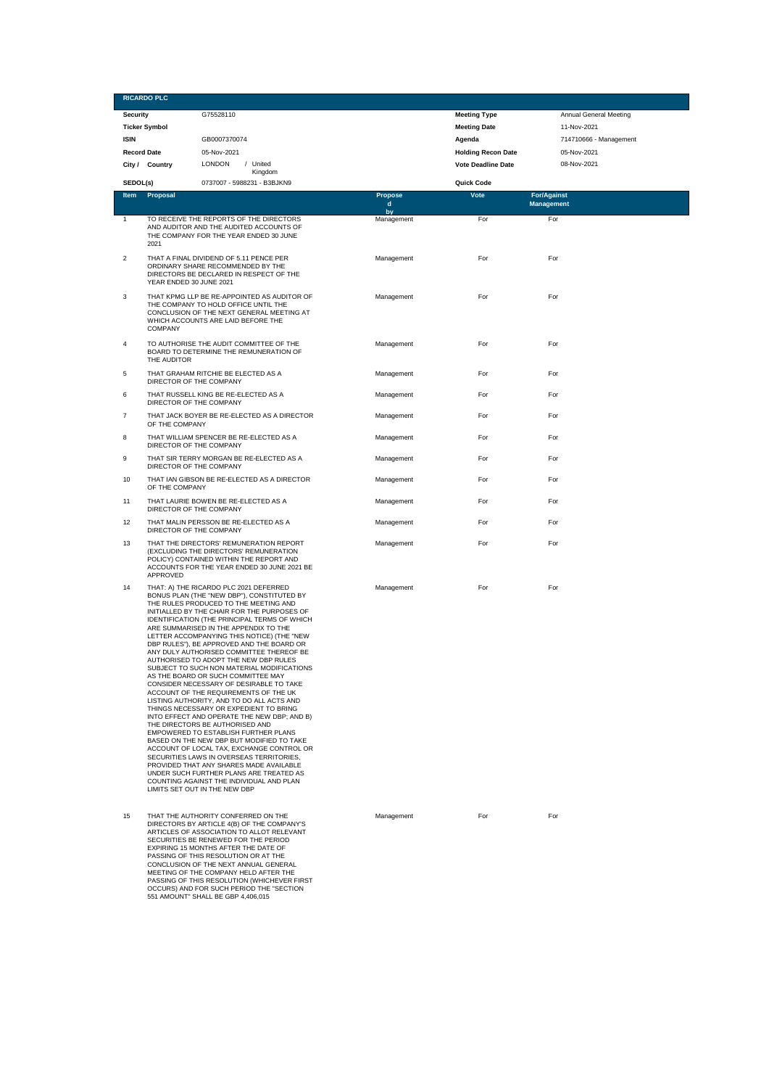|                | <b>RICARDO PLC</b>      |                                                                                                                                                                                                                                                                                                                                                                                                                                                                                                                                                                                                                                                                                                                                                                                                                                                                                                                                                                                                                                                                                                                                                         |            |                           |                        |
|----------------|-------------------------|---------------------------------------------------------------------------------------------------------------------------------------------------------------------------------------------------------------------------------------------------------------------------------------------------------------------------------------------------------------------------------------------------------------------------------------------------------------------------------------------------------------------------------------------------------------------------------------------------------------------------------------------------------------------------------------------------------------------------------------------------------------------------------------------------------------------------------------------------------------------------------------------------------------------------------------------------------------------------------------------------------------------------------------------------------------------------------------------------------------------------------------------------------|------------|---------------------------|------------------------|
| Security       |                         | G75528110                                                                                                                                                                                                                                                                                                                                                                                                                                                                                                                                                                                                                                                                                                                                                                                                                                                                                                                                                                                                                                                                                                                                               |            | Meeting Type              | Annual General Meeting |
|                | <b>Ticker Symbol</b>    |                                                                                                                                                                                                                                                                                                                                                                                                                                                                                                                                                                                                                                                                                                                                                                                                                                                                                                                                                                                                                                                                                                                                                         |            | <b>Meeting Date</b>       | 11-Nov-2021            |
| <b>ISIN</b>    |                         | GB0007370074                                                                                                                                                                                                                                                                                                                                                                                                                                                                                                                                                                                                                                                                                                                                                                                                                                                                                                                                                                                                                                                                                                                                            |            | Agenda                    | 714710666 - Management |
|                | <b>Record Date</b>      | 05-Nov-2021                                                                                                                                                                                                                                                                                                                                                                                                                                                                                                                                                                                                                                                                                                                                                                                                                                                                                                                                                                                                                                                                                                                                             |            | <b>Holding Recon Date</b> | 05-Nov-2021            |
|                | City / Country          | <b>LONDON</b><br>/ United<br>Kingdom                                                                                                                                                                                                                                                                                                                                                                                                                                                                                                                                                                                                                                                                                                                                                                                                                                                                                                                                                                                                                                                                                                                    |            | <b>Vote Deadline Date</b> | 08-Nov-2021            |
| SEDOL(s)       |                         | 0737007 - 5988231 - B3BJKN9                                                                                                                                                                                                                                                                                                                                                                                                                                                                                                                                                                                                                                                                                                                                                                                                                                                                                                                                                                                                                                                                                                                             |            | Quick Code                |                        |
| <b>Item</b>    | Proposal                |                                                                                                                                                                                                                                                                                                                                                                                                                                                                                                                                                                                                                                                                                                                                                                                                                                                                                                                                                                                                                                                                                                                                                         | Propose    | Vote                      | <b>For/Against</b>     |
|                |                         |                                                                                                                                                                                                                                                                                                                                                                                                                                                                                                                                                                                                                                                                                                                                                                                                                                                                                                                                                                                                                                                                                                                                                         | d<br>by    |                           | <b>Management</b>      |
| 1              | 2021                    | TO RECEIVE THE REPORTS OF THE DIRECTORS<br>AND AUDITOR AND THE AUDITED ACCOUNTS OF<br>THE COMPANY FOR THE YEAR ENDED 30 JUNE                                                                                                                                                                                                                                                                                                                                                                                                                                                                                                                                                                                                                                                                                                                                                                                                                                                                                                                                                                                                                            | Management | For                       | For                    |
| $\overline{2}$ | YEAR ENDED 30 JUNE 2021 | THAT A FINAL DIVIDEND OF 5.11 PENCE PER<br>ORDINARY SHARE RECOMMENDED BY THE<br>DIRECTORS BE DECLARED IN RESPECT OF THE                                                                                                                                                                                                                                                                                                                                                                                                                                                                                                                                                                                                                                                                                                                                                                                                                                                                                                                                                                                                                                 | Management | For                       | For                    |
| 3              | <b>COMPANY</b>          | THAT KPMG LLP BE RE-APPOINTED AS AUDITOR OF<br>THE COMPANY TO HOLD OFFICE UNTIL THE<br>CONCLUSION OF THE NEXT GENERAL MEETING AT<br>WHICH ACCOUNTS ARE LAID BEFORE THE                                                                                                                                                                                                                                                                                                                                                                                                                                                                                                                                                                                                                                                                                                                                                                                                                                                                                                                                                                                  | Management | For                       | For                    |
| 4              | THE AUDITOR             | TO AUTHORISE THE AUDIT COMMITTEE OF THE<br>BOARD TO DETERMINE THE REMUNERATION OF                                                                                                                                                                                                                                                                                                                                                                                                                                                                                                                                                                                                                                                                                                                                                                                                                                                                                                                                                                                                                                                                       | Management | For                       | For                    |
| 5              | DIRECTOR OF THE COMPANY | THAT GRAHAM RITCHIE BE ELECTED AS A                                                                                                                                                                                                                                                                                                                                                                                                                                                                                                                                                                                                                                                                                                                                                                                                                                                                                                                                                                                                                                                                                                                     | Management | For                       | For                    |
| 6              | DIRECTOR OF THE COMPANY | THAT RUSSELL KING BE RE-ELECTED AS A                                                                                                                                                                                                                                                                                                                                                                                                                                                                                                                                                                                                                                                                                                                                                                                                                                                                                                                                                                                                                                                                                                                    | Management | For                       | For                    |
| 7              | OF THE COMPANY          | THAT JACK BOYER BE RE-ELECTED AS A DIRECTOR                                                                                                                                                                                                                                                                                                                                                                                                                                                                                                                                                                                                                                                                                                                                                                                                                                                                                                                                                                                                                                                                                                             | Management | For                       | For                    |
| 8              | DIRECTOR OF THE COMPANY | THAT WILLIAM SPENCER BE RE-ELECTED AS A                                                                                                                                                                                                                                                                                                                                                                                                                                                                                                                                                                                                                                                                                                                                                                                                                                                                                                                                                                                                                                                                                                                 | Management | For                       | For                    |
| 9              | DIRECTOR OF THE COMPANY | THAT SIR TERRY MORGAN BE RE-ELECTED AS A                                                                                                                                                                                                                                                                                                                                                                                                                                                                                                                                                                                                                                                                                                                                                                                                                                                                                                                                                                                                                                                                                                                | Management | For                       | For                    |
| 10             | OF THE COMPANY          | THAT IAN GIBSON BE RE-ELECTED AS A DIRECTOR                                                                                                                                                                                                                                                                                                                                                                                                                                                                                                                                                                                                                                                                                                                                                                                                                                                                                                                                                                                                                                                                                                             | Management | For                       | For                    |
| 11             | DIRECTOR OF THE COMPANY | THAT LAURIE BOWEN BE RE-ELECTED AS A                                                                                                                                                                                                                                                                                                                                                                                                                                                                                                                                                                                                                                                                                                                                                                                                                                                                                                                                                                                                                                                                                                                    | Management | For                       | For                    |
| 12             | DIRECTOR OF THE COMPANY | THAT MALIN PERSSON BE RE-ELECTED AS A                                                                                                                                                                                                                                                                                                                                                                                                                                                                                                                                                                                                                                                                                                                                                                                                                                                                                                                                                                                                                                                                                                                   | Management | For                       | For                    |
| 13             | APPROVED                | THAT THE DIRECTORS' REMUNERATION REPORT<br>(EXCLUDING THE DIRECTORS' REMUNERATION<br>POLICY) CONTAINED WITHIN THE REPORT AND<br>ACCOUNTS FOR THE YEAR ENDED 30 JUNE 2021 BE                                                                                                                                                                                                                                                                                                                                                                                                                                                                                                                                                                                                                                                                                                                                                                                                                                                                                                                                                                             | Management | For                       | For                    |
| 14             |                         | THAT: A) THE RICARDO PLC 2021 DEFERRED<br>BONUS PLAN (THE "NEW DBP"), CONSTITUTED BY<br>THE RULES PRODUCED TO THE MEETING AND<br>INITIALLED BY THE CHAIR FOR THE PURPOSES OF<br>IDENTIFICATION (THE PRINCIPAL TERMS OF WHICH<br>ARE SUMMARISED IN THE APPENDIX TO THE<br>LETTER ACCOMPANYING THIS NOTICE) (THE "NEW<br>DBP RULES"), BE APPROVED AND THE BOARD OR<br>ANY DULY AUTHORISED COMMITTEE THEREOF BE<br>AUTHORISED TO ADOPT THE NEW DBP RULES<br>SUBJECT TO SUCH NON MATERIAL MODIFICATIONS<br>AS THE BOARD OR SUCH COMMITTEE MAY<br>CONSIDER NECESSARY OF DESIRABLE TO TAKE<br>ACCOUNT OF THE REQUIREMENTS OF THE UK<br>LISTING AUTHORITY, AND TO DO ALL ACTS AND<br>THINGS NECESSARY OR EXPEDIENT TO BRING<br>INTO EFFECT AND OPERATE THE NEW DBP; AND B)<br>THE DIRECTORS BE AUTHORISED AND<br>EMPOWERED TO ESTABLISH FURTHER PLANS<br>BASED ON THE NEW DBP BUT MODIFIED TO TAKE<br>ACCOUNT OF LOCAL TAX, EXCHANGE CONTROL OR<br>SECURITIES LAWS IN OVERSEAS TERRITORIES,<br>PROVIDED THAT ANY SHARES MADE AVAILABLE<br>UNDER SUCH FURTHER PLANS ARE TREATED AS<br>COUNTING AGAINST THE INDIVIDUAL AND PLAN<br>LIMITS SET OUT IN THE NEW DBP | Management | For                       | For                    |
| 15             |                         | THAT THE AUTHORITY CONFERRED ON THE<br>DIRECTORS BY ARTICLE 4(B) OF THE COMPANY'S<br>ARTICLES OF ASSOCIATION TO ALLOT RELEVANT<br>SECURITIES BE RENEWED FOR THE PERIOD<br>EXPIRING 15 MONTHS AFTER THE DATE OF<br>PASSING OF THIS RESOLUTION OR AT THE<br>CONCLUSION OF THE NEXT ANNUAL GENERAL<br>MEETING OF THE COMPANY HELD AFTER THE<br>PASSING OF THIS RESOLUTION (WHICHEVER FIRST<br>OCCURS) AND FOR SUCH PERIOD THE "SECTION<br>551 AMOUNT" SHALL BE GBP 4,406,015                                                                                                                                                                                                                                                                                                                                                                                                                                                                                                                                                                                                                                                                               | Management | For                       | For                    |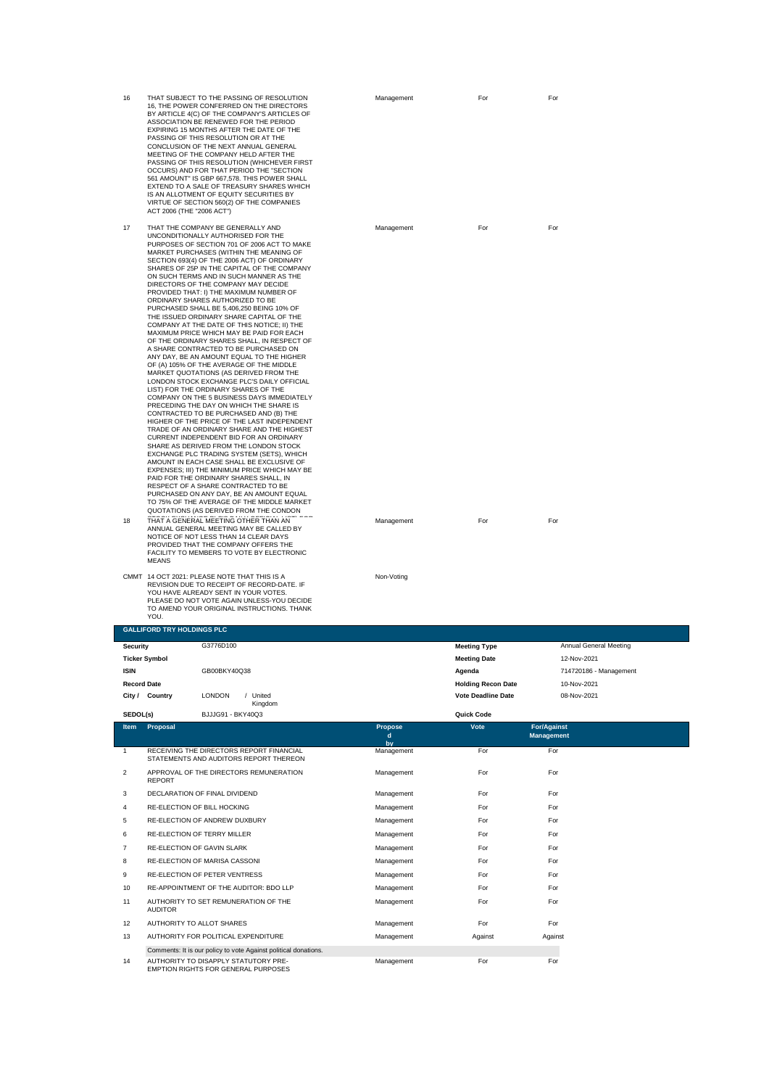| 16 | THAT SUBJECT TO THE PASSING OF RESOLUTION<br>16, THE POWER CONFERRED ON THE DIRECTORS<br>BY ARTICLE 4(C) OF THE COMPANY'S ARTICLES OF<br>ASSOCIATION BE RENEWED FOR THE PERIOD<br>EXPIRING 15 MONTHS AFTER THE DATE OF THE<br>PASSING OF THIS RESOLUTION OR AT THE<br>CONCLUSION OF THE NEXT ANNUAL GENERAL<br>MEETING OF THE COMPANY HELD AFTER THE<br>PASSING OF THIS RESOLUTION (WHICHEVER FIRST<br>OCCURS) AND FOR THAT PERIOD THE "SECTION<br>561 AMOUNT" IS GBP 667,578. THIS POWER SHALL<br>EXTEND TO A SALE OF TREASURY SHARES WHICH<br>IS AN ALLOTMENT OF EQUITY SECURITIES BY<br>VIRTUE OF SECTION 560(2) OF THE COMPANIES<br>ACT 2006 (THE "2006 ACT")                                                                                                                                                                                                                                                                                                                                                                                                                                                                                                                                                                                                                                                                                                                                                                                                                                                                                                                                                          | Management | For | For |
|----|----------------------------------------------------------------------------------------------------------------------------------------------------------------------------------------------------------------------------------------------------------------------------------------------------------------------------------------------------------------------------------------------------------------------------------------------------------------------------------------------------------------------------------------------------------------------------------------------------------------------------------------------------------------------------------------------------------------------------------------------------------------------------------------------------------------------------------------------------------------------------------------------------------------------------------------------------------------------------------------------------------------------------------------------------------------------------------------------------------------------------------------------------------------------------------------------------------------------------------------------------------------------------------------------------------------------------------------------------------------------------------------------------------------------------------------------------------------------------------------------------------------------------------------------------------------------------------------------------------------------------|------------|-----|-----|
| 17 | THAT THE COMPANY BE GENERALLY AND<br>UNCONDITIONALLY AUTHORISED FOR THE<br>PURPOSES OF SECTION 701 OF 2006 ACT TO MAKE<br>MARKET PURCHASES (WITHIN THE MEANING OF<br>SECTION 693(4) OF THE 2006 ACT) OF ORDINARY<br>SHARES OF 25P IN THE CAPITAL OF THE COMPANY<br>ON SUCH TERMS AND IN SUCH MANNER AS THE<br>DIRECTORS OF THE COMPANY MAY DECIDE<br>PROVIDED THAT: I) THE MAXIMUM NUMBER OF<br>ORDINARY SHARES AUTHORIZED TO BE<br>PURCHASED SHALL BE 5,406,250 BEING 10% OF<br>THE ISSUED ORDINARY SHARE CAPITAL OF THE<br>COMPANY AT THE DATE OF THIS NOTICE; II) THE<br>MAXIMUM PRICE WHICH MAY BE PAID FOR EACH<br>OF THE ORDINARY SHARES SHALL, IN RESPECT OF<br>A SHARE CONTRACTED TO BE PURCHASED ON<br>ANY DAY, BE AN AMOUNT EQUAL TO THE HIGHER<br>OF (A) 105% OF THE AVERAGE OF THE MIDDLE<br>MARKET QUOTATIONS (AS DERIVED FROM THE<br>LONDON STOCK EXCHANGE PLC'S DAILY OFFICIAL<br>LIST) FOR THE ORDINARY SHARES OF THE<br>COMPANY ON THE 5 BUSINESS DAYS IMMEDIATELY<br>PRECEDING THE DAY ON WHICH THE SHARE IS<br>CONTRACTED TO BE PURCHASED AND (B) THE<br>HIGHER OF THE PRICE OF THE LAST INDEPENDENT<br>TRADE OF AN ORDINARY SHARE AND THE HIGHEST<br>CURRENT INDEPENDENT BID FOR AN ORDINARY<br>SHARE AS DERIVED FROM THE LONDON STOCK<br>EXCHANGE PLC TRADING SYSTEM (SETS), WHICH<br>AMOUNT IN EACH CASE SHALL BE EXCLUSIVE OF<br>EXPENSES; III) THE MINIMUM PRICE WHICH MAY BE<br>PAID FOR THE ORDINARY SHARES SHALL, IN<br>RESPECT OF A SHARE CONTRACTED TO BE<br>PURCHASED ON ANY DAY, BE AN AMOUNT EQUAL<br>TO 75% OF THE AVERAGE OF THE MIDDLE MARKET<br>QUOTATIONS (AS DERIVED FROM THE CONDON | Management | For | For |
| 18 | THAT A GENERAL MEETING OTHER THAN AN<br>ANNUAL GENERAL MEETING MAY BE CALLED BY<br>NOTICE OF NOT LESS THAN 14 CLEAR DAYS<br>PROVIDED THAT THE COMPANY OFFERS THE<br>FACILITY TO MEMBERS TO VOTE BY ELECTRONIC<br><b>MEANS</b>                                                                                                                                                                                                                                                                                                                                                                                                                                                                                                                                                                                                                                                                                                                                                                                                                                                                                                                                                                                                                                                                                                                                                                                                                                                                                                                                                                                              | Management | For | For |

CMMT 14 OCT 2021: PLEASE NOTE THAT THIS IS A<br>REVISION DUE TO RECEIPT OF RECORD-DATE. IF<br>YOU HAVE ALREADY SENT IN YOUR VOTES.<br>PLEASE DO NOT VOTE AGAIN UNLESS-YOU DECIDE<br>TO AMEND YOUR ORIGINAL INSTRUCTIONS. THANK<br>YOU. Non-Voting

| <b>GALLIFORD TRY HOLDINGS PLC</b> |                                    |                           |                           |                                         |
|-----------------------------------|------------------------------------|---------------------------|---------------------------|-----------------------------------------|
| Security                          | G3776D100                          |                           | <b>Meeting Type</b>       | Annual General Meeting                  |
| <b>Ticker Symbol</b>              |                                    |                           | <b>Meeting Date</b>       | 12-Nov-2021                             |
| ISIN                              | GB00BKY40Q38                       |                           | Agenda                    | 714720186 - Management                  |
| <b>Record Date</b>                |                                    |                           | <b>Holding Recon Date</b> | 10-Nov-2021                             |
| Country<br>City /                 | <b>LONDON</b><br>United<br>Kingdom |                           | <b>Vote Deadline Date</b> | 08-Nov-2021                             |
| SEDOL(s)                          | BJJJG91 - BKY40Q3                  |                           | Quick Code                |                                         |
| Proposal<br><b>Item</b>           |                                    | <b>Propose</b><br>d<br>bv | Vote                      | <b>For/Against</b><br><b>Management</b> |

|                |                                                                                    | d<br>bv    |         | <b>Management</b> |
|----------------|------------------------------------------------------------------------------------|------------|---------|-------------------|
| $\overline{1}$ | RECEIVING THE DIRECTORS REPORT FINANCIAL<br>STATEMENTS AND AUDITORS REPORT THEREON | Management | For     | For               |
| $\overline{2}$ | APPROVAL OF THE DIRECTORS REMUNERATION<br><b>REPORT</b>                            | Management | For     | For               |
| 3              | DECLARATION OF FINAL DIVIDEND                                                      | Management | For     | For               |
| 4              | <b>RE-ELECTION OF BILL HOCKING</b>                                                 | Management | For     | For               |
| 5              | RE-ELECTION OF ANDREW DUXBURY                                                      | Management | For     | For               |
| 6              | <b>RE-ELECTION OF TERRY MILLER</b>                                                 | Management | For     | For               |
| $\overline{7}$ | <b>RE-ELECTION OF GAVIN SLARK</b>                                                  | Management | For     | For               |
| 8              | <b>RE-ELECTION OF MARISA CASSONI</b>                                               | Management | For     | For               |
| 9              | RE-ELECTION OF PETER VENTRESS                                                      | Management | For     | For               |
| 10             | RE-APPOINTMENT OF THE AUDITOR: BDO LLP                                             | Management | For     | For               |
| 11             | AUTHORITY TO SET REMUNERATION OF THE<br><b>AUDITOR</b>                             | Management | For     | For               |
| 12             | AUTHORITY TO ALLOT SHARES                                                          | Management | For     | For               |
| 13             | AUTHORITY FOR POLITICAL EXPENDITURE                                                | Management | Against | Against           |
|                | Comments: It is our policy to vote Against political donations.                    |            |         |                   |
| 14             | AUTHORITY TO DISAPPLY STATUTORY PRE-<br><b>EMPTION RIGHTS FOR GENERAL PURPOSES</b> | Management | For     | For               |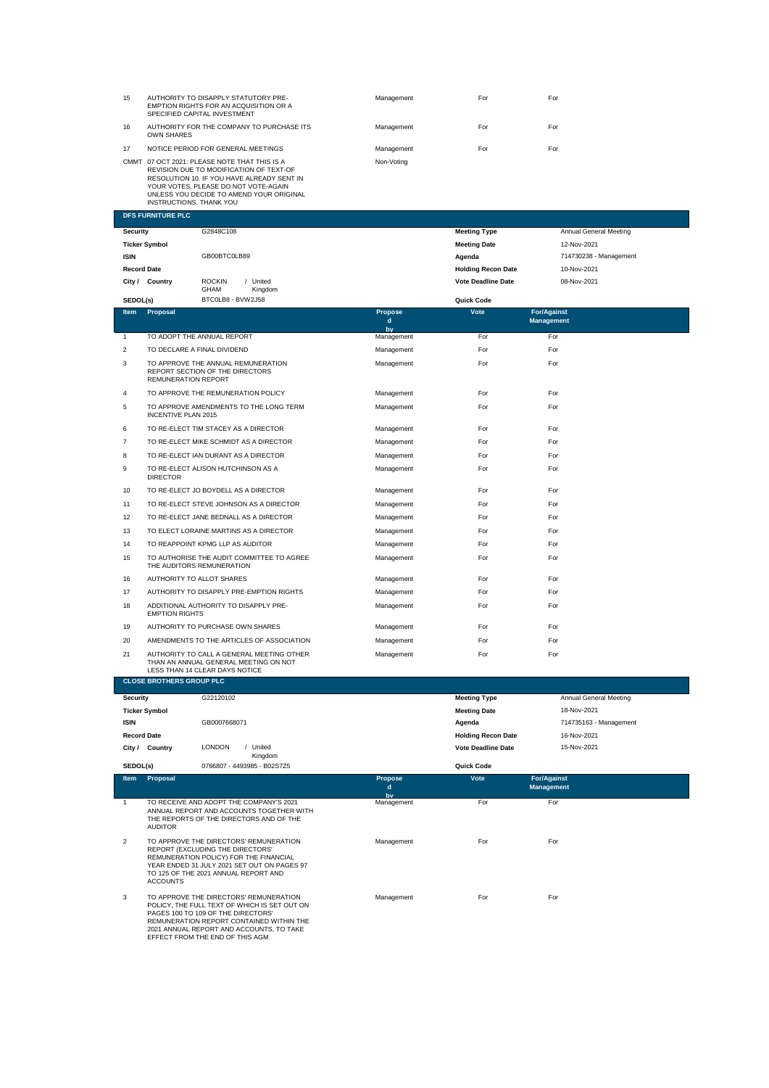| 15 | AUTHORITY TO DISAPPLY STATUTORY PRE-<br>EMPTION RIGHTS FOR AN ACQUISITION OR A<br>SPECIFIED CAPITAL INVESTMENT | Management | For | For |
|----|----------------------------------------------------------------------------------------------------------------|------------|-----|-----|
| 16 | AUTHORITY FOR THE COMPANY TO PURCHASE ITS<br><b>OWN SHARES</b>                                                 | Management | For | For |
| 17 | NOTICE PERIOD FOR GENERAL MEETINGS                                                                             | Management | For | For |
|    | CMMT 07 OCT 2021: PLEASE NOTE THAT THIS IS A                                                                   | Non-Voting |     |     |

07 OCT 2021: PLEASE NOTE THAT THIS IS A<br>REVISION DUE TO MODIFICATION OF TEXT-OF<br>RESOLUTION 10. IF YOU HAVE ALREADY SENT IN<br>YOUR VOTES, PLEASE DO NOT VOTE-AGAIN<br>UNLESS YOU DECIDE TO AMEND YOUR ORIGINAL<br>INSTRUCTIONS. THANK Y

|                         | <b>DFS FURNITURE PLC</b>   |                                                                                                                      |                                     |                           |                                         |
|-------------------------|----------------------------|----------------------------------------------------------------------------------------------------------------------|-------------------------------------|---------------------------|-----------------------------------------|
| Security                |                            | G2848C108                                                                                                            |                                     | <b>Meeting Type</b>       | <b>Annual General Meeting</b>           |
|                         | <b>Ticker Symbol</b>       |                                                                                                                      |                                     | <b>Meeting Date</b>       | 12-Nov-2021                             |
| <b>ISIN</b>             |                            | GB00BTC0LB89                                                                                                         |                                     | Agenda                    | 714730238 - Management                  |
|                         | <b>Record Date</b>         |                                                                                                                      |                                     | <b>Holding Recon Date</b> | 10-Nov-2021                             |
|                         | City / Country             | / United<br><b>ROCKIN</b><br><b>GHAM</b><br>Kingdom                                                                  |                                     | <b>Vote Deadline Date</b> | 08-Nov-2021                             |
| SEDOL(s)                |                            | BTC0LB8 - BVW2J58                                                                                                    |                                     | Quick Code                |                                         |
| <b>Item</b>             | Proposal                   |                                                                                                                      | <b>Propose</b><br>$\mathbf d$<br>bv | Vote                      | <b>For/Against</b><br><b>Management</b> |
| 1                       |                            | TO ADOPT THE ANNUAL REPORT                                                                                           | Management                          | For                       | For                                     |
| $\overline{\mathbf{c}}$ |                            | TO DECLARE A FINAL DIVIDEND                                                                                          | Management                          | For                       | For                                     |
| 3                       | <b>REMUNERATION REPORT</b> | TO APPROVE THE ANNUAL REMUNERATION<br>REPORT SECTION OF THE DIRECTORS                                                | Management                          | For                       | For                                     |
| 4                       |                            | TO APPROVE THE REMUNERATION POLICY                                                                                   | Management                          | For                       | For                                     |
| 5                       | <b>INCENTIVE PLAN 2015</b> | TO APPROVE AMENDMENTS TO THE LONG TERM                                                                               | Management                          | For                       | For                                     |
| 6                       |                            | TO RE-ELECT TIM STACEY AS A DIRECTOR                                                                                 | Management                          | For                       | For                                     |
| 7                       |                            | TO RE-ELECT MIKE SCHMIDT AS A DIRECTOR                                                                               | Management                          | For                       | For                                     |
| 8                       |                            | TO RE-ELECT IAN DURANT AS A DIRECTOR                                                                                 | Management                          | For                       | For                                     |
| 9                       | <b>DIRECTOR</b>            | TO RE-ELECT ALISON HUTCHINSON AS A                                                                                   | Management                          | For                       | For                                     |
| 10                      |                            | TO RE-ELECT JO BOYDELL AS A DIRECTOR                                                                                 | Management                          | For                       | For                                     |
| 11                      |                            | TO RE-ELECT STEVE JOHNSON AS A DIRECTOR                                                                              | Management                          | For                       | For                                     |
| 12                      |                            | TO RE-ELECT JANE BEDNALL AS A DIRECTOR                                                                               | Management                          | For                       | For                                     |
| 13                      |                            | TO ELECT LORAINE MARTINS AS A DIRECTOR                                                                               | Management                          | For                       | For                                     |
| 14                      |                            | TO REAPPOINT KPMG LLP AS AUDITOR                                                                                     | Management                          | For                       | For                                     |
| 15                      |                            | TO AUTHORISE THE AUDIT COMMITTEE TO AGREE<br>THE AUDITORS REMUNERATION                                               | Management                          | For                       | For                                     |
| 16                      |                            | AUTHORITY TO ALLOT SHARES                                                                                            | Management                          | For                       | For                                     |
| 17                      |                            | AUTHORITY TO DISAPPLY PRE-EMPTION RIGHTS                                                                             | Management                          | For                       | For                                     |
| 18                      | <b>EMPTION RIGHTS</b>      | ADDITIONAL AUTHORITY TO DISAPPLY PRE-                                                                                | Management                          | For                       | For                                     |
| 19                      |                            | AUTHORITY TO PURCHASE OWN SHARES                                                                                     | Management                          | For                       | For                                     |
| 20                      |                            | AMENDMENTS TO THE ARTICLES OF ASSOCIATION                                                                            | Management                          | For                       | For                                     |
| 21                      |                            | AUTHORITY TO CALL A GENERAL MEETING OTHER<br>THAN AN ANNUAL GENERAL MEETING ON NOT<br>LESS THAN 14 CLEAR DAYS NOTICE | Management                          | For                       | For                                     |

**City / Country** LONDON / United<br>Kingdom **Item Propose d by** 1 TO RECEIVE AND ADOPT THE COMPANY'S 2021<br>ANNUAL REPORT AND ACCOUNTS TOGETHER WITH AND ANNUAL REPORT AND ACCOUNTS TOGETHER WITH TO APPROVE THE DIRECTORS' REMUNERATION<br>REPORT (EXCLUDING THE DIRECTORS'<br>REMUNERATION POLICY) FOR THE FINANCIAL<br>YEAR ENDED 31 JULY 2021 SET OUT ON PAGES 97<br>TO 125 OF THE 2021 ANNUAL REPORT AND<br>ACCOUNTS 3 TO APPROVE THE DIRECTORS' REMUNERATION THE MANAGEMENT MANAGEMENT ROLL FOR Annual General Meeting 714735163 - Management 18-Nov-2021 **CLOSE BROTHERS GROUP PLC Security Ticker Symbol ISIN** G22120102 **Vote Deadline Date Holding Recon Date Meeting Type Meeting Date** GB0007668071 **Agenda** 0766807 - 4493985 - B02S7Z5 **SEDOL(s) Quick Code** 16-Nov-2021 15-Nov-2021 **Proposal Vote For/Against Management Record Date** THE REPORTS OF THE DIRECTORS AND OF THE AUDITOR Management **For** For Follows Management For For For POLICY, THE FULL TEXT OF WHICH IS SET OUT ON<br>PAGES 100 TO 109 OF THE DIRECTORS'<br>REMUNERATION REPORT AND ACCOUNTS, TO TAKE<br>2021 ANNUAL REPORT AND OF THIS AGM<br>EFFECT FROM THE END OF THIS AGM Management **For** For **For**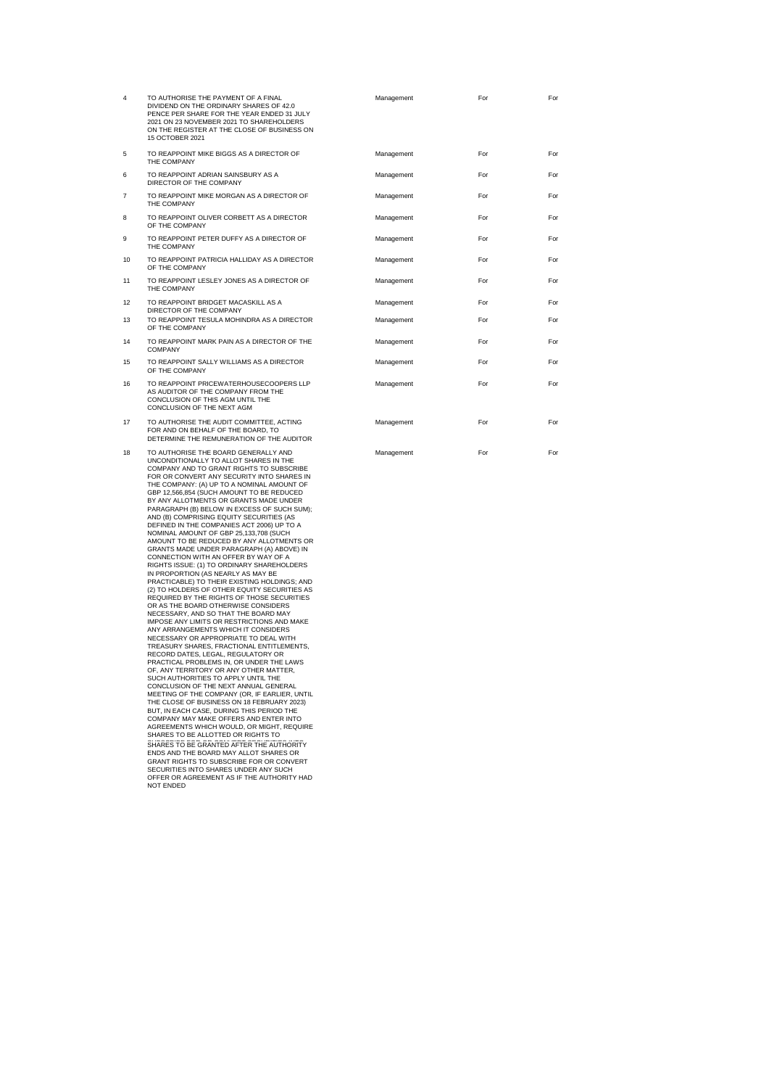| 4               | TO AUTHORISE THE PAYMENT OF A FINAL<br>DIVIDEND ON THE ORDINARY SHARES OF 42.0<br>PENCE PER SHARE FOR THE YEAR ENDED 31 JULY<br>2021 ON 23 NOVEMBER 2021 TO SHAREHOLDERS<br>ON THE REGISTER AT THE CLOSE OF BUSINESS ON<br>15 OCTOBER 2021 | Management | For | For |
|-----------------|--------------------------------------------------------------------------------------------------------------------------------------------------------------------------------------------------------------------------------------------|------------|-----|-----|
| 5               | TO REAPPOINT MIKE BIGGS AS A DIRECTOR OF<br>THE COMPANY                                                                                                                                                                                    | Management | For | For |
| 6               | TO REAPPOINT ADRIAN SAINSBURY AS A<br>DIRECTOR OF THE COMPANY                                                                                                                                                                              | Management | For | For |
| $\overline{7}$  | TO REAPPOINT MIKE MORGAN AS A DIRECTOR OF<br>THE COMPANY                                                                                                                                                                                   | Management | For | For |
| 8               | TO REAPPOINT OLIVER CORBETT AS A DIRECTOR<br>OF THE COMPANY                                                                                                                                                                                | Management | For | For |
| 9               | TO REAPPOINT PETER DUFFY AS A DIRECTOR OF<br>THE COMPANY                                                                                                                                                                                   | Management | For | For |
| 10 <sup>1</sup> | TO REAPPOINT PATRICIA HALLIDAY AS A DIRECTOR<br>OF THE COMPANY                                                                                                                                                                             | Management | For | For |
| 11              | TO REAPPOINT LESLEY JONES AS A DIRECTOR OF<br>THE COMPANY                                                                                                                                                                                  | Management | For | For |
| 12              | TO REAPPOINT BRIDGET MACASKILL AS A<br>DIRECTOR OF THE COMPANY                                                                                                                                                                             | Management | For | For |
| 13              | TO REAPPOINT TESULA MOHINDRA AS A DIRECTOR<br>OF THE COMPANY                                                                                                                                                                               | Management | For | For |
| 14              | TO REAPPOINT MARK PAIN AS A DIRECTOR OF THE<br>COMPANY                                                                                                                                                                                     | Management | For | For |
| 15              | TO REAPPOINT SALLY WILLIAMS AS A DIRECTOR<br>OF THE COMPANY                                                                                                                                                                                | Management | For | For |
| 16              | TO REAPPOINT PRICEWATERHOUSECOOPERS LLP<br>AS AUDITOR OF THE COMPANY FROM THE<br>CONCLUSION OF THIS AGM UNTIL THE<br>CONCLUSION OF THE NEXT AGM                                                                                            | Management | For | For |
| 17              | TO AUTHORISE THE AUDIT COMMITTEE, ACTING<br>FOR AND ON BEHALF OF THE BOARD. TO<br>DETERMINE THE REMUNERATION OF THE AUDITOR                                                                                                                | Management | For | For |
| 18              | TO AUTHORISE THE BOARD GENERALLY AND                                                                                                                                                                                                       | Management | For | For |

TO AUTHORISE THE BOARD GENERALLY AND<br>UNCONDITIONALLY TO ALLOT SHARES IN THE<br>COMPANY AND TO GRANT RIGHTS TO SUBSCRIBE<br>FOR OR CONVERT ANY SECURITY INTO SHARES IN<br>THE COMPANY: (A) UP TO A NOMINAL AMOUNT OF<br>GBP 12,566,854 (SUC DEFINED IN THE COMPANIES ACT 2006) UP TO A<br>NOMINAL AMOUNT OF GBP 25,133,708 (SUCH<br>AMOUNT TO BE REDUCED BY ANY ALLOTMENTS OR<br>GRANTS MADE UNDER PARAGRAPH (A) ABOVE) IN CONNECTION WITH AN OFFER BY WAY OF A<br>RIGHTS ISSUE: (1) TO ORDINARY SHAREHOLDERS<br>IN PROPORTION (AS NEARLY AS MAY BE<br>PRACTICABLE) TO THEIR EXISTING HOLDINGS; AND<br>(2) TO HOLDERS OF OTHER EQUITY SECURITIES AS<br>REQUIRED BY THE R ANY ARRANGEMENTS WHICH IT CONSIDERS<br>ANY ARRANGEMENTS WHICH IT CONSIDERS<br>TREASURY SHARES, FRACTIONAL ENTITLEMENTS,<br>RECORD DATES, LEGAL, REGULATORY OR<br>PRACTICAL PROBLEMS IN, OR UNDER THE LAWS<br>OF, ANY TERRITORY OR ANY OTHER M AGREEMENTS WHICH WOULD, OR MIGHT, REQUIRE<br>SHARES TO BE ALLOTTED OR RIGHTS TO<br>SHARES TO BE GRANTED AFTER THE AUTHORITY ENDS AND THE BOARD MAY ALLOT SHARES OR<br>GRANT RIGHTS TO SUBSCRIBE FOR OR CONVERT<br>SECURITIES INTO SHARES UNDER ANY SUCH<br>OFFER OR AGREEMENT AS IF THE AUTHORITY HAD<br>NOT ENDED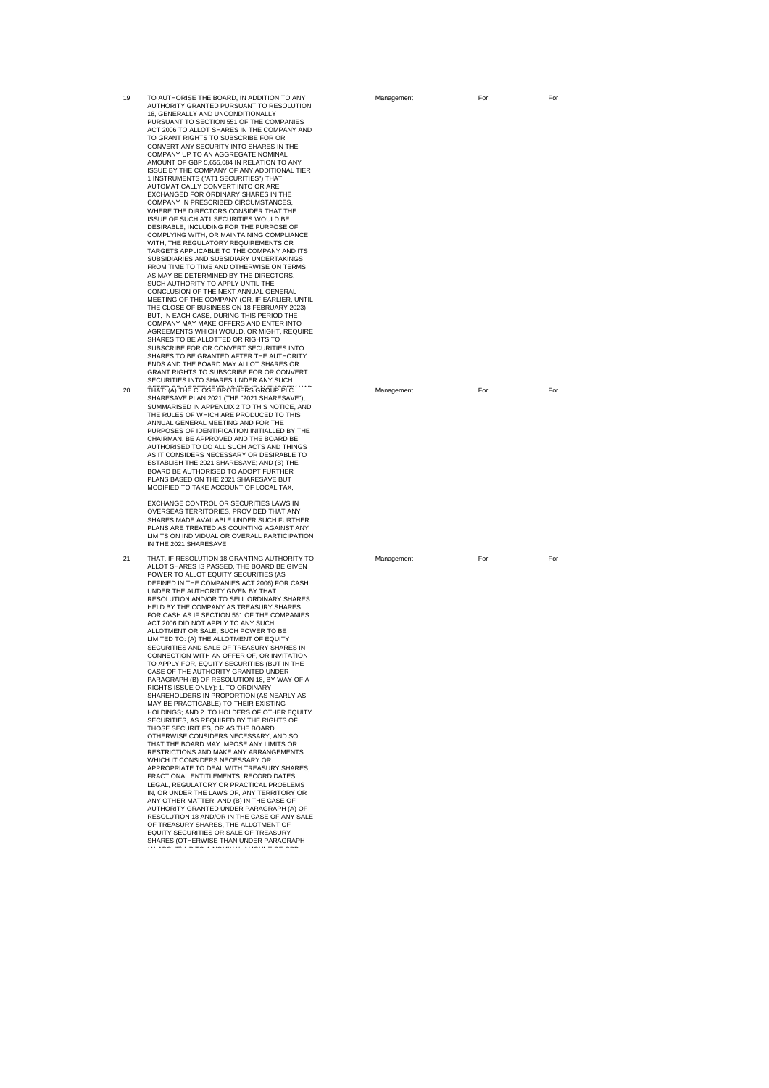- 19 For TO AUTHORISE THE BOARD, IN ADDITION TO ANY AUTHORITY GRANTED PURSUANT TO RESOLUTION 18, GENERALLY AND UNCONDITIONALLY PURSUANT TO SECTION 551 OF THE COMPANIES ACT 2006 TO ALLOT SHARES IN THE COMPANY AND TO GRANT RIGHTS TO SUBSCRIBE FOR OR CONVERT ANY SECURITY INTO SHARES IN THE COMPANY UP TO AN AGGREGATE NOMINAL<br>AMOUNT OF GBP 5,655,084 IN RELATION TO ANY<br>ISSUE BY THE COMPANY OF ANY ADDITIONAL TIER<br>1 INSTRUMENTS ("AT1 SECURITIES") THAT<br>AUTOMATICALLY CONVERT INTO OR ARE EXCHANGED FOR ORDINARY SHARES IN THE COMPANY IN PRESCRIBED CIRCUMSTANCES, WHERE THE DIRECTORS CONSIDER THAT THE ISSUE OF SUCH AT1 SECURITIES WOULD BE DESIRABLE, INCLUDING FOR THE PURPOSE OF<br>COMPLYING WITH, OR MAINTAINING COMPLIANCE<br>WITH, THE REGULATORY REQUIREMENTS OR<br>WITH, THE REGULATORY REQUIREMENTY AND ITS SUBSIDIARIES AND SUBSIDIARY UNDERTAKINGS FROM TIME TO TIME AND OTHERWISE ON TERMS AS MAY BE DETERMINED BY THE DIRECTORS, SUCH AUTHORITY TO APPLY UNTIL THE CONCLUSION OF THE NEXT ANNUAL GENERAL MEETING OF THE COMPANY (OR, IF EARLIER, UNTIL<br>THE CLOSE OF BUSINESS ON 18 FEBRUARY 2023)<br>BUT, IN EACH CASE, DURING THIS PERIOD THE<br>COMPANY MAY MAKE OFFERS AND ENTER INTO AGREEMENTS WHICH WOULD, OR MIGHT, REQUIRE SHARES TO BE ALLOTTED OR RIGHTS TO SUBSCRIBE FOR OR CONVERT SECURITIES INTO SHARES TO BE GRANTED AFTER THE AUTHORITY ENDS AND THE BOARD MAY ALLOT SHARES OR GRANT RIGHTS TO SUBSCRIBE FOR OR CONVERT SECURITIES INTO SHARES UNDER ANY SUCH
- 20 THAT: (A) THE CLOSE BROTHERS GROUP PLC \*\*\*\*\*<br>SHARESAVE PLAN 2021 (THE "2021 SHARESAVE"),<br>SUMMARISED IN APPENDIX 2 TO THIS NOTICE, AND THE RULES OF WHICH ARE PRODUCED TO THIS<br>ANNIJAL GENERAL MEETING AND FOR THE ANNUAL GENERAL MEETING AND FOR THE<br>PURPOSES OF IDENTIFICATION INITIALLED BY THE<br>CHAIRMAN, BE APPROVED AND THE BOARD BE<br>AUTHORISED TO DO ALL SUCH ACTS AND THINGS AS IT CONSIDERS NECESSARY OR DESIRABLE TO ESTABLISH THE 2021 SHARESAVE; AND (B) THE BOARD BE AUTHORISED TO ADOPT FURTHER PLANS BASED ON THE 2021 SHARESAVE BUT MODIFIED TO TAKE ACCOUNT OF LOCAL TAX,

EXCHANGE CONTROL OR SECURITIES LAWS IN OVERSEAS TERRITORIES, PROVIDED THAT ANY SHARES MADE AVAILABLE UNDER SUCH FURTHER PLANS ARE TREATED AS COUNTING AGAINST ANY LIMITS ON INDIVIDUAL OR OVERALL PARTICIPATION IN THE 2021 SHARESAVE

21 THAT, IF RESOLUTION 18 GRANTING AUTHORITY TO **A COMITATION Management** For ALLOT SHARES IS PASSED, THE BOARD BE GIVEN<br>POWER TO ALLOT EQUITY SECURITIES (AS<br>DEFINED IN THE COMPANIES ACT 2006) FOR CASH<br>NDER THE AUTHORITY GIVEN BY THAT<br>RESOLUTION AND/OR TO SELL ORDINARY SHARES<br>HELD BY THE COMPANY AS FOR CASH AS IF SECTION 561 OF THE COMPANIES ACT 2006 DID NOT APPLY TO ANY SUCH ALLOTMENT OR SALE, SUCH POWER TO BE LIMITED TO: (A) THE ALLOTMENT OF EQUITY<br>SECURITIES AND SALE OF TREASURY SHARES IN<br>CONNECTION WITH AN OFFER OF, OR INVITATION<br>TO APPLY FOR, EQUITY SECURITIES (BUT IN THE<br>CASE OF THE AUTHORITY GRANTED UNDER<br>PARAGRAPH (B) OF THOSE SECURITIES, OR AS THE BOARD OTHERWISE CONSIDERS NECESSARY, AND SO THAT THE BOARD MAY IMPOSE ANY LIMITS OR RESTRICTIONS AND MAKE ANY ARRANGEMENTS WHICH IT CONSIDERS NECESSARY OR APPROPRIATE TO DEAL WITH TREASURY SHARES, FRACTIONAL ENTITLEMENTS, RECORD DATES, LEGAL, REGULATORY OR PRACTICAL PROBLEMS IN, OR UNDER THE LAWS OF, ANY TERRITORY OR<br>ANY OTHER MATTER; AND (B) IN THE CASE OF<br>AUTHORITY GRANTED UNDER PARAGRAPH (A) OF<br>RESOLUTION 18 AND/OR IN THE ALLOTMENT OF<br>OF TREASURY SHARES, THE ALLOTMENT OF EQUITY SECURITIES OR SALE OF TREASURY SHARES (OTHERWISE THAN UNDER PARAGRAPH

(A) ABOVE) UP TO A NOMINAL AMOUNT OF GBP

Management For For For

Management For For For

Management For For For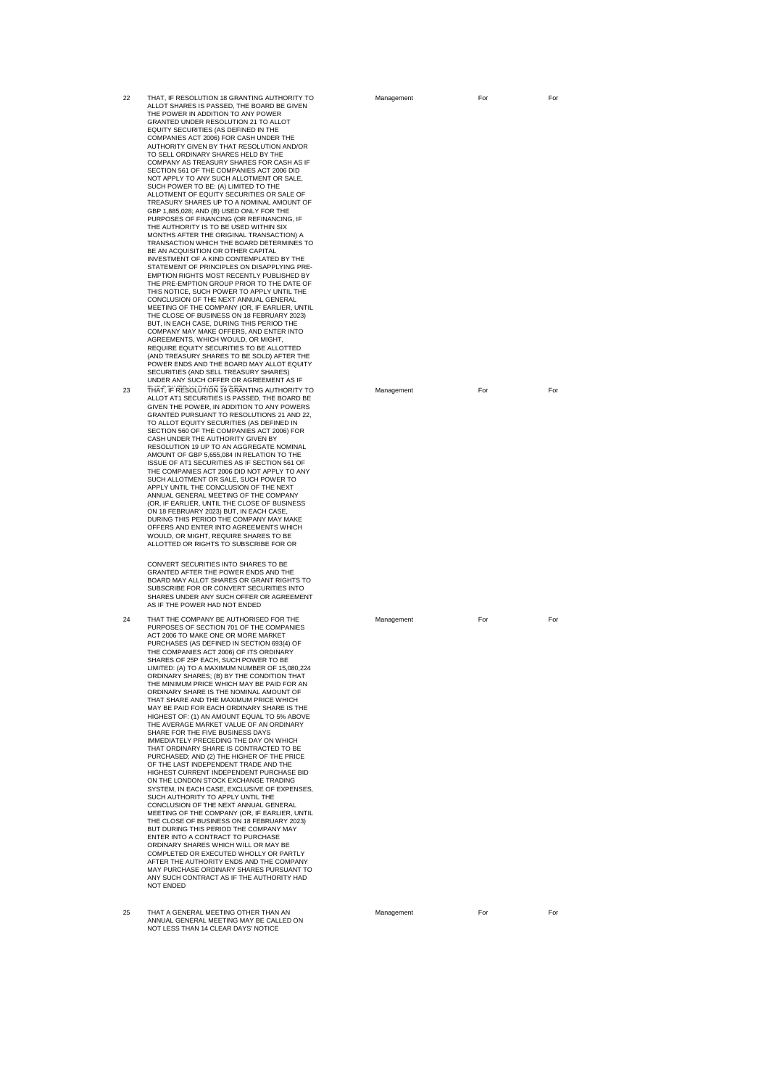- 22 For THAT, IF RESOLUTION 18 GRANTING AUTHORITY TO ALLOT SHARES IS PASSED, THE BOARD BE GIVEN THE POWER IN ADDITION TO ANY POWER 23 For THE POWER HAD NOT ENDED THAT, IF RESOLUTION 19 GRANTING AUTHORITY TO ALLOT AT1 SECURITIES IS PASSED, THE BOARD BE GIVEN THE POWER, IN ADDITION TO ANY POWERS GRANTED UNDER RESOLUTION 21 TO ALLOT EQUITY SECURITIES (AS DEFINED IN THE COMPANIES ACT 2006) FOR CASH UNDER THE AUTHORITY GIVEN BY THAT RESOLUTION AND/OR TO SELL ORDINARY SHARES HELD BY THE<br>COMPANY AS TREASURY SHARES FOR CASH AS IF<br>SECTION 561 OF THE COMPANIES ACT 2006 DID<br>NOT APPLY TO ANY SUCH ALLOTMENT OR SALE,<br>SUCH POWER TO BE: (A) LIMITED TO THE<br>ALLOTMENT OF EQUITY SECU TREASURY SHARES UP TO A NOMINAL AMOUNT OF GBP 1,885,028; AND (B) USED ONLY FOR THE PURPOSES OF FINANCING (OR REFINANCING, IF THE AUTHORITY IS TO BE USED WITHIN SIX<br>MONTHS AFTER THE ORIGINAL TRANSACTION) A<br>TRANSACTION WHICH THE BOARD DETERMINES TO<br>BE AN ACQUISITION OR OTHER CAPITAL INVESTMENT OF A KIND CONTEMPLATED BY THE<br>INVESTMENT OF PRINCIPI ES ON DISAPPI YING PRE-STATEMENT OF PRINCIPLES ON DISAPPLYING PRE-<br>EMPTION RIGHTS MOST RECENTLY PUBLISHED BY<br>THE PRE-EMPTION GROUP PRIOR TO THE DATE OF<br>THIS NOTICE, SUCH POWER TO APPLY UNTIL THE CONCLUSION OF THE NEXT ANNUAL GENERAL<br>MEETING OF THE COMPANY (OR, IF EARLIER, UNTIL<br>THE CLOSE OF BUSINESS ON 18 FEBRUARY 2023)<br>BUT, IN EACH CASE, DURING THIS PERIOD THE<br>COMPANY MAY MAKE OFFERS, AND ENTER INTO AGREEMENTS, WHICH WOULD, OR MIGHT, REQUIRE EQUITY SECURITIES TO BE ALLOTTED (AND TREASURY SHARES TO BE SOLD) AFTER THE POWER ENDS AND THE BOARD MAY ALLOT EQUITY SECURITIES (AND SELL TREASURY SHARES) UNDER ANY SUCH OFFER OR AGREEMENT AS IF
	- GRANTED PURSUANT TO RESOLUTIONS 21 AND 22, TO ALLOT EQUITY SECURITIES (AS DEFINED IN<br>SECTION 560 OF THE COMPANIES ACT 2006) FOR<br>CASH UNDER THE AUTHORITY GIVEN BY<br>RESOLUTION 19 UP TO AN AGGREGATION TO THE<br>AMOUNT OF GBP 5,655,084 IN RELATION TO THE ISSUE OF AT1 SECURITIES AS IF SECTION 561 OF THE COMPANIES ACT 2006 DID NOT APPLY TO ANY SUCH ALLOTMENT OR SALE, SUCH POWER TO APPLY UNTIL THE CONCLUSION OF THE NEXT<br>ANNUAL GENERAL MEETING OF THE COMPANY ANNUAL GENERAL MEETING OF THE COMPANY<br>(OR, IF EARLIER, UNTIL THE CLOSE OF BUSINESS<br>ON 18 FEBRUARY 2023) BUT, IN EACH CASE,<br>DURING THIS PERIOD THE COMPANY MAY MAKE<br>OFFERS AND ENTER INTO AGREEMENTS WHICH WOULD, OR MIGHT, REQUIRE SHARES TO BE ALLOTTED OR RIGHTS TO SUBSCRIBE FOR OR

CONVERT SECURITIES INTO SHARES TO BE<br>GRANTED AFTER THE POWER ENDS AND THE<br>BOARD MAY ALLOT SHARES OR GRANT RIGHTS TO<br>SUBSCRIBE FOR OR CONVERT SECURITIES INTO SHARES UNDER ANY SUCH OFFER OR AGREEMENT AS IF THE POWER HAD NOT ENDED

24 FHAT THE COMPANY BE AUTHORISED FOR THE **AUTHORISE COMPANIES**<br>PURPOSES OF SECTION 701 OF THE COMPANIES ACT 2006 TO MAKE ONE OR MORE MARKET PURCHASES (AS DEFINED IN SECTION 693(4) OF THE COMPANIES ACT 2006) OF ITS ORDINARY<br>SHARES OF 25P EACH, SUCH POWER TO BE<br>LIMITED: (A) TO A MAXIMUM NUMBER OF 15,080,224<br>ORDINARY SHARES; (B) BY THE CONDITION THAT THE MINIMUM PRICE WHICH MAY BE PAID FOR AN ORDINARY SHARE IS THE NOMINAL AMOUNT OF THAT SHARE AND THE MAXIMUM PRICE WHICH MAY BE PAID FOR EACH ORDINARY SHARE IS THE<br>HIGHEST OF: (1) AN AMOUNT EQUAL TO 5% ABOVE<br>THE AVERAGE MARKET VALUE OF AN ORDINARY<br>SHARE FOR THE FIVE BUSINESS DAYS<br>IMMEDIATELY PRECEDING THE DAY ON WHICH<br>THAT ORDINARY SHARE IS PURCHASED; AND (2) THE HIGHER OF THE PRICE OF THE LAST INDEPENDENT TRADE AND THE HIGHEST CURRENT INDEPENDENT PURCHASE BID ON THE LONDON STOCK EXCHANGE TRADING<br>SYSTEM IN FACH CASE, EXCLUSIVE OF EXPENSES SYSTEM, IN EACH CASE, EXCLUSIVE OF EXPENSES,<br>SUCH AUTHORITY TO APPLY UNTIL THE<br>CONCLUSION OF THE NEXT ANNUAL GENERAL<br>MEETING OF THE COMPANY (OR, IF EARLIER, UNTIL<br>THE CLOSE OF BUSINESS ON 18 FEBRUARY 2023)<br>BUT DURING THIS ENTER INTO A CONTRACT TO PURCHASE ORDINARY SHARES WHICH WILL OR MAY BE COMPLETED OR EXECUTED WHOLLY OR PARTLY AFTER THE AUTHORITY ENDS AND THE COMPANY MAY PURCHASE ORDINARY SHARES PURSUANT TO ANY SUCH CONTRACT AS IF THE AUTHORITY HAD NOT ENDED

ANNUAL GENERAL MEETING MAY BE CALLED ON NOT LESS THAN 14 CLEAR DAYS' NOTICE

Management For For For

Management For For For

Management For For For

25 FHAT A GENERAL MEETING OTHER THAN AN **And Management** Management For Management For For For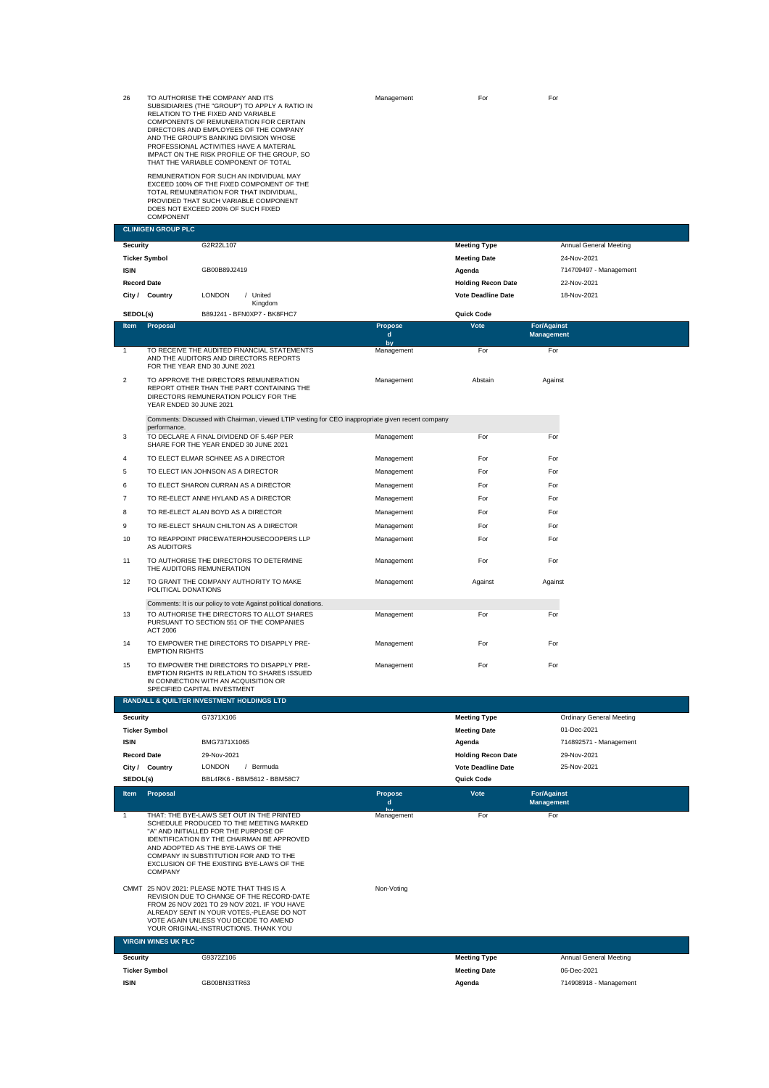| 26                 |                            | TO AUTHORISE THE COMPANY AND ITS<br>SUBSIDIARIES (THE "GROUP") TO APPLY A RATIO IN<br>RELATION TO THE FIXED AND VARIABLE<br>COMPONENTS OF REMUNERATION FOR CERTAIN<br>DIRECTORS AND EMPLOYEES OF THE COMPANY<br>AND THE GROUP'S BANKING DIVISION WHOSE<br>PROFESSIONAL ACTIVITIES HAVE A MATERIAL<br>IMPACT ON THE RISK PROFILE OF THE GROUP. SO<br>THAT THE VARIABLE COMPONENT OF TOTAL | Management               | For                                                    | For                                     |  |
|--------------------|----------------------------|------------------------------------------------------------------------------------------------------------------------------------------------------------------------------------------------------------------------------------------------------------------------------------------------------------------------------------------------------------------------------------------|--------------------------|--------------------------------------------------------|-----------------------------------------|--|
|                    | COMPONENT                  | REMUNERATION FOR SUCH AN INDIVIDUAL MAY<br>EXCEED 100% OF THE FIXED COMPONENT OF THE<br>TOTAL REMUNERATION FOR THAT INDIVIDUAL,<br>PROVIDED THAT SUCH VARIABLE COMPONENT<br>DOES NOT EXCEED 200% OF SUCH FIXED                                                                                                                                                                           |                          |                                                        |                                         |  |
|                    | <b>CLINIGEN GROUP PLC</b>  |                                                                                                                                                                                                                                                                                                                                                                                          |                          |                                                        |                                         |  |
| <b>Security</b>    |                            | G2R22L107                                                                                                                                                                                                                                                                                                                                                                                |                          | <b>Meeting Type</b>                                    | Annual General Meeting                  |  |
|                    | <b>Ticker Symbol</b>       |                                                                                                                                                                                                                                                                                                                                                                                          |                          | <b>Meeting Date</b>                                    | 24-Nov-2021                             |  |
| ISIN               |                            | GB00B89J2419                                                                                                                                                                                                                                                                                                                                                                             |                          | Agenda                                                 | 714709497 - Management                  |  |
| <b>Record Date</b> |                            |                                                                                                                                                                                                                                                                                                                                                                                          |                          | <b>Holding Recon Date</b>                              | 22-Nov-2021                             |  |
| City /             | Country                    | <b>LONDON</b><br>/ United<br>Kingdom                                                                                                                                                                                                                                                                                                                                                     |                          | <b>Vote Deadline Date</b>                              | 18-Nov-2021                             |  |
| SEDOL(s)           |                            | B89J241 - BFN0XP7 - BK8FHC7                                                                                                                                                                                                                                                                                                                                                              |                          | Quick Code                                             |                                         |  |
| Item               | Proposal                   |                                                                                                                                                                                                                                                                                                                                                                                          | Propose<br>d             | Vote                                                   | <b>For/Against</b><br><b>Management</b> |  |
|                    |                            |                                                                                                                                                                                                                                                                                                                                                                                          | bv                       |                                                        |                                         |  |
| 1                  |                            | TO RECEIVE THE AUDITED FINANCIAL STATEMENTS<br>AND THE AUDITORS AND DIRECTORS REPORTS<br>FOR THE YEAR END 30 JUNE 2021                                                                                                                                                                                                                                                                   | Management               | For                                                    | For                                     |  |
| 2                  | YEAR ENDED 30 JUNE 2021    | TO APPROVE THE DIRECTORS REMUNERATION<br>REPORT OTHER THAN THE PART CONTAINING THE<br>DIRECTORS REMUNERATION POLICY FOR THE                                                                                                                                                                                                                                                              | Management               | Abstain                                                | Against                                 |  |
|                    |                            | Comments: Discussed with Chairman, viewed LTIP vesting for CEO inappropriate given recent company                                                                                                                                                                                                                                                                                        |                          |                                                        |                                         |  |
| 3                  | performance.               | TO DECLARE A FINAL DIVIDEND OF 5.46P PER                                                                                                                                                                                                                                                                                                                                                 | Management               | For                                                    | For                                     |  |
|                    |                            | SHARE FOR THE YEAR ENDED 30 JUNE 2021                                                                                                                                                                                                                                                                                                                                                    |                          |                                                        |                                         |  |
| 4                  |                            | TO ELECT ELMAR SCHNEE AS A DIRECTOR                                                                                                                                                                                                                                                                                                                                                      | Management               | For                                                    | For                                     |  |
| 5                  |                            | TO ELECT IAN JOHNSON AS A DIRECTOR                                                                                                                                                                                                                                                                                                                                                       | Management               | For                                                    | For                                     |  |
| 6                  |                            | TO ELECT SHARON CURRAN AS A DIRECTOR                                                                                                                                                                                                                                                                                                                                                     | Management               | For                                                    | For                                     |  |
| 7                  |                            | TO RE-ELECT ANNE HYLAND AS A DIRECTOR                                                                                                                                                                                                                                                                                                                                                    | Management               | For                                                    | For                                     |  |
| 8                  |                            | TO RE-ELECT ALAN BOYD AS A DIRECTOR                                                                                                                                                                                                                                                                                                                                                      | Management               | For                                                    | For                                     |  |
| 9                  |                            | TO RE-ELECT SHAUN CHILTON AS A DIRECTOR                                                                                                                                                                                                                                                                                                                                                  | Management               | For                                                    | For                                     |  |
| 10                 | AS AUDITORS                | TO REAPPOINT PRICEWATERHOUSECOOPERS LLP                                                                                                                                                                                                                                                                                                                                                  | Management               | For                                                    | For                                     |  |
| 11                 | THE AUDITORS REMUNERATION  | TO AUTHORISE THE DIRECTORS TO DETERMINE                                                                                                                                                                                                                                                                                                                                                  | Management               | For                                                    | For                                     |  |
| 12                 | POLITICAL DONATIONS        | TO GRANT THE COMPANY AUTHORITY TO MAKE                                                                                                                                                                                                                                                                                                                                                   | Management               | Against                                                | Against                                 |  |
| 13                 | <b>ACT 2006</b>            | Comments: It is our policy to vote Against political donations.<br>TO AUTHORISE THE DIRECTORS TO ALLOT SHARES<br>PURSUANT TO SECTION 551 OF THE COMPANIES                                                                                                                                                                                                                                | Management               | For                                                    | For                                     |  |
| 14                 | <b>EMPTION RIGHTS</b>      | TO EMPOWER THE DIRECTORS TO DISAPPLY PRE-                                                                                                                                                                                                                                                                                                                                                | Management               | For                                                    | For                                     |  |
| 15                 |                            | TO EMPOWER THE DIRECTORS TO DISAPPLY PRE-<br>EMPTION RIGHTS IN RELATION TO SHARES ISSUED<br>IN CONNECTION WITH AN ACQUISITION OR<br>SPECIFIED CAPITAL INVESTMENT                                                                                                                                                                                                                         | Management               | For                                                    | For                                     |  |
|                    |                            | <b>RANDALL &amp; QUILTER INVESTMENT HOLDINGS LTD</b>                                                                                                                                                                                                                                                                                                                                     |                          |                                                        |                                         |  |
| Security           |                            | G7371X106                                                                                                                                                                                                                                                                                                                                                                                |                          | <b>Meeting Type</b>                                    | <b>Ordinary General Meeting</b>         |  |
|                    | <b>Ticker Symbol</b>       |                                                                                                                                                                                                                                                                                                                                                                                          |                          | <b>Meeting Date</b>                                    | 01-Dec-2021                             |  |
| <b>ISIN</b>        |                            | BMG7371X1065                                                                                                                                                                                                                                                                                                                                                                             |                          | Agenda                                                 | 714892571 - Management                  |  |
| <b>Record Date</b> | City / Country             | 29-Nov-2021<br><b>LONDON</b><br>/ Bermuda                                                                                                                                                                                                                                                                                                                                                |                          | <b>Holding Recon Date</b><br><b>Vote Deadline Date</b> | 29-Nov-2021<br>25-Nov-2021              |  |
| SEDOL(s)           |                            | BBL4RK6 - BBM5612 - BBM58C7                                                                                                                                                                                                                                                                                                                                                              |                          | Quick Code                                             |                                         |  |
| Item               | Proposal                   |                                                                                                                                                                                                                                                                                                                                                                                          | Propose<br>d             | Vote                                                   | <b>For/Against</b><br><b>Management</b> |  |
| 1                  | <b>COMPANY</b>             | THAT: THE BYE-LAWS SET OUT IN THE PRINTED<br>SCHEDULE PRODUCED TO THE MEETING MARKED<br>"A" AND INITIALLED FOR THE PURPOSE OF<br>IDENTIFICATION BY THE CHAIRMAN BE APPROVED<br>AND ADOPTED AS THE BYE-LAWS OF THE<br>COMPANY IN SUBSTITUTION FOR AND TO THE<br>EXCLUSION OF THE EXISTING BYE-LAWS OF THE<br>CMMT 25 NOV 2021: PLEASE NOTE THAT THIS IS A                                 | Management<br>Non-Voting | For                                                    | For                                     |  |
|                    |                            | REVISION DUE TO CHANGE OF THE RECORD-DATE<br>FROM 26 NOV 2021 TO 29 NOV 2021. IF YOU HAVE<br>ALREADY SENT IN YOUR VOTES,-PLEASE DO NOT<br>VOTE AGAIN UNLESS YOU DECIDE TO AMEND<br>YOUR ORIGINAL-INSTRUCTIONS. THANK YOU                                                                                                                                                                 |                          |                                                        |                                         |  |
|                    | <b>VIRGIN WINES UK PLC</b> |                                                                                                                                                                                                                                                                                                                                                                                          |                          |                                                        |                                         |  |
| <b>Security</b>    |                            | G9372Z106                                                                                                                                                                                                                                                                                                                                                                                |                          | <b>Meeting Type</b>                                    | Annual General Meeting                  |  |
| ISIN               | <b>Ticker Symbol</b>       | GB00BN33TR63                                                                                                                                                                                                                                                                                                                                                                             |                          | <b>Meeting Date</b><br>Agenda                          | 06-Dec-2021<br>714908918 - Management   |  |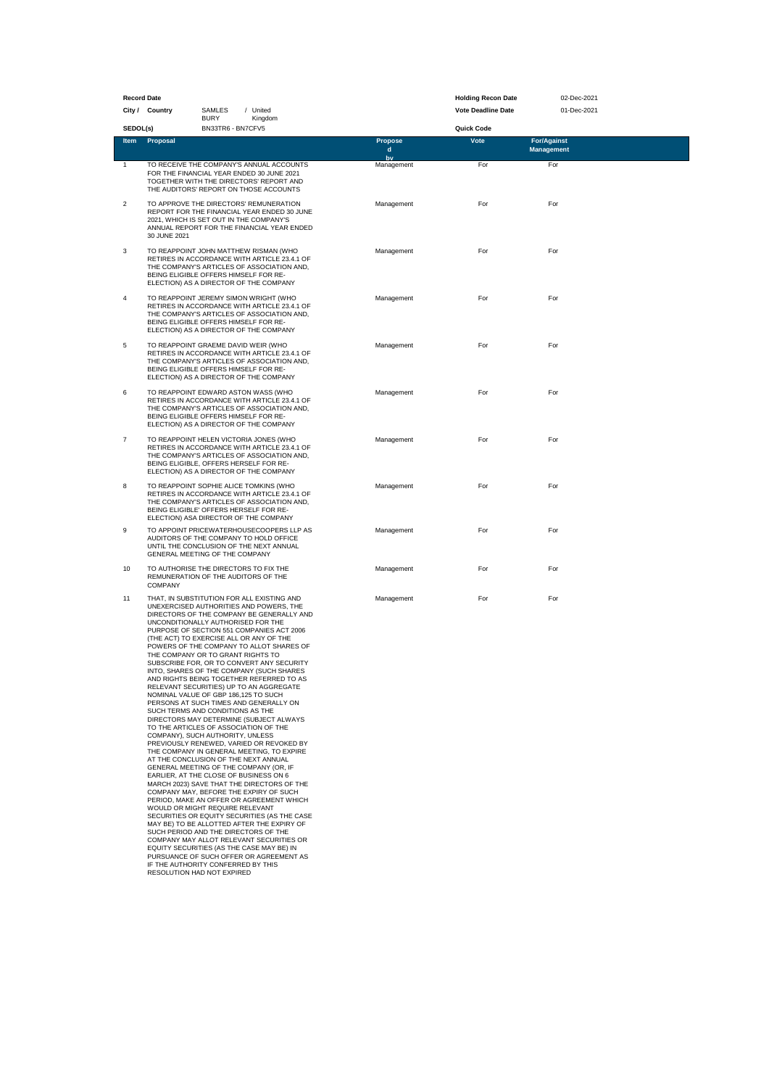|                | <b>Record Date</b>                                                                                                                                                                                                                                                                                                                                                                                                                                                             |                   |                                                                                                                                                                                                                                                                                                                                                                                                                                                                                                                                                                                                                                                                                                                                                                                                                                                                                                                                                                                                           |                    | <b>Holding Recon Date</b> | 02-Dec-2021                             |  |
|----------------|--------------------------------------------------------------------------------------------------------------------------------------------------------------------------------------------------------------------------------------------------------------------------------------------------------------------------------------------------------------------------------------------------------------------------------------------------------------------------------|-------------------|-----------------------------------------------------------------------------------------------------------------------------------------------------------------------------------------------------------------------------------------------------------------------------------------------------------------------------------------------------------------------------------------------------------------------------------------------------------------------------------------------------------------------------------------------------------------------------------------------------------------------------------------------------------------------------------------------------------------------------------------------------------------------------------------------------------------------------------------------------------------------------------------------------------------------------------------------------------------------------------------------------------|--------------------|---------------------------|-----------------------------------------|--|
|                | City / Country                                                                                                                                                                                                                                                                                                                                                                                                                                                                 | SAMLES            | / United                                                                                                                                                                                                                                                                                                                                                                                                                                                                                                                                                                                                                                                                                                                                                                                                                                                                                                                                                                                                  |                    | <b>Vote Deadline Date</b> | 01-Dec-2021                             |  |
|                |                                                                                                                                                                                                                                                                                                                                                                                                                                                                                | <b>BURY</b>       | Kingdom                                                                                                                                                                                                                                                                                                                                                                                                                                                                                                                                                                                                                                                                                                                                                                                                                                                                                                                                                                                                   |                    |                           |                                         |  |
| SEDOL(s)       |                                                                                                                                                                                                                                                                                                                                                                                                                                                                                | BN33TR6 - BN7CFV5 |                                                                                                                                                                                                                                                                                                                                                                                                                                                                                                                                                                                                                                                                                                                                                                                                                                                                                                                                                                                                           |                    | Quick Code                |                                         |  |
| Item           | Proposal                                                                                                                                                                                                                                                                                                                                                                                                                                                                       |                   |                                                                                                                                                                                                                                                                                                                                                                                                                                                                                                                                                                                                                                                                                                                                                                                                                                                                                                                                                                                                           | Propose<br>d<br>by | Vote                      | <b>For/Against</b><br><b>Management</b> |  |
| 1              |                                                                                                                                                                                                                                                                                                                                                                                                                                                                                |                   | TO RECEIVE THE COMPANY'S ANNUAL ACCOUNTS<br>FOR THE FINANCIAL YEAR ENDED 30 JUNE 2021<br>TOGETHER WITH THE DIRECTORS' REPORT AND<br>THE AUDITORS' REPORT ON THOSE ACCOUNTS                                                                                                                                                                                                                                                                                                                                                                                                                                                                                                                                                                                                                                                                                                                                                                                                                                | Management         | For                       | For                                     |  |
| $\overline{2}$ | 2021, WHICH IS SET OUT IN THE COMPANY'S<br>30 JUNE 2021                                                                                                                                                                                                                                                                                                                                                                                                                        |                   | TO APPROVE THE DIRECTORS' REMUNERATION<br>REPORT FOR THE FINANCIAL YEAR ENDED 30 JUNE<br>ANNUAL REPORT FOR THE FINANCIAL YEAR ENDED                                                                                                                                                                                                                                                                                                                                                                                                                                                                                                                                                                                                                                                                                                                                                                                                                                                                       | Management         | For                       | For                                     |  |
| 3              | BEING ELIGIBLE OFFERS HIMSELF FOR RE-                                                                                                                                                                                                                                                                                                                                                                                                                                          |                   | TO REAPPOINT JOHN MATTHEW RISMAN (WHO<br>RETIRES IN ACCORDANCE WITH ARTICLE 23.4.1 OF<br>THE COMPANY'S ARTICLES OF ASSOCIATION AND,<br>ELECTION) AS A DIRECTOR OF THE COMPANY                                                                                                                                                                                                                                                                                                                                                                                                                                                                                                                                                                                                                                                                                                                                                                                                                             | Management         | For                       | For                                     |  |
| 4              | BEING ELIGIBLE OFFERS HIMSELF FOR RE-                                                                                                                                                                                                                                                                                                                                                                                                                                          |                   | TO REAPPOINT JEREMY SIMON WRIGHT (WHO<br>RETIRES IN ACCORDANCE WITH ARTICLE 23.4.1 OF<br>THE COMPANY'S ARTICLES OF ASSOCIATION AND,<br>ELECTION) AS A DIRECTOR OF THE COMPANY                                                                                                                                                                                                                                                                                                                                                                                                                                                                                                                                                                                                                                                                                                                                                                                                                             | Management         | For                       | For                                     |  |
| 5              | TO REAPPOINT GRAEME DAVID WEIR (WHO<br>BEING ELIGIBLE OFFERS HIMSELF FOR RE-                                                                                                                                                                                                                                                                                                                                                                                                   |                   | RETIRES IN ACCORDANCE WITH ARTICLE 23.4.1 OF<br>THE COMPANY'S ARTICLES OF ASSOCIATION AND,<br>ELECTION) AS A DIRECTOR OF THE COMPANY                                                                                                                                                                                                                                                                                                                                                                                                                                                                                                                                                                                                                                                                                                                                                                                                                                                                      | Management         | For                       | For                                     |  |
| 6              | BEING ELIGIBLE OFFERS HIMSELF FOR RE-                                                                                                                                                                                                                                                                                                                                                                                                                                          |                   | TO REAPPOINT EDWARD ASTON WASS (WHO<br>RETIRES IN ACCORDANCE WITH ARTICLE 23.4.1 OF<br>THE COMPANY'S ARTICLES OF ASSOCIATION AND,<br>ELECTION) AS A DIRECTOR OF THE COMPANY                                                                                                                                                                                                                                                                                                                                                                                                                                                                                                                                                                                                                                                                                                                                                                                                                               | Management         | For                       | For                                     |  |
| $\overline{7}$ | BEING ELIGIBLE, OFFERS HERSELF FOR RE-                                                                                                                                                                                                                                                                                                                                                                                                                                         |                   | TO REAPPOINT HELEN VICTORIA JONES (WHO<br>RETIRES IN ACCORDANCE WITH ARTICLE 23.4.1 OF<br>THE COMPANY'S ARTICLES OF ASSOCIATION AND,<br>ELECTION) AS A DIRECTOR OF THE COMPANY                                                                                                                                                                                                                                                                                                                                                                                                                                                                                                                                                                                                                                                                                                                                                                                                                            | Management         | For                       | For                                     |  |
| 8              | BEING ELIGIBLE' OFFERS HERSELF FOR RE-                                                                                                                                                                                                                                                                                                                                                                                                                                         |                   | TO REAPPOINT SOPHIE ALICE TOMKINS (WHO<br>RETIRES IN ACCORDANCE WITH ARTICLE 23.4.1 OF<br>THE COMPANY'S ARTICLES OF ASSOCIATION AND,<br>ELECTION) ASA DIRECTOR OF THE COMPANY                                                                                                                                                                                                                                                                                                                                                                                                                                                                                                                                                                                                                                                                                                                                                                                                                             | Management         | For                       | For                                     |  |
| 9              | GENERAL MEETING OF THE COMPANY                                                                                                                                                                                                                                                                                                                                                                                                                                                 |                   | TO APPOINT PRICEWATERHOUSECOOPERS LLP AS<br>AUDITORS OF THE COMPANY TO HOLD OFFICE<br>UNTIL THE CONCLUSION OF THE NEXT ANNUAL                                                                                                                                                                                                                                                                                                                                                                                                                                                                                                                                                                                                                                                                                                                                                                                                                                                                             | Management         | For                       | For                                     |  |
| 10             | TO AUTHORISE THE DIRECTORS TO FIX THE<br>REMUNERATION OF THE AUDITORS OF THE<br><b>COMPANY</b>                                                                                                                                                                                                                                                                                                                                                                                 |                   |                                                                                                                                                                                                                                                                                                                                                                                                                                                                                                                                                                                                                                                                                                                                                                                                                                                                                                                                                                                                           | Management         | For                       | For                                     |  |
| 11             | UNCONDITIONALLY AUTHORISED FOR THE<br>(THE ACT) TO EXERCISE ALL OR ANY OF THE<br>THE COMPANY OR TO GRANT RIGHTS TO<br>NOMINAL VALUE OF GBP 186,125 TO SUCH<br>SUCH TERMS AND CONDITIONS AS THE<br>TO THE ARTICLES OF ASSOCIATION OF THE<br>COMPANY), SUCH AUTHORITY, UNLESS<br>AT THE CONCLUSION OF THE NEXT ANNUAL<br>EARLIER, AT THE CLOSE OF BUSINESS ON 6<br>WOULD OR MIGHT REQUIRE RELEVANT<br>SUCH PERIOD AND THE DIRECTORS OF THE<br>IF THE AUTHORITY CONFERRED BY THIS |                   | THAT, IN SUBSTITUTION FOR ALL EXISTING AND<br>UNEXERCISED AUTHORITIES AND POWERS, THE<br>DIRECTORS OF THE COMPANY BE GENERALLY AND<br>PURPOSE OF SECTION 551 COMPANIES ACT 2006<br>POWERS OF THE COMPANY TO ALLOT SHARES OF<br>SUBSCRIBE FOR, OR TO CONVERT ANY SECURITY<br>INTO, SHARES OF THE COMPANY (SUCH SHARES<br>AND RIGHTS BEING TOGETHER REFERRED TO AS<br>RELEVANT SECURITIES) UP TO AN AGGREGATE<br>PERSONS AT SUCH TIMES AND GENERALLY ON<br>DIRECTORS MAY DETERMINE (SUBJECT ALWAYS<br>PREVIOUSLY RENEWED, VARIED OR REVOKED BY<br>THE COMPANY IN GENERAL MEETING, TO EXPIRE<br>GENERAL MEETING OF THE COMPANY (OR, IF<br>MARCH 2023) SAVE THAT THE DIRECTORS OF THE<br>COMPANY MAY, BEFORE THE EXPIRY OF SUCH<br>PERIOD, MAKE AN OFFER OR AGREEMENT WHICH<br>SECURITIES OR EQUITY SECURITIES (AS THE CASE<br>MAY BE) TO BE ALLOTTED AFTER THE EXPIRY OF<br>COMPANY MAY ALLOT RELEVANT SECURITIES OR<br>EQUITY SECURITIES (AS THE CASE MAY BE) IN<br>PURSUANCE OF SUCH OFFER OR AGREEMENT AS | Management         | For                       | For                                     |  |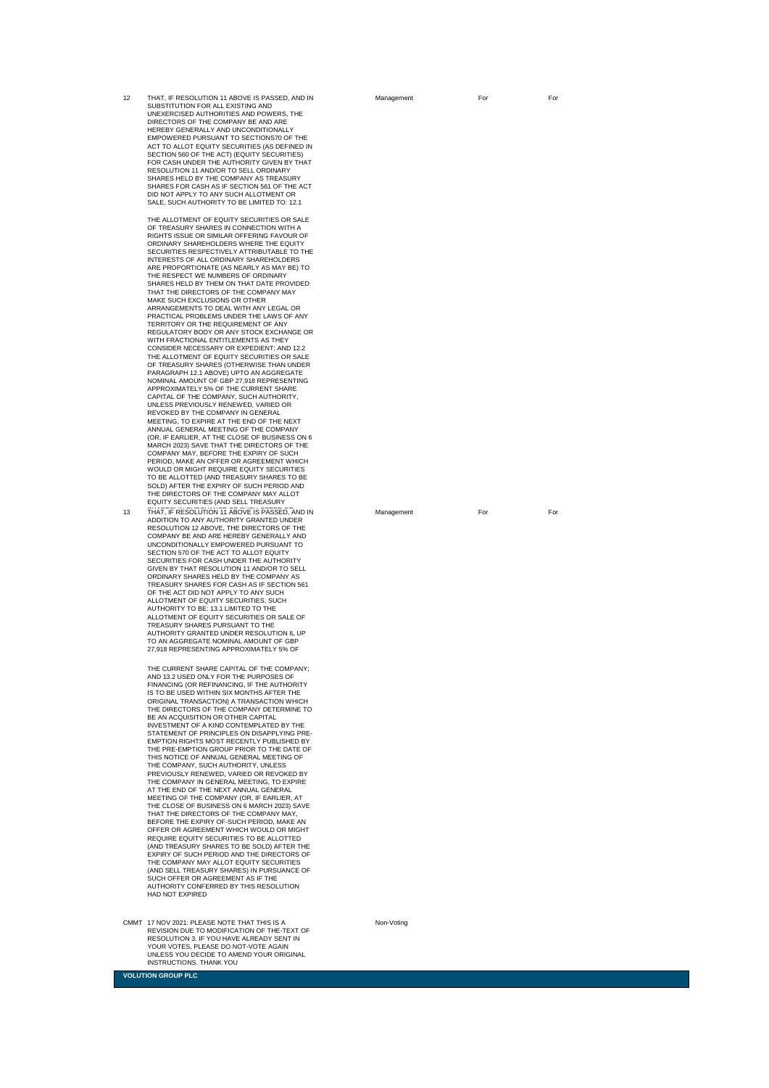12 THAT, IF RESOLUTION 11 ABOVE IS PASSED, AND IN Management Management For SUBSTITUTION FOR ALL EXISTING AND UNEXERCISED AUTHORITIES AND POWERS, THE DIRECTORS OF THE COMPANY BE AND ARE HEREBY GENERALLY AND UNCONDITIONALLY EMPOWERED PURSUANT TO SECTIONS70 OF THE ACT TO ALLOT EQUITY SECURITIES (AS DEFINED IN SECTION 560 OF THE ACT) (EQUITY SECURITIES)<br>FOR CASH UNDER THE AUTHORITY GIVEN BY THAT<br>RESOLUTION 11 AND/OR TO SELL ORDINARY<br>SHARES HELD BY THE COMPANY AS TREASURY SHARES FOR CASH AS IF SECTION 561 OF THE ACT DID NOT APPLY TO ANY SUCH ALLOTMENT OR SALE, SUCH AUTHORITY TO BE LIMITED TO: 12.1

THE ALLOTMENT OF EQUITY SECURITIES OR SALE OF TREASURY SHARES IN CONNECTION WITH A<br>RIGHTS ISSUE OR SIMILAR OFFERING FAVOUR OF<br>ORDINARY SHAREHOLDERS WHERE THE EQUITY<br>SECURITIES RESPECTIVELY ATTRIBUTABLE TO THE INTERESTS OF ALL ORDINARY SHAREHOLDERS ARE PROPORTIONATE (AS NEARLY AS MAY BE) TO THE RESPECT WE NUMBERS OF ORDINARY SHARES HELD BY THEM ON THAT DATE PROVIDED THAT THE DIRECTORS OF THE COMPANY MAY MAKE SUCH EXCLUSIONS OR OTHER<br>ARRANGEMENTS TO DEAL WITH ANY LEGAL OR<br>PRACTICAL PROBLEMS UNDER THE LAWS OF ANY<br>TERRITORY OR THE REQUIREMENT OF ANY REGULATORY BODY OR ANY STOCK EXCHANGE OR<br>WITH FRACTIONAL ENTITLEMENTS AS THEY<br>CONSIDER NECESSARY OR EXPEDIENT; AND 12.2<br>THE ALLOTMENT OF EQUITY SECURITIES OR SALE OF TREASURY SHARES (OTHERWISE THAN UNDER PARAGRAPH 12.1 ABOVE) UPTO AN AGGREGATE<br>NOMINAL AMOUNT OF GBP 27,918 REPRESENTING<br>APPROXIMATELY 5% OF THE CURRENT SHARE<br>CAPITAL OF THE COMPANY, SUCH AUTHORITY, UNLESS PREVIOUSLY RENEWED, VARIED OR REVOKED BY THE COMPANY IN GENERAL MEETING, TO EXPIRE AT THE END OF THE NEXT ANNUAL GENERAL MEETING OF THE COMPANY (OR, IF EARLIER, AT THE CLOSE OF BUSINESS ON 6<br>MARCH 2023) SAVE THAT THE DIRECTORS OF THE<br>COMPANY MAY, BEFORE THE EXPIRY OF SUCH<br>PERIOD, MAKE AN OFFER OR AGREEMENT WHICH WOULD OR MIGHT REQUIRE EQUITY SECURITIES TO BE ALLOTTED (AND TREASURY SHARES TO BE<br>SOLD) AFTER THE EXPIRY OF SUCH PERIOD AND<br>THE DIRECTORS OF THE COMPANY MAY ALLOT<br>EQUITY SECURITIES (AND SELL TREASURY

13 FHAT, IF RESOLUTION 11 ABOVE IS PASSED, AND IN Management Management For ADDITION TO ANY AUTHORITY GRANTED UNDER RESOLUTION 12 ABOVE, THE DIRECTORS OF THE COMPANY BE AND ARE HEREBY GENERALLY AND UNCONDITIONALLY EMPOWERED PURSUANT TO SECTION 570 OF THE ACT TO ALLOT EQUITY SECURITIES FOR CASH UNDER THE AUTHORITY GIVEN BY THAT RESOLUTION 11 AND/OR TO SELL ORDINARY SHARES HELD BY THE COMPANY AS TREASURY SHARES FOR CASH AS IF SECTION 561 OF THE ACT DID NOT APPLY TO ANY SUCH ALLOTMENT OF EQUITY SECURITIES, SUCH AUTHORITY TO BE: 13.1 LIMITED TO THE ALLOTMENT OF EQUITY SECURITIES OR SALE OF TREASURY SHARES PURSUANT TO THE AUTHORITY GRANTED UNDER RESOLUTION IL UP

TO AN AGGREGATE NOMINAL AMOUNT OF GBP 27,918 REPRESENTING APPROXIMATELY 5% OF

THE CURRENT SHARE CAPITAL OF THE COMPANY; AND 13.2 USED ONLY FOR THE PURPOSES OF FINANCING (OR REFINANCING, IF THE AUTHORITY IS TO BE USED WITHIN SIX MONTHS AFTER THE ORIGINAL TRANSACTION) A TRANSACTION WHICH THE DIRECTORS OF THE COMPANY DETERMINE TO<br>BE AN ACQUISITION OR OTHER CAPITAL<br>INVESTMENT OF A KIND CONTEMPLATED BY THE<br>STATEMENT OF PRINCIPLES ON DISAPPLYING PRE-EMPTION RIGHTS MOST RECENTLY PUBLISHED BY<br>THE PRE-EMPTION GROUP PRIOR TO THE DATE OF THE PRE-EMPTION GROUP PRIOR TO THE DATE OF<br>THE ROTICE OF ANNUAL GENERAL MEETING OF<br>THE COMPANY, SUCH AUTHORITY, UNLESS<br>PREVIOUSLY RENEWED, VARIED OR REVOKED BY<br>THE COMPANY IN GENERAL MEETING, TO EXPIRE AT THE END OF THE NEXT ANNUAL GENERAL MEETING OF THE COMPANY (OR, IF EARLIER, AT THE CLOSE OF BUSINESS ON 6 MARCH 2023) SAVE THAT THE DIRECTORS OF THE COMPANY MAY, BEFORE THE EXPIRY OF-SUCH PERIOD, MAKE AN OFFER OR AGREEMENT WHICH WOULD OR MIGHT REQUIRE EQUITY SECURITIES TO BE ALLOTTED (AND TREASURY SHARES TO BE SOLD) AFTER THE EXPIRY OF SUCH PERIOD AND THE DIRECTORS OF THE COMPANY MAY ALLOT EQUITY SECURITIES (AND SELL TREASURY SHARES) IN PURSUANCE OF SUCH OFFER OR AGREEMENT AS IF THE AUTHORITY CONFERRED BY THIS RESOLUTION HAD NOT EXPIRED

CMMT 17 NOV 2021: PLEASE NOTE THAT THIS IS A REVISION DUE TO MODIFICATION OF THE-TEXT OF<br>RESOLUTION 3. IF YOU HAVE ALREADY SENT IN<br>YOUR VOTES, PLEASE DO NOT-VOTE AGAIN<br>UNLESS YOU DECIDE TO AMEND YOUR ORIGINAL<br>INSTRUCTIONS. THANK YOU

**VOLUTION GROUP PLC**

Management For For For

Management **For** For For

Non-Voting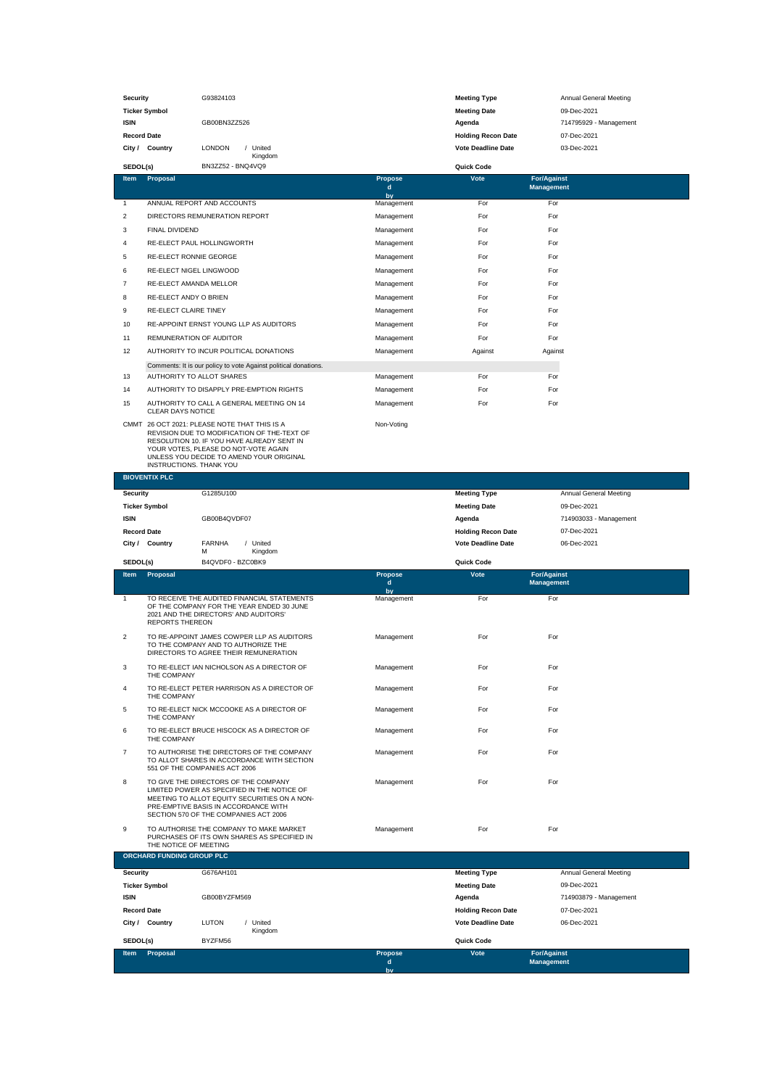| <b>Security</b>         |                                                                                                                       | G93824103          |                                                                                             |                          | <b>Meeting Type</b>       | Annual General Meeting                  |
|-------------------------|-----------------------------------------------------------------------------------------------------------------------|--------------------|---------------------------------------------------------------------------------------------|--------------------------|---------------------------|-----------------------------------------|
|                         | <b>Ticker Symbol</b>                                                                                                  |                    |                                                                                             |                          | <b>Meeting Date</b>       | 09-Dec-2021                             |
| <b>ISIN</b>             |                                                                                                                       | GB00BN3ZZ526       |                                                                                             |                          | Agenda                    | 714795929 - Management                  |
| <b>Record Date</b>      |                                                                                                                       |                    |                                                                                             |                          | <b>Holding Recon Date</b> | 07-Dec-2021                             |
|                         | City / Country                                                                                                        | <b>LONDON</b>      | / United<br>Kingdom                                                                         |                          | <b>Vote Deadline Date</b> | 03-Dec-2021                             |
| SEDOL(s)                |                                                                                                                       | BN3ZZ52 - BNQ4VQ9  |                                                                                             |                          | Quick Code                |                                         |
| Item                    | Proposal                                                                                                              |                    |                                                                                             | Propose<br>d             | Vote                      | <b>For/Against</b><br><b>Management</b> |
|                         |                                                                                                                       |                    |                                                                                             | bv                       | For                       | For                                     |
| 1<br>$\overline{2}$     | ANNUAL REPORT AND ACCOUNTS<br>DIRECTORS REMUNERATION REPORT                                                           |                    |                                                                                             | Management               | For                       | For                                     |
| 3                       | FINAL DIVIDEND                                                                                                        |                    |                                                                                             | Management<br>Management | For                       | For                                     |
| 4                       | RE-ELECT PAUL HOLLINGWORTH                                                                                            |                    |                                                                                             | Management               | For                       | For                                     |
| 5                       | RE-ELECT RONNIE GEORGE                                                                                                |                    |                                                                                             | Management               | For                       | For                                     |
| 6                       | RE-ELECT NIGEL LINGWOOD                                                                                               |                    |                                                                                             | Management               | For                       | For                                     |
| 7                       | RE-ELECT AMANDA MELLOR                                                                                                |                    |                                                                                             | Management               | For                       | For                                     |
| 8                       | RE-ELECT ANDY O BRIEN                                                                                                 |                    |                                                                                             | Management               | For                       | For                                     |
| 9                       | RE-ELECT CLAIRE TINEY                                                                                                 |                    |                                                                                             | Management               | For                       | For                                     |
| 10                      |                                                                                                                       |                    | RE-APPOINT ERNST YOUNG LLP AS AUDITORS                                                      | Management               | For                       | For                                     |
| 11                      | REMUNERATION OF AUDITOR                                                                                               |                    |                                                                                             | Management               | For                       | For                                     |
| 12                      | AUTHORITY TO INCUR POLITICAL DONATIONS                                                                                |                    |                                                                                             | Management               | Against                   | Against                                 |
|                         |                                                                                                                       |                    | Comments: It is our policy to vote Against political donations.                             |                          |                           |                                         |
| 13                      | AUTHORITY TO ALLOT SHARES                                                                                             |                    |                                                                                             | Management               | For                       | For                                     |
| 14                      |                                                                                                                       |                    | AUTHORITY TO DISAPPLY PRE-EMPTION RIGHTS                                                    | Management               | For                       | For                                     |
| 15                      |                                                                                                                       |                    | AUTHORITY TO CALL A GENERAL MEETING ON 14                                                   | Management               | For                       | For                                     |
|                         | <b>CLEAR DAYS NOTICE</b>                                                                                              |                    |                                                                                             |                          |                           |                                         |
|                         | CMMT 26 OCT 2021: PLEASE NOTE THAT THIS IS A                                                                          |                    | REVISION DUE TO MODIFICATION OF THE-TEXT OF                                                 | Non-Voting               |                           |                                         |
|                         | YOUR VOTES, PLEASE DO NOT-VOTE AGAIN                                                                                  |                    | RESOLUTION 10. IF YOU HAVE ALREADY SENT IN                                                  |                          |                           |                                         |
|                         |                                                                                                                       |                    | UNLESS YOU DECIDE TO AMEND YOUR ORIGINAL                                                    |                          |                           |                                         |
|                         | INSTRUCTIONS. THANK YOU                                                                                               |                    |                                                                                             |                          |                           |                                         |
|                         | <b>BIOVENTIX PLC</b>                                                                                                  |                    |                                                                                             |                          |                           |                                         |
| <b>Security</b>         |                                                                                                                       | G1285U100          |                                                                                             |                          | <b>Meeting Type</b>       | Annual General Meeting                  |
|                         | <b>Ticker Symbol</b>                                                                                                  |                    |                                                                                             |                          | <b>Meeting Date</b>       | 09-Dec-2021                             |
| <b>ISIN</b>             |                                                                                                                       | GB00B4QVDF07       |                                                                                             |                          | Agenda                    | 714903033 - Management<br>07-Dec-2021   |
| <b>Record Date</b>      |                                                                                                                       |                    |                                                                                             |                          | <b>Holding Recon Date</b> |                                         |
|                         |                                                                                                                       |                    |                                                                                             |                          |                           |                                         |
|                         | City / Country                                                                                                        | <b>FARNHA</b><br>M | / United<br>Kingdom                                                                         |                          | <b>Vote Deadline Date</b> | 06-Dec-2021                             |
| SEDOL(s)                |                                                                                                                       | B4QVDF0 - BZC0BK9  |                                                                                             |                          | Quick Code                |                                         |
| Item                    | Proposal                                                                                                              |                    |                                                                                             | Propose<br>d             | Vote                      | <b>For/Against</b><br><b>Management</b> |
| 1                       |                                                                                                                       |                    | TO RECEIVE THE AUDITED FINANCIAL STATEMENTS                                                 | bv                       | For                       | For                                     |
|                         | 2021 AND THE DIRECTORS' AND AUDITORS'<br><b>REPORTS THEREON</b>                                                       |                    | OF THE COMPANY FOR THE YEAR ENDED 30 JUNE                                                   | Management               |                           |                                         |
| $\overline{\mathbf{c}}$ | TO THE COMPANY AND TO AUTHORIZE THE                                                                                   |                    | TO RE-APPOINT JAMES COWPER LLP AS AUDITORS                                                  | Management               | For                       | For                                     |
| 3                       | THE COMPANY                                                                                                           |                    | DIRECTORS TO AGREE THEIR REMUNERATION<br>TO RE-ELECT IAN NICHOLSON AS A DIRECTOR OF         | Management               | For                       | For                                     |
| 4                       | THE COMPANY                                                                                                           |                    | TO RE-ELECT PETER HARRISON AS A DIRECTOR OF                                                 | Management               | For                       | For                                     |
| 5                       | THE COMPANY                                                                                                           |                    | TO RE-ELECT NICK MCCOOKE AS A DIRECTOR OF                                                   | Management               | For                       | For                                     |
| 6                       | THE COMPANY                                                                                                           |                    | TO RE-ELECT BRUCE HISCOCK AS A DIRECTOR OF                                                  | Management               | For                       | For                                     |
| 7                       | 551 OF THE COMPANIES ACT 2006                                                                                         |                    | TO AUTHORISE THE DIRECTORS OF THE COMPANY<br>TO ALLOT SHARES IN ACCORDANCE WITH SECTION     | Management               | For                       | For                                     |
| 8                       | TO GIVE THE DIRECTORS OF THE COMPANY<br>PRE-EMPTIVE BASIS IN ACCORDANCE WITH<br>SECTION 570 OF THE COMPANIES ACT 2006 |                    | LIMITED POWER AS SPECIFIED IN THE NOTICE OF<br>MEETING TO ALLOT EQUITY SECURITIES ON A NON- | Management               | For                       | For                                     |
| 9                       | THE NOTICE OF MEETING                                                                                                 |                    | TO AUTHORISE THE COMPANY TO MAKE MARKET<br>PURCHASES OF ITS OWN SHARES AS SPECIFIED IN      | Management               | For                       | For                                     |
|                         | ORCHARD FUNDING GROUP PLC                                                                                             |                    |                                                                                             |                          |                           |                                         |
| <b>Security</b>         |                                                                                                                       | G676AH101          |                                                                                             |                          | <b>Meeting Type</b>       | Annual General Meeting                  |
|                         | <b>Ticker Symbol</b>                                                                                                  |                    |                                                                                             |                          | <b>Meeting Date</b>       | 09-Dec-2021                             |
| <b>ISIN</b>             |                                                                                                                       | GB00BYZFM569       |                                                                                             |                          | Agenda                    | 714903879 - Management                  |
| <b>Record Date</b>      |                                                                                                                       |                    |                                                                                             |                          | <b>Holding Recon Date</b> | 07-Dec-2021                             |
|                         | City / Country                                                                                                        | <b>LUTON</b>       | / United<br>Kingdom                                                                         |                          | Vote Deadline Date        | 06-Dec-2021                             |
| SEDOL(s)                |                                                                                                                       | BYZFM56            |                                                                                             |                          | Quick Code                |                                         |
| Item                    | Proposal                                                                                                              |                    |                                                                                             | Propose<br>d             | Vote                      | <b>For/Against</b><br><b>Management</b> |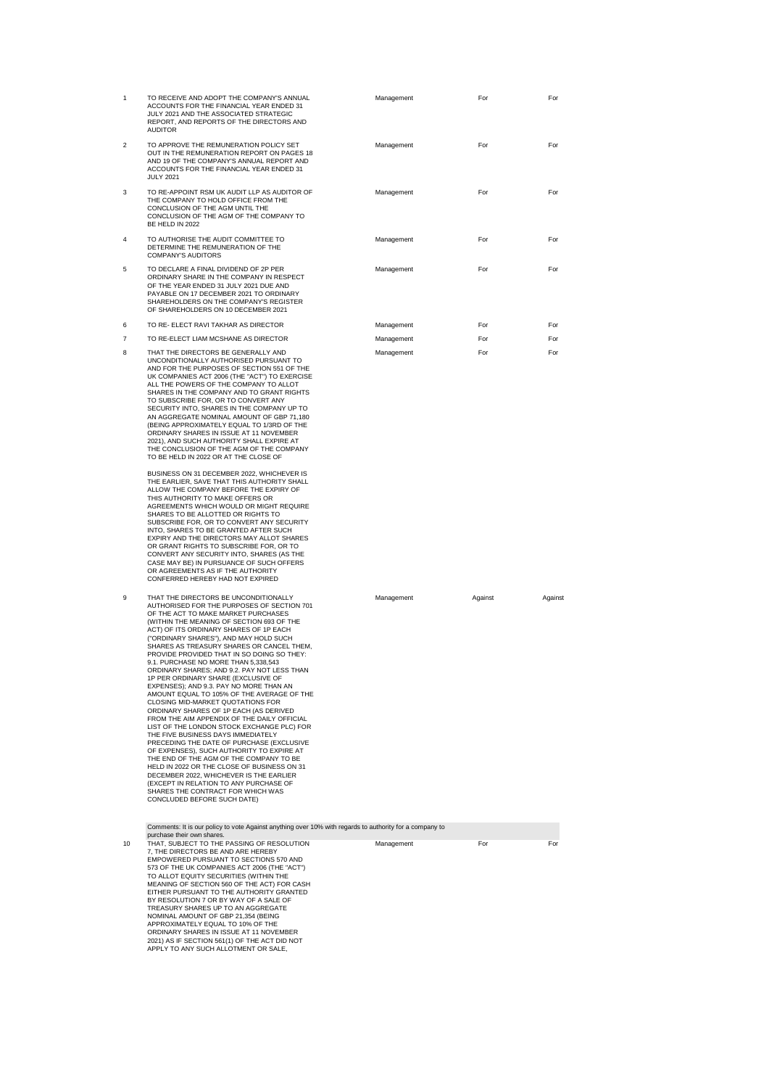| 1              | TO RECEIVE AND ADOPT THE COMPANY'S ANNUAL<br>ACCOUNTS FOR THE FINANCIAL YEAR ENDED 31<br>JULY 2021 AND THE ASSOCIATED STRATEGIC<br>REPORT, AND REPORTS OF THE DIRECTORS AND<br><b>AUDITOR</b>                                                                                                                                                                                                                                                                                                                                                                                                                                                                                                                                                                                                                                                                                                                                                                                                                                                                                                                                                | Management | For     | For     |
|----------------|----------------------------------------------------------------------------------------------------------------------------------------------------------------------------------------------------------------------------------------------------------------------------------------------------------------------------------------------------------------------------------------------------------------------------------------------------------------------------------------------------------------------------------------------------------------------------------------------------------------------------------------------------------------------------------------------------------------------------------------------------------------------------------------------------------------------------------------------------------------------------------------------------------------------------------------------------------------------------------------------------------------------------------------------------------------------------------------------------------------------------------------------|------------|---------|---------|
| $\overline{2}$ | TO APPROVE THE REMUNERATION POLICY SET<br>OUT IN THE REMUNERATION REPORT ON PAGES 18<br>AND 19 OF THE COMPANY'S ANNUAL REPORT AND<br>ACCOUNTS FOR THE FINANCIAL YEAR ENDED 31<br><b>JULY 2021</b>                                                                                                                                                                                                                                                                                                                                                                                                                                                                                                                                                                                                                                                                                                                                                                                                                                                                                                                                            | Management | For     | For     |
| 3              | TO RE-APPOINT RSM UK AUDIT LLP AS AUDITOR OF<br>THE COMPANY TO HOLD OFFICE FROM THE<br>CONCLUSION OF THE AGM UNTIL THE<br>CONCLUSION OF THE AGM OF THE COMPANY TO<br>BE HELD IN 2022                                                                                                                                                                                                                                                                                                                                                                                                                                                                                                                                                                                                                                                                                                                                                                                                                                                                                                                                                         | Management | For     | For     |
| $\overline{4}$ | TO AUTHORISE THE AUDIT COMMITTEE TO<br>DETERMINE THE REMUNERATION OF THE<br><b>COMPANY'S AUDITORS</b>                                                                                                                                                                                                                                                                                                                                                                                                                                                                                                                                                                                                                                                                                                                                                                                                                                                                                                                                                                                                                                        | Management | For     | For     |
| 5              | TO DECLARE A FINAL DIVIDEND OF 2P PER<br>ORDINARY SHARE IN THE COMPANY IN RESPECT<br>OF THE YEAR ENDED 31 JULY 2021 DUE AND<br>PAYABLE ON 17 DECEMBER 2021 TO ORDINARY<br>SHAREHOLDERS ON THE COMPANY'S REGISTER<br>OF SHAREHOLDERS ON 10 DECEMBER 2021                                                                                                                                                                                                                                                                                                                                                                                                                                                                                                                                                                                                                                                                                                                                                                                                                                                                                      | Management | For     | For     |
| 6              | TO RE- ELECT RAVI TAKHAR AS DIRECTOR                                                                                                                                                                                                                                                                                                                                                                                                                                                                                                                                                                                                                                                                                                                                                                                                                                                                                                                                                                                                                                                                                                         | Management | For     | For     |
| $\overline{7}$ | TO RE-ELECT LIAM MCSHANE AS DIRECTOR                                                                                                                                                                                                                                                                                                                                                                                                                                                                                                                                                                                                                                                                                                                                                                                                                                                                                                                                                                                                                                                                                                         | Management | For     | For     |
| 8              | THAT THE DIRECTORS BE GENERALLY AND<br>UNCONDITIONALLY AUTHORISED PURSUANT TO<br>AND FOR THE PURPOSES OF SECTION 551 OF THE<br>UK COMPANIES ACT 2006 (THE "ACT") TO EXERCISE<br>ALL THE POWERS OF THE COMPANY TO ALLOT<br>SHARES IN THE COMPANY AND TO GRANT RIGHTS<br>TO SUBSCRIBE FOR, OR TO CONVERT ANY<br>SECURITY INTO, SHARES IN THE COMPANY UP TO<br>AN AGGREGATE NOMINAL AMOUNT OF GBP 71,180<br>(BEING APPROXIMATELY EQUAL TO 1/3RD OF THE<br>ORDINARY SHARES IN ISSUE AT 11 NOVEMBER<br>2021), AND SUCH AUTHORITY SHALL EXPIRE AT<br>THE CONCLUSION OF THE AGM OF THE COMPANY<br>TO BE HELD IN 2022 OR AT THE CLOSE OF                                                                                                                                                                                                                                                                                                                                                                                                                                                                                                             | Management | For     | For     |
|                | BUSINESS ON 31 DECEMBER 2022, WHICHEVER IS<br>THE EARLIER, SAVE THAT THIS AUTHORITY SHALL<br>ALLOW THE COMPANY BEFORE THE EXPIRY OF<br>THIS AUTHORITY TO MAKE OFFERS OR<br>AGREEMENTS WHICH WOULD OR MIGHT REQUIRE<br>SHARES TO BE ALLOTTED OR RIGHTS TO<br>SUBSCRIBE FOR, OR TO CONVERT ANY SECURITY<br>INTO, SHARES TO BE GRANTED AFTER SUCH<br>EXPIRY AND THE DIRECTORS MAY ALLOT SHARES<br>OR GRANT RIGHTS TO SUBSCRIBE FOR, OR TO<br>CONVERT ANY SECURITY INTO, SHARES (AS THE<br>CASE MAY BE) IN PURSUANCE OF SUCH OFFERS<br>OR AGREEMENTS AS IF THE AUTHORITY<br>CONFERRED HEREBY HAD NOT EXPIRED                                                                                                                                                                                                                                                                                                                                                                                                                                                                                                                                     |            |         |         |
| 9              | THAT THE DIRECTORS BE UNCONDITIONALLY<br>AUTHORISED FOR THE PURPOSES OF SECTION 701<br>OF THE ACT TO MAKE MARKET PURCHASES<br>(WITHIN THE MEANING OF SECTION 693 OF THE<br>ACT) OF ITS ORDINARY SHARES OF 1P EACH<br>("ORDINARY SHARES"), AND MAY HOLD SUCH<br>SHARES AS TREASURY SHARES OR CANCEL THEM,<br>PROVIDE PROVIDED THAT IN SO DOING SO THEY:<br>9.1. PURCHASE NO MORE THAN 5,338,543<br>ORDINARY SHARES; AND 9.2. PAY NOT LESS THAN<br>1P PER ORDINARY SHARE (EXCLUSIVE OF<br>EXPENSES); AND 9.3. PAY NO MORE THAN AN<br>AMOUNT EQUAL TO 105% OF THE AVERAGE OF THE<br>CLOSING MID-MARKET QUOTATIONS FOR<br>ORDINARY SHARES OF 1P EACH (AS DERIVED<br>FROM THE AIM APPENDIX OF THE DAILY OFFICIAL<br>LIST OF THE LONDON STOCK EXCHANGE PLC) FOR<br>THE FIVE BUSINESS DAYS IMMEDIATELY<br>PRECEDING THE DATE OF PURCHASE (EXCLUSIVE<br>OF EXPENSES). SUCH AUTHORITY TO EXPIRE AT<br>THE END OF THE AGM OF THE COMPANY TO BE<br>HELD IN 2022 OR THE CLOSE OF BUSINESS ON 31<br>DECEMBER 2022, WHICHEVER IS THE EARLIER<br>(EXCEPT IN RELATION TO ANY PURCHASE OF<br>SHARES THE CONTRACT FOR WHICH WAS<br>CONCLUDED BEFORE SUCH DATE) | Management | Against | Against |
|                | Comments: It is our policy to vote Against anything over 10% with regards to authority for a company to                                                                                                                                                                                                                                                                                                                                                                                                                                                                                                                                                                                                                                                                                                                                                                                                                                                                                                                                                                                                                                      |            |         |         |
| 10             | purchase their own shares.<br>THAT, SUBJECT TO THE PASSING OF RESOLUTION<br>7, THE DIRECTORS BE AND ARE HEREBY<br>EMPOWERED PURSUANT TO SECTIONS 570 AND<br>573 OF THE UK COMPANIES ACT 2006 (THE "ACT")<br>TO ALLOT EQUITY SECURITIES (WITHIN THE<br>MEANING OF SECTION 560 OF THE ACT) FOR CASH<br>EITHER PURSUANT TO THE AUTHORITY GRANTED<br>BY RESOLUTION 7 OR BY WAY OF A SALE OF<br>TREASURY SHARES UP TO AN AGGREGATE<br>NOMINAL AMOUNT OF GBP 21,354 (BEING<br>APPROXIMATELY EQUAL TO 10% OF THE<br>ORDINARY SHARES IN ISSUE AT 11 NOVEMBER<br>2021) AS IF SECTION 561(1) OF THE ACT DID NOT<br>APPLY TO ANY SUCH ALLOTMENT OR SALE,                                                                                                                                                                                                                                                                                                                                                                                                                                                                                                | Management | For     | For     |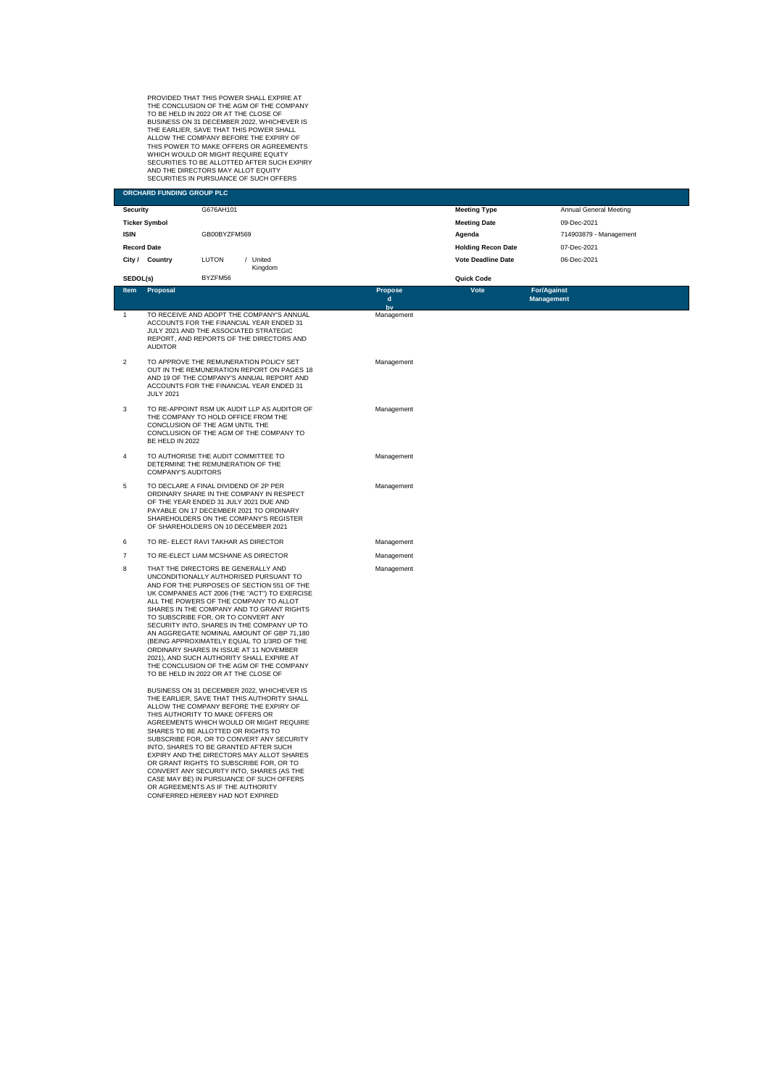PROVIDED THAT THIS POWER SHALL EXPIRE AT<br>THE CONCLUSION OF THE AGM OF THE COMPANY<br>TO BE HELD IN 2022 OR AT THE CLOSE OF<br>BUSINESS ON 31 DECEMBER 2022, WHICHEVER IS<br>THE EARLIER, SAVE THAT THIS POWER SHALL<br>THE FARLIER, SAVE T

|                 | <b>ORCHARD FUNDING GROUP PLC</b> |                                                                                                                                                                                                                                                                                                                                                                                                                                                                                                                                                                                                                                  |                   |                           |                        |
|-----------------|----------------------------------|----------------------------------------------------------------------------------------------------------------------------------------------------------------------------------------------------------------------------------------------------------------------------------------------------------------------------------------------------------------------------------------------------------------------------------------------------------------------------------------------------------------------------------------------------------------------------------------------------------------------------------|-------------------|---------------------------|------------------------|
| <b>Security</b> |                                  | G676AH101                                                                                                                                                                                                                                                                                                                                                                                                                                                                                                                                                                                                                        |                   | <b>Meeting Type</b>       | Annual General Meeting |
|                 | <b>Ticker Symbol</b>             |                                                                                                                                                                                                                                                                                                                                                                                                                                                                                                                                                                                                                                  |                   | <b>Meeting Date</b>       | 09-Dec-2021            |
| <b>ISIN</b>     |                                  | GB00BYZFM569                                                                                                                                                                                                                                                                                                                                                                                                                                                                                                                                                                                                                     |                   | Agenda                    | 714903879 - Management |
|                 | <b>Record Date</b>               |                                                                                                                                                                                                                                                                                                                                                                                                                                                                                                                                                                                                                                  |                   | <b>Holding Recon Date</b> | 07-Dec-2021            |
|                 | City / Country                   | <b>LUTON</b><br>/ United<br>Kingdom                                                                                                                                                                                                                                                                                                                                                                                                                                                                                                                                                                                              |                   | <b>Vote Deadline Date</b> | 06-Dec-2021            |
| SEDOL(s)        |                                  | BYZFM56                                                                                                                                                                                                                                                                                                                                                                                                                                                                                                                                                                                                                          |                   | Quick Code                |                        |
| Item            | Proposal                         |                                                                                                                                                                                                                                                                                                                                                                                                                                                                                                                                                                                                                                  | Propose           | Vote                      | <b>For/Against</b>     |
|                 |                                  |                                                                                                                                                                                                                                                                                                                                                                                                                                                                                                                                                                                                                                  | $\mathbf d$<br>hy |                           | <b>Management</b>      |
| 1               | <b>AUDITOR</b>                   | TO RECEIVE AND ADOPT THE COMPANY'S ANNUAL<br>ACCOUNTS FOR THE FINANCIAL YEAR ENDED 31<br>JULY 2021 AND THE ASSOCIATED STRATEGIC<br>REPORT, AND REPORTS OF THE DIRECTORS AND                                                                                                                                                                                                                                                                                                                                                                                                                                                      | Management        |                           |                        |
| $\overline{2}$  | <b>JULY 2021</b>                 | TO APPROVE THE REMUNERATION POLICY SET<br>OUT IN THE REMUNERATION REPORT ON PAGES 18<br>AND 19 OF THE COMPANY'S ANNUAL REPORT AND<br>ACCOUNTS FOR THE FINANCIAL YEAR ENDED 31                                                                                                                                                                                                                                                                                                                                                                                                                                                    | Management        |                           |                        |
| 3               | BE HELD IN 2022                  | TO RE-APPOINT RSM UK AUDIT LLP AS AUDITOR OF<br>THE COMPANY TO HOLD OFFICE FROM THE<br>CONCLUSION OF THE AGM UNTIL THE<br>CONCLUSION OF THE AGM OF THE COMPANY TO                                                                                                                                                                                                                                                                                                                                                                                                                                                                | Management        |                           |                        |
| 4               | <b>COMPANY'S AUDITORS</b>        | TO AUTHORISE THE AUDIT COMMITTEE TO<br>DETERMINE THE REMUNERATION OF THE                                                                                                                                                                                                                                                                                                                                                                                                                                                                                                                                                         | Management        |                           |                        |
| 5               |                                  | TO DECLARE A FINAL DIVIDEND OF 2P PER<br>ORDINARY SHARE IN THE COMPANY IN RESPECT<br>OF THE YEAR ENDED 31 JULY 2021 DUE AND<br>PAYABLE ON 17 DECEMBER 2021 TO ORDINARY<br>SHAREHOLDERS ON THE COMPANY'S REGISTER<br>OF SHAREHOLDERS ON 10 DECEMBER 2021                                                                                                                                                                                                                                                                                                                                                                          | Management        |                           |                        |
| 6               |                                  | TO RE- ELECT RAVI TAKHAR AS DIRECTOR                                                                                                                                                                                                                                                                                                                                                                                                                                                                                                                                                                                             | Management        |                           |                        |
| $\overline{7}$  |                                  | TO RE-ELECT LIAM MCSHANE AS DIRECTOR                                                                                                                                                                                                                                                                                                                                                                                                                                                                                                                                                                                             | Management        |                           |                        |
| 8               |                                  | THAT THE DIRECTORS BE GENERALLY AND<br>UNCONDITIONALLY AUTHORISED PURSUANT TO<br>AND FOR THE PURPOSES OF SECTION 551 OF THE<br>UK COMPANIES ACT 2006 (THE "ACT") TO EXERCISE<br>ALL THE POWERS OF THE COMPANY TO ALLOT<br>SHARES IN THE COMPANY AND TO GRANT RIGHTS<br>TO SUBSCRIBE FOR, OR TO CONVERT ANY<br>SECURITY INTO, SHARES IN THE COMPANY UP TO<br>AN AGGREGATE NOMINAL AMOUNT OF GBP 71,180<br>(BEING APPROXIMATELY EQUAL TO 1/3RD OF THE<br>ORDINARY SHARES IN ISSUE AT 11 NOVEMBER<br>2021), AND SUCH AUTHORITY SHALL EXPIRE AT<br>THE CONCLUSION OF THE AGM OF THE COMPANY<br>TO BE HELD IN 2022 OR AT THE CLOSE OF | Management        |                           |                        |
|                 |                                  | BUSINESS ON 31 DECEMBER 2022, WHICHEVER IS<br>THE EARLIER, SAVE THAT THIS AUTHORITY SHALL<br>ALLOW THE COMPANY BEFORE THE EXPIRY OF<br>THIS AUTHORITY TO MAKE OFFERS OR<br>AGREEMENTS WHICH WOULD OR MIGHT REQUIRE<br>SHARES TO BE ALLOTTED OR RIGHTS TO<br>SUBSCRIBE FOR, OR TO CONVERT ANY SECURITY<br>INTO, SHARES TO BE GRANTED AFTER SUCH<br>EXPIRY AND THE DIRECTORS MAY ALLOT SHARES<br>OR GRANT RIGHTS TO SUBSCRIBE FOR, OR TO<br>CONVERT ANY SECURITY INTO, SHARES (AS THE<br>CASE MAY BE) IN PURSUANCE OF SUCH OFFERS                                                                                                  |                   |                           |                        |

CASE MAY BE) IN PURSUANCE OF SUCH OFFERS OR AGREEMENTS AS IF THE AUTHORITY CONFERRED HEREBY HAD NOT EXPIRED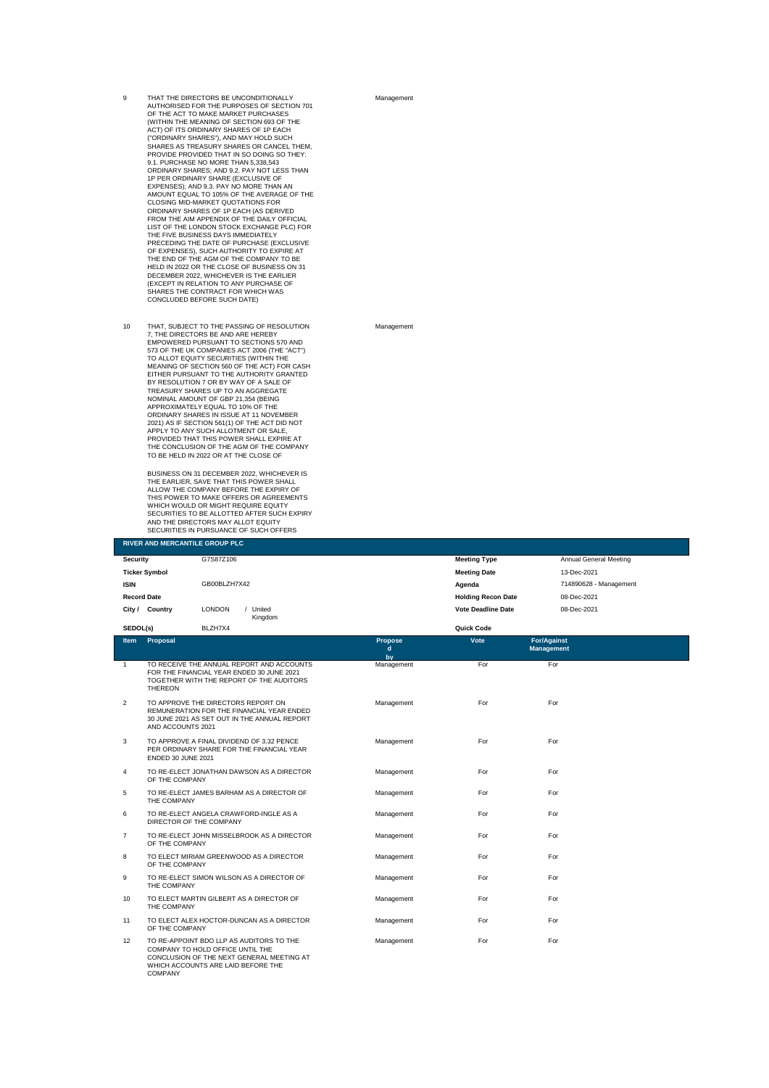- 9 THAT THE DIRECTORS BE UNCONDITIONALLY AUTHORISED FOR THE PURPOSES OF SECTION 701 OF THE ACT TO MAKE MARKET PURCHASES (WITHIN THE MEANING OF SECTION 693 OF THE ACT) OF ITS ORDINARY SHARES OF 1P EACH ("ORDINARY SHARES"), AND MAY HOLD SUCH SHARES AS TREASURY SHARES OR CANCEL THEM, PROVIDE PROVIDED THAT IN SO DOING SO THEY:<br>9.1. PURCHASE NO MORE THAN 5,338,543<br>ORDINARY SHARES; AND 9.2. PAY NOT LESS THAN<br>1P PER ORDINARY SHARE (EXCLUSIVE OF EXPENSES); AND 9.3. PAY NO MORE THAN AN AMOUNT EQUAL TO 105% OF THE AVERAGE OF THE CLOSING MID-MARKET QUOTATIONS FOR ORDINARY SHARES OF 1P EACH (AS DERIVED FROM THE AIM APPENDIX OF THE DAILY OFFICIAL LIST OF THE LONDON STOCK EXCHANGE PLC) FOR<br>THE FIVE BUSINESS DAYS IMMEDIATELY<br>PRECEDING THE DATE OF PURCHASE (EXCLUSIVE<br>OF EXPENSES), SUCH AUTHORITY TO EXPIRE AT<br>THE END OF THE AGM OF THE COMPANY TO BE<br>HELD IN 2022 OR THE DECEMBER 2022, WHICHEVER IS THE EARLIER (EXCEPT IN RELATION TO ANY PURCHASE OF SHARES THE CONTRACT FOR WHICH WAS CONCLUDED BEFORE SUCH DATE)
- 10 THAT, SUBJECT TO THE PASSING OF RESOLUTION 7, THE DIRECTORS BE AND ARE HEREBY EMPOWERED PURSUANT TO SECTIONS 570 AND 573 OF THE UK COMPANIES ACT 2006 (THE "ACT") TO ALLOT EQUITY SECURITIES (WITHIN THE MEANING OF SECTION 560 OF THE ACT) FOR CASH EITHER PURSUANT TO THE AUTHORITY GRANTED BY RESOLUTION 7 OR BY WAY OF A SALE OF TREASURY SHARES UP TO AN AGGREGATE NOMINAL AMOUNT OF GBP 21,354 (BEING APPROXIMATELY EQUAL TO 10% OF THE ORDINARY SHARES IN ISSUE AT 11 NOVEMBER 2021) AS IF SECTION 561(1) OF THE ACT DID NOT APPLY TO ANY SUCH ALLOTMENT OR SALE, PROVIDED THAT THIS POWER SHALL EXPIRE AT THE CONCLUSION OF THE AGM OF THE COMPANY TO BE HELD IN 2022 OR AT THE CLOSE OF

BUSINESS ON 31 DECEMBER 2022, WHICHEVER IS THE EARLIER, SAVE THAT THIS POWER SHALL ALLOW THE COMPANY BEFORE THE EXPIRY OF THIS POWER TO MAKE OFFERS OR AGREEMENTS WHICH WOULD OR MIGHT REQUIRE EQUITY SECURITIES TO BE ALLOTTED AFTER SUCH EXPIRY AND THE DIRECTORS MAY ALLOT EQUITY SECURITIES IN PURSUANCE OF SUCH OFFERS

**RIVER AND MERCANTILE GROUP PLC**

## Management

## Management

**City / Country** LONDON / United Kingdom **Item Propose d by** 1 TO RECEIVE THE ANNUAL REPORT AND ACCOUNTS **For a Management** Management **For a Formula** 2 For TO APPROVE THE DIRECTORS REPORT ON REMUNERATION FOR THE FINANCIAL YEAR ENDED 30 JUNE 2021 AS SET OUT IN THE ANNUAL REPORT 3 TO APPROVE A FINAL DIVIDEND OF 3.32 PENCE **FOR A SAME ASSAULT A CONSTRUSSION CONTROL** For 4 TO RE-ELECT JONATHAN DAWSON AS A DIRECTOR Management Management For Form of The COMPANY 5 TO RE-ELECT JAMES BARHAM AS A DIRECTOR OF THE Management Communist Communist Communist Communist Communist Co 6 FORE-ELECT ANGELA CRAWFORD-INGLE AS A **A CONSTANDING MANAGEMENT CONSTANTS** For 7 For TO RE-ELECT JOHN MISSELBROOK AS A DIRECTOR 8 TO ELECT MIRIAM GREENWOOD AS A DIRECTOR **For a Management** Management For 9 TO RE-ELECT SIMON WILSON AS A DIRECTOR OF THE Management Control of the Formula 10 TO ELECT MARTIN GILBERT AS A DIRECTOR OF THE MANAGEMENT MANAGEMENT CONTROLLERY OF THE STATE OF THE STATE OF 11 TO ELECT ALEX HOCTOR-DUNCAN AS A DIRECTOR **The Contract Contract Assets** For 12 For TO RE-APPOINT BDO LLP AS AUDITORS TO THE **Security Ticker Symbol Meeting Type Annual General Meeting Meeting Date Agenda** 714890628 - Management 13-Dec-2021 **Vote Deadline Date Holding Recon Date ISIN** G7S87Z106 GB00BLZH7X42 BLZH7X4 08-Dec-2021 08-Dec-2021 **Proposal Vote For/Against Management Record Date SEDOL(s) Quick Code** FOR THE FINANCIAL YEAR ENDED 30 JUNE 2021 TOGETHER WITH THE REPORT OF THE AUDITORS THEREON Management **For** For Follows AND ACCOUNTS 2021 Management For For For PER ORDINARY SHARE FOR THE FINANCIAL YEAR ENDED 30 JUNE 2021 Management For For For Management For For For THE COMPANY Management For For For DIRECTOR OF THE COMPANY Management For For For OF THE COMPANY Management **For** For For OF THE COMPANY Management For For For THE COMPANY Management For For For THE COMPANY Management For For For OF THE COMPANY Management For For For Management For For For

COMPANY TO HOLD OFFICE UNTIL THE CONCLUSION OF THE NEXT GENERAL MEETING AT WHICH ACCOUNTS ARE LAID BEFORE THE COMPANY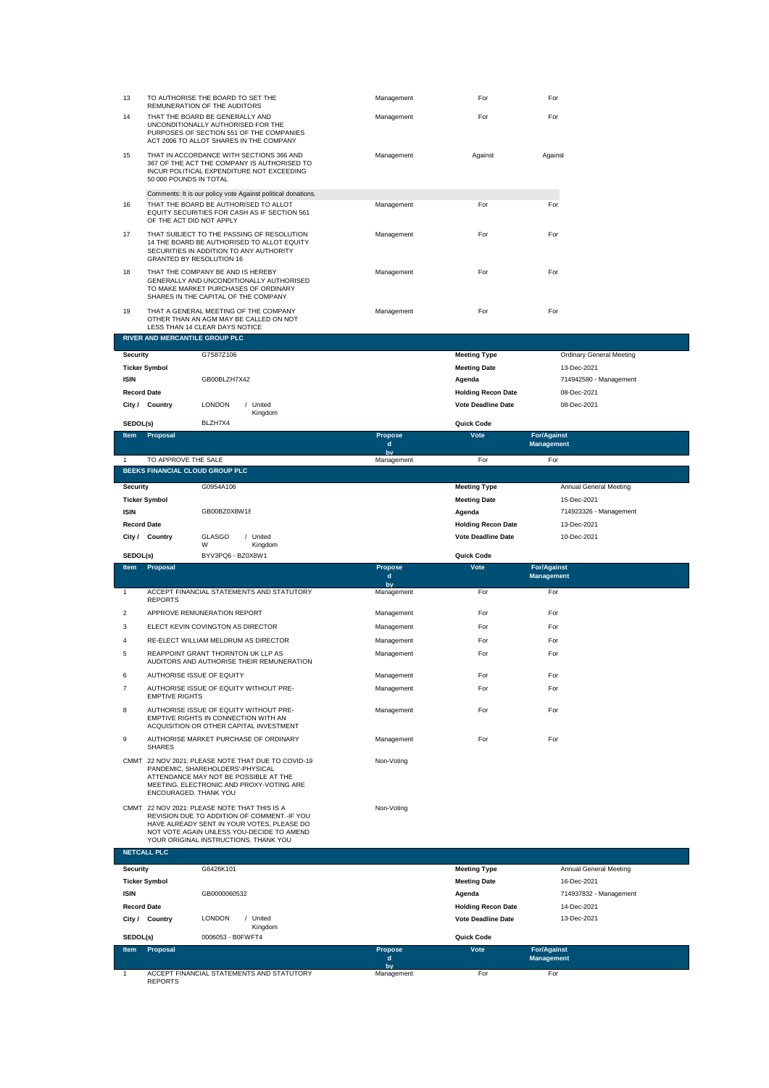| REMUNERATION OF THE AUDITORS<br>THAT THE BOARD BE GENERALLY AND<br>Management<br>For<br>For<br>UNCONDITIONALLY AUTHORISED FOR THE<br>PURPOSES OF SECTION 551 OF THE COMPANIES<br>ACT 2006 TO ALLOT SHARES IN THE COMPANY<br>THAT IN ACCORDANCE WITH SECTIONS 366 AND<br>Management<br>Against<br>Against<br>367 OF THE ACT THE COMPANY IS AUTHORISED TO<br>INCUR POLITICAL EXPENDITURE NOT EXCEEDING<br>50 000 POUNDS IN TOTAL<br>Comments: It is our policy vote Against political donations.<br>THAT THE BOARD BE AUTHORISED TO ALLOT<br>For<br>For<br>16<br>Management<br>EQUITY SECURITIES FOR CASH AS IF SECTION 561<br>OF THE ACT DID NOT APPLY<br>THAT SUBJECT TO THE PASSING OF RESOLUTION<br>Management<br>For<br>For<br>14 THE BOARD BE AUTHORISED TO ALLOT EQUITY<br>SECURITIES IN ADDITION TO ANY AUTHORITY<br>GRANTED BY RESOLUTION 16<br>THAT THE COMPANY BE AND IS HEREBY<br>Management<br>For<br>For<br>GENERALLY AND UNCONDITIONALLY AUTHORISED<br>TO MAKE MARKET PURCHASES OF ORDINARY<br>SHARES IN THE CAPITAL OF THE COMPANY<br>THAT A GENERAL MEETING OF THE COMPANY<br>Management<br>For<br>For<br>OTHER THAN AN AGM MAY BE CALLED ON NOT<br>LESS THAN 14 CLEAR DAYS NOTICE<br>RIVER AND MERCANTILE GROUP PLC<br>G7S87Z106<br><b>Meeting Type</b><br><b>Ordinary General Meeting</b><br><b>Security</b><br><b>Meeting Date</b><br>13-Dec-2021<br><b>Ticker Symbol</b><br>GB00BLZH7X42<br>714942580 - Management<br>ISIN<br>Agenda<br><b>Holding Recon Date</b><br><b>Record Date</b><br>08-Dec-2021<br>Country<br><b>LONDON</b><br>/ United<br><b>Vote Deadline Date</b><br>08-Dec-2021<br>City /<br>Kingdom<br>BLZH7X4<br>Quick Code<br>SEDOL(s)<br>Proposal<br>Propose<br>Vote<br><b>For/Against</b><br>Item<br>$\mathbf d$<br><b>Management</b><br>by<br>TO APPROVE THE SALE<br>Management<br>For<br>For<br>BEEKS FINANCIAL CLOUD GROUP PLC<br><b>Security</b><br>Annual General Meeting<br>G0954A106<br><b>Meeting Type</b><br><b>Meeting Date</b><br>15-Dec-2021<br><b>Ticker Symbol</b><br>ISIN<br>GB00BZ0X8W18<br>Agenda<br>714923326 - Management<br><b>Record Date</b><br><b>Holding Recon Date</b><br>13-Dec-2021<br><b>GLASGO</b><br>/ United<br><b>Vote Deadline Date</b><br>10-Dec-2021<br>City / Country<br>W<br>Kingdom<br>BYV3PQ6 - BZ0X8W1<br>Quick Code<br>SEDOL(s)<br>Vote<br><b>For/Against</b><br>Proposal<br>Propose<br><b>Item</b><br><b>Management</b><br>d<br>by<br>For<br>ACCEPT FINANCIAL STATEMENTS AND STATUTORY<br>For<br>Management<br><b>REPORTS</b><br>APPROVE REMUNERATION REPORT<br>Management<br>For<br>For<br>ELECT KEVIN COVINGTON AS DIRECTOR<br>Management<br>For<br>For<br>RE-ELECT WILLIAM MELDRUM AS DIRECTOR<br>Management<br>For<br>For<br>REAPPOINT GRANT THORNTON UK LLP AS<br>Management<br>For<br>For<br>AUDITORS AND AUTHORISE THEIR REMUNERATION<br>AUTHORISE ISSUE OF EQUITY<br>Management<br>For<br>For<br>AUTHORISE ISSUE OF EQUITY WITHOUT PRE-<br>Management<br>For<br>For<br><b>EMPTIVE RIGHTS</b><br>AUTHORISE ISSUE OF EQUITY WITHOUT PRE-<br>Management<br>For<br>For<br>EMPTIVE RIGHTS IN CONNECTION WITH AN<br>ACQUISITION OR OTHER CAPITAL INVESTMENT<br>AUTHORISE MARKET PURCHASE OF ORDINARY<br>For<br>Management<br>For<br><b>SHARES</b><br>CMMT 22 NOV 2021: PLEASE NOTE THAT DUE TO COVID-19<br>Non-Voting<br>PANDEMIC, SHAREHOLDERS'-PHYSICAL<br>ATTENDANCE MAY NOT BE POSSIBLE AT THE<br>MEETING. ELECTRONIC AND PROXY-VOTING ARE<br>ENCOURAGED. THANK YOU<br>CMMT 22 NOV 2021: PLEASE NOTE THAT THIS IS A<br>Non-Voting<br>REVISION DUE TO ADDITION OF COMMENT.-IF YOU<br>HAVE ALREADY SENT IN YOUR VOTES, PLEASE DO<br>NOT VOTE AGAIN UNLESS YOU-DECIDE TO AMEND<br>YOUR ORIGINAL INSTRUCTIONS. THANK YOU<br>G6426K101<br><b>Meeting Type</b><br>Annual General Meeting<br><b>Meeting Date</b><br>16-Dec-2021<br>GB0000060532<br>Agenda<br>714937832 - Management<br><b>Holding Recon Date</b><br>14-Dec-2021<br><b>Vote Deadline Date</b><br><b>LONDON</b><br>/ United<br>13-Dec-2021<br>Kingdom<br>0006053 - B0FWFT4<br>Quick Code<br>Vote<br><b>For/Against</b><br>Proposal<br>Propose<br><b>Management</b><br>d<br>bv<br>ACCEPT FINANCIAL STATEMENTS AND STATUTORY | 13                                                                                                                                                                                                                              | TO AUTHORISE THE BOARD TO SET THE | Management | For | For |
|----------------------------------------------------------------------------------------------------------------------------------------------------------------------------------------------------------------------------------------------------------------------------------------------------------------------------------------------------------------------------------------------------------------------------------------------------------------------------------------------------------------------------------------------------------------------------------------------------------------------------------------------------------------------------------------------------------------------------------------------------------------------------------------------------------------------------------------------------------------------------------------------------------------------------------------------------------------------------------------------------------------------------------------------------------------------------------------------------------------------------------------------------------------------------------------------------------------------------------------------------------------------------------------------------------------------------------------------------------------------------------------------------------------------------------------------------------------------------------------------------------------------------------------------------------------------------------------------------------------------------------------------------------------------------------------------------------------------------------------------------------------------------------------------------------------------------------------------------------------------------------------------------------------------------------------------------------------------------------------------------------------------------------------------------------------------------------------------------------------------------------------------------------------------------------------------------------------------------------------------------------------------------------------------------------------------------------------------------------------------------------------------------------------------------------------------------------------------------------------------------------------------------------------------------------------------------------------------------------------------------------------------------------------------------------------------------------------------------------------------------------------------------------------------------------------------------------------------------------------------------------------------------------------------------------------------------------------------------------------------------------------------------------------------------------------------------------------------------------------------------------------------------------------------------------------------------------------------------------------------------------------------------------------------------------------------------------------------------------------------------------------------------------------------------------------------------------------------------------------------------------------------------------------------------------------------------------------------------------------------------------------------------------------------------------------------------------------------------------------------------------------------------------------------------------------------------------------------------------------------------------------------------------------------------------------------------------------------------------------------------------------------------------------------------------------------------------------------------------------------------------------------------------------------|---------------------------------------------------------------------------------------------------------------------------------------------------------------------------------------------------------------------------------|-----------------------------------|------------|-----|-----|
|                                                                                                                                                                                                                                                                                                                                                                                                                                                                                                                                                                                                                                                                                                                                                                                                                                                                                                                                                                                                                                                                                                                                                                                                                                                                                                                                                                                                                                                                                                                                                                                                                                                                                                                                                                                                                                                                                                                                                                                                                                                                                                                                                                                                                                                                                                                                                                                                                                                                                                                                                                                                                                                                                                                                                                                                                                                                                                                                                                                                                                                                                                                                                                                                                                                                                                                                                                                                                                                                                                                                                                                                                                                                                                                                                                                                                                                                                                                                                                                                                                                                                                                                                                      | 14                                                                                                                                                                                                                              |                                   |            |     |     |
|                                                                                                                                                                                                                                                                                                                                                                                                                                                                                                                                                                                                                                                                                                                                                                                                                                                                                                                                                                                                                                                                                                                                                                                                                                                                                                                                                                                                                                                                                                                                                                                                                                                                                                                                                                                                                                                                                                                                                                                                                                                                                                                                                                                                                                                                                                                                                                                                                                                                                                                                                                                                                                                                                                                                                                                                                                                                                                                                                                                                                                                                                                                                                                                                                                                                                                                                                                                                                                                                                                                                                                                                                                                                                                                                                                                                                                                                                                                                                                                                                                                                                                                                                                      |                                                                                                                                                                                                                                 |                                   |            |     |     |
|                                                                                                                                                                                                                                                                                                                                                                                                                                                                                                                                                                                                                                                                                                                                                                                                                                                                                                                                                                                                                                                                                                                                                                                                                                                                                                                                                                                                                                                                                                                                                                                                                                                                                                                                                                                                                                                                                                                                                                                                                                                                                                                                                                                                                                                                                                                                                                                                                                                                                                                                                                                                                                                                                                                                                                                                                                                                                                                                                                                                                                                                                                                                                                                                                                                                                                                                                                                                                                                                                                                                                                                                                                                                                                                                                                                                                                                                                                                                                                                                                                                                                                                                                                      |                                                                                                                                                                                                                                 |                                   |            |     |     |
|                                                                                                                                                                                                                                                                                                                                                                                                                                                                                                                                                                                                                                                                                                                                                                                                                                                                                                                                                                                                                                                                                                                                                                                                                                                                                                                                                                                                                                                                                                                                                                                                                                                                                                                                                                                                                                                                                                                                                                                                                                                                                                                                                                                                                                                                                                                                                                                                                                                                                                                                                                                                                                                                                                                                                                                                                                                                                                                                                                                                                                                                                                                                                                                                                                                                                                                                                                                                                                                                                                                                                                                                                                                                                                                                                                                                                                                                                                                                                                                                                                                                                                                                                                      | 15                                                                                                                                                                                                                              |                                   |            |     |     |
|                                                                                                                                                                                                                                                                                                                                                                                                                                                                                                                                                                                                                                                                                                                                                                                                                                                                                                                                                                                                                                                                                                                                                                                                                                                                                                                                                                                                                                                                                                                                                                                                                                                                                                                                                                                                                                                                                                                                                                                                                                                                                                                                                                                                                                                                                                                                                                                                                                                                                                                                                                                                                                                                                                                                                                                                                                                                                                                                                                                                                                                                                                                                                                                                                                                                                                                                                                                                                                                                                                                                                                                                                                                                                                                                                                                                                                                                                                                                                                                                                                                                                                                                                                      |                                                                                                                                                                                                                                 |                                   |            |     |     |
|                                                                                                                                                                                                                                                                                                                                                                                                                                                                                                                                                                                                                                                                                                                                                                                                                                                                                                                                                                                                                                                                                                                                                                                                                                                                                                                                                                                                                                                                                                                                                                                                                                                                                                                                                                                                                                                                                                                                                                                                                                                                                                                                                                                                                                                                                                                                                                                                                                                                                                                                                                                                                                                                                                                                                                                                                                                                                                                                                                                                                                                                                                                                                                                                                                                                                                                                                                                                                                                                                                                                                                                                                                                                                                                                                                                                                                                                                                                                                                                                                                                                                                                                                                      |                                                                                                                                                                                                                                 |                                   |            |     |     |
|                                                                                                                                                                                                                                                                                                                                                                                                                                                                                                                                                                                                                                                                                                                                                                                                                                                                                                                                                                                                                                                                                                                                                                                                                                                                                                                                                                                                                                                                                                                                                                                                                                                                                                                                                                                                                                                                                                                                                                                                                                                                                                                                                                                                                                                                                                                                                                                                                                                                                                                                                                                                                                                                                                                                                                                                                                                                                                                                                                                                                                                                                                                                                                                                                                                                                                                                                                                                                                                                                                                                                                                                                                                                                                                                                                                                                                                                                                                                                                                                                                                                                                                                                                      |                                                                                                                                                                                                                                 |                                   |            |     |     |
|                                                                                                                                                                                                                                                                                                                                                                                                                                                                                                                                                                                                                                                                                                                                                                                                                                                                                                                                                                                                                                                                                                                                                                                                                                                                                                                                                                                                                                                                                                                                                                                                                                                                                                                                                                                                                                                                                                                                                                                                                                                                                                                                                                                                                                                                                                                                                                                                                                                                                                                                                                                                                                                                                                                                                                                                                                                                                                                                                                                                                                                                                                                                                                                                                                                                                                                                                                                                                                                                                                                                                                                                                                                                                                                                                                                                                                                                                                                                                                                                                                                                                                                                                                      |                                                                                                                                                                                                                                 |                                   |            |     |     |
|                                                                                                                                                                                                                                                                                                                                                                                                                                                                                                                                                                                                                                                                                                                                                                                                                                                                                                                                                                                                                                                                                                                                                                                                                                                                                                                                                                                                                                                                                                                                                                                                                                                                                                                                                                                                                                                                                                                                                                                                                                                                                                                                                                                                                                                                                                                                                                                                                                                                                                                                                                                                                                                                                                                                                                                                                                                                                                                                                                                                                                                                                                                                                                                                                                                                                                                                                                                                                                                                                                                                                                                                                                                                                                                                                                                                                                                                                                                                                                                                                                                                                                                                                                      |                                                                                                                                                                                                                                 |                                   |            |     |     |
|                                                                                                                                                                                                                                                                                                                                                                                                                                                                                                                                                                                                                                                                                                                                                                                                                                                                                                                                                                                                                                                                                                                                                                                                                                                                                                                                                                                                                                                                                                                                                                                                                                                                                                                                                                                                                                                                                                                                                                                                                                                                                                                                                                                                                                                                                                                                                                                                                                                                                                                                                                                                                                                                                                                                                                                                                                                                                                                                                                                                                                                                                                                                                                                                                                                                                                                                                                                                                                                                                                                                                                                                                                                                                                                                                                                                                                                                                                                                                                                                                                                                                                                                                                      |                                                                                                                                                                                                                                 |                                   |            |     |     |
|                                                                                                                                                                                                                                                                                                                                                                                                                                                                                                                                                                                                                                                                                                                                                                                                                                                                                                                                                                                                                                                                                                                                                                                                                                                                                                                                                                                                                                                                                                                                                                                                                                                                                                                                                                                                                                                                                                                                                                                                                                                                                                                                                                                                                                                                                                                                                                                                                                                                                                                                                                                                                                                                                                                                                                                                                                                                                                                                                                                                                                                                                                                                                                                                                                                                                                                                                                                                                                                                                                                                                                                                                                                                                                                                                                                                                                                                                                                                                                                                                                                                                                                                                                      | 17                                                                                                                                                                                                                              |                                   |            |     |     |
|                                                                                                                                                                                                                                                                                                                                                                                                                                                                                                                                                                                                                                                                                                                                                                                                                                                                                                                                                                                                                                                                                                                                                                                                                                                                                                                                                                                                                                                                                                                                                                                                                                                                                                                                                                                                                                                                                                                                                                                                                                                                                                                                                                                                                                                                                                                                                                                                                                                                                                                                                                                                                                                                                                                                                                                                                                                                                                                                                                                                                                                                                                                                                                                                                                                                                                                                                                                                                                                                                                                                                                                                                                                                                                                                                                                                                                                                                                                                                                                                                                                                                                                                                                      |                                                                                                                                                                                                                                 |                                   |            |     |     |
|                                                                                                                                                                                                                                                                                                                                                                                                                                                                                                                                                                                                                                                                                                                                                                                                                                                                                                                                                                                                                                                                                                                                                                                                                                                                                                                                                                                                                                                                                                                                                                                                                                                                                                                                                                                                                                                                                                                                                                                                                                                                                                                                                                                                                                                                                                                                                                                                                                                                                                                                                                                                                                                                                                                                                                                                                                                                                                                                                                                                                                                                                                                                                                                                                                                                                                                                                                                                                                                                                                                                                                                                                                                                                                                                                                                                                                                                                                                                                                                                                                                                                                                                                                      |                                                                                                                                                                                                                                 |                                   |            |     |     |
|                                                                                                                                                                                                                                                                                                                                                                                                                                                                                                                                                                                                                                                                                                                                                                                                                                                                                                                                                                                                                                                                                                                                                                                                                                                                                                                                                                                                                                                                                                                                                                                                                                                                                                                                                                                                                                                                                                                                                                                                                                                                                                                                                                                                                                                                                                                                                                                                                                                                                                                                                                                                                                                                                                                                                                                                                                                                                                                                                                                                                                                                                                                                                                                                                                                                                                                                                                                                                                                                                                                                                                                                                                                                                                                                                                                                                                                                                                                                                                                                                                                                                                                                                                      | 18                                                                                                                                                                                                                              |                                   |            |     |     |
|                                                                                                                                                                                                                                                                                                                                                                                                                                                                                                                                                                                                                                                                                                                                                                                                                                                                                                                                                                                                                                                                                                                                                                                                                                                                                                                                                                                                                                                                                                                                                                                                                                                                                                                                                                                                                                                                                                                                                                                                                                                                                                                                                                                                                                                                                                                                                                                                                                                                                                                                                                                                                                                                                                                                                                                                                                                                                                                                                                                                                                                                                                                                                                                                                                                                                                                                                                                                                                                                                                                                                                                                                                                                                                                                                                                                                                                                                                                                                                                                                                                                                                                                                                      |                                                                                                                                                                                                                                 |                                   |            |     |     |
|                                                                                                                                                                                                                                                                                                                                                                                                                                                                                                                                                                                                                                                                                                                                                                                                                                                                                                                                                                                                                                                                                                                                                                                                                                                                                                                                                                                                                                                                                                                                                                                                                                                                                                                                                                                                                                                                                                                                                                                                                                                                                                                                                                                                                                                                                                                                                                                                                                                                                                                                                                                                                                                                                                                                                                                                                                                                                                                                                                                                                                                                                                                                                                                                                                                                                                                                                                                                                                                                                                                                                                                                                                                                                                                                                                                                                                                                                                                                                                                                                                                                                                                                                                      |                                                                                                                                                                                                                                 |                                   |            |     |     |
|                                                                                                                                                                                                                                                                                                                                                                                                                                                                                                                                                                                                                                                                                                                                                                                                                                                                                                                                                                                                                                                                                                                                                                                                                                                                                                                                                                                                                                                                                                                                                                                                                                                                                                                                                                                                                                                                                                                                                                                                                                                                                                                                                                                                                                                                                                                                                                                                                                                                                                                                                                                                                                                                                                                                                                                                                                                                                                                                                                                                                                                                                                                                                                                                                                                                                                                                                                                                                                                                                                                                                                                                                                                                                                                                                                                                                                                                                                                                                                                                                                                                                                                                                                      | 19                                                                                                                                                                                                                              |                                   |            |     |     |
|                                                                                                                                                                                                                                                                                                                                                                                                                                                                                                                                                                                                                                                                                                                                                                                                                                                                                                                                                                                                                                                                                                                                                                                                                                                                                                                                                                                                                                                                                                                                                                                                                                                                                                                                                                                                                                                                                                                                                                                                                                                                                                                                                                                                                                                                                                                                                                                                                                                                                                                                                                                                                                                                                                                                                                                                                                                                                                                                                                                                                                                                                                                                                                                                                                                                                                                                                                                                                                                                                                                                                                                                                                                                                                                                                                                                                                                                                                                                                                                                                                                                                                                                                                      |                                                                                                                                                                                                                                 |                                   |            |     |     |
|                                                                                                                                                                                                                                                                                                                                                                                                                                                                                                                                                                                                                                                                                                                                                                                                                                                                                                                                                                                                                                                                                                                                                                                                                                                                                                                                                                                                                                                                                                                                                                                                                                                                                                                                                                                                                                                                                                                                                                                                                                                                                                                                                                                                                                                                                                                                                                                                                                                                                                                                                                                                                                                                                                                                                                                                                                                                                                                                                                                                                                                                                                                                                                                                                                                                                                                                                                                                                                                                                                                                                                                                                                                                                                                                                                                                                                                                                                                                                                                                                                                                                                                                                                      |                                                                                                                                                                                                                                 |                                   |            |     |     |
|                                                                                                                                                                                                                                                                                                                                                                                                                                                                                                                                                                                                                                                                                                                                                                                                                                                                                                                                                                                                                                                                                                                                                                                                                                                                                                                                                                                                                                                                                                                                                                                                                                                                                                                                                                                                                                                                                                                                                                                                                                                                                                                                                                                                                                                                                                                                                                                                                                                                                                                                                                                                                                                                                                                                                                                                                                                                                                                                                                                                                                                                                                                                                                                                                                                                                                                                                                                                                                                                                                                                                                                                                                                                                                                                                                                                                                                                                                                                                                                                                                                                                                                                                                      |                                                                                                                                                                                                                                 |                                   |            |     |     |
|                                                                                                                                                                                                                                                                                                                                                                                                                                                                                                                                                                                                                                                                                                                                                                                                                                                                                                                                                                                                                                                                                                                                                                                                                                                                                                                                                                                                                                                                                                                                                                                                                                                                                                                                                                                                                                                                                                                                                                                                                                                                                                                                                                                                                                                                                                                                                                                                                                                                                                                                                                                                                                                                                                                                                                                                                                                                                                                                                                                                                                                                                                                                                                                                                                                                                                                                                                                                                                                                                                                                                                                                                                                                                                                                                                                                                                                                                                                                                                                                                                                                                                                                                                      |                                                                                                                                                                                                                                 |                                   |            |     |     |
|                                                                                                                                                                                                                                                                                                                                                                                                                                                                                                                                                                                                                                                                                                                                                                                                                                                                                                                                                                                                                                                                                                                                                                                                                                                                                                                                                                                                                                                                                                                                                                                                                                                                                                                                                                                                                                                                                                                                                                                                                                                                                                                                                                                                                                                                                                                                                                                                                                                                                                                                                                                                                                                                                                                                                                                                                                                                                                                                                                                                                                                                                                                                                                                                                                                                                                                                                                                                                                                                                                                                                                                                                                                                                                                                                                                                                                                                                                                                                                                                                                                                                                                                                                      |                                                                                                                                                                                                                                 |                                   |            |     |     |
|                                                                                                                                                                                                                                                                                                                                                                                                                                                                                                                                                                                                                                                                                                                                                                                                                                                                                                                                                                                                                                                                                                                                                                                                                                                                                                                                                                                                                                                                                                                                                                                                                                                                                                                                                                                                                                                                                                                                                                                                                                                                                                                                                                                                                                                                                                                                                                                                                                                                                                                                                                                                                                                                                                                                                                                                                                                                                                                                                                                                                                                                                                                                                                                                                                                                                                                                                                                                                                                                                                                                                                                                                                                                                                                                                                                                                                                                                                                                                                                                                                                                                                                                                                      |                                                                                                                                                                                                                                 |                                   |            |     |     |
|                                                                                                                                                                                                                                                                                                                                                                                                                                                                                                                                                                                                                                                                                                                                                                                                                                                                                                                                                                                                                                                                                                                                                                                                                                                                                                                                                                                                                                                                                                                                                                                                                                                                                                                                                                                                                                                                                                                                                                                                                                                                                                                                                                                                                                                                                                                                                                                                                                                                                                                                                                                                                                                                                                                                                                                                                                                                                                                                                                                                                                                                                                                                                                                                                                                                                                                                                                                                                                                                                                                                                                                                                                                                                                                                                                                                                                                                                                                                                                                                                                                                                                                                                                      |                                                                                                                                                                                                                                 |                                   |            |     |     |
|                                                                                                                                                                                                                                                                                                                                                                                                                                                                                                                                                                                                                                                                                                                                                                                                                                                                                                                                                                                                                                                                                                                                                                                                                                                                                                                                                                                                                                                                                                                                                                                                                                                                                                                                                                                                                                                                                                                                                                                                                                                                                                                                                                                                                                                                                                                                                                                                                                                                                                                                                                                                                                                                                                                                                                                                                                                                                                                                                                                                                                                                                                                                                                                                                                                                                                                                                                                                                                                                                                                                                                                                                                                                                                                                                                                                                                                                                                                                                                                                                                                                                                                                                                      |                                                                                                                                                                                                                                 |                                   |            |     |     |
|                                                                                                                                                                                                                                                                                                                                                                                                                                                                                                                                                                                                                                                                                                                                                                                                                                                                                                                                                                                                                                                                                                                                                                                                                                                                                                                                                                                                                                                                                                                                                                                                                                                                                                                                                                                                                                                                                                                                                                                                                                                                                                                                                                                                                                                                                                                                                                                                                                                                                                                                                                                                                                                                                                                                                                                                                                                                                                                                                                                                                                                                                                                                                                                                                                                                                                                                                                                                                                                                                                                                                                                                                                                                                                                                                                                                                                                                                                                                                                                                                                                                                                                                                                      |                                                                                                                                                                                                                                 |                                   |            |     |     |
|                                                                                                                                                                                                                                                                                                                                                                                                                                                                                                                                                                                                                                                                                                                                                                                                                                                                                                                                                                                                                                                                                                                                                                                                                                                                                                                                                                                                                                                                                                                                                                                                                                                                                                                                                                                                                                                                                                                                                                                                                                                                                                                                                                                                                                                                                                                                                                                                                                                                                                                                                                                                                                                                                                                                                                                                                                                                                                                                                                                                                                                                                                                                                                                                                                                                                                                                                                                                                                                                                                                                                                                                                                                                                                                                                                                                                                                                                                                                                                                                                                                                                                                                                                      |                                                                                                                                                                                                                                 |                                   |            |     |     |
|                                                                                                                                                                                                                                                                                                                                                                                                                                                                                                                                                                                                                                                                                                                                                                                                                                                                                                                                                                                                                                                                                                                                                                                                                                                                                                                                                                                                                                                                                                                                                                                                                                                                                                                                                                                                                                                                                                                                                                                                                                                                                                                                                                                                                                                                                                                                                                                                                                                                                                                                                                                                                                                                                                                                                                                                                                                                                                                                                                                                                                                                                                                                                                                                                                                                                                                                                                                                                                                                                                                                                                                                                                                                                                                                                                                                                                                                                                                                                                                                                                                                                                                                                                      |                                                                                                                                                                                                                                 |                                   |            |     |     |
|                                                                                                                                                                                                                                                                                                                                                                                                                                                                                                                                                                                                                                                                                                                                                                                                                                                                                                                                                                                                                                                                                                                                                                                                                                                                                                                                                                                                                                                                                                                                                                                                                                                                                                                                                                                                                                                                                                                                                                                                                                                                                                                                                                                                                                                                                                                                                                                                                                                                                                                                                                                                                                                                                                                                                                                                                                                                                                                                                                                                                                                                                                                                                                                                                                                                                                                                                                                                                                                                                                                                                                                                                                                                                                                                                                                                                                                                                                                                                                                                                                                                                                                                                                      |                                                                                                                                                                                                                                 |                                   |            |     |     |
|                                                                                                                                                                                                                                                                                                                                                                                                                                                                                                                                                                                                                                                                                                                                                                                                                                                                                                                                                                                                                                                                                                                                                                                                                                                                                                                                                                                                                                                                                                                                                                                                                                                                                                                                                                                                                                                                                                                                                                                                                                                                                                                                                                                                                                                                                                                                                                                                                                                                                                                                                                                                                                                                                                                                                                                                                                                                                                                                                                                                                                                                                                                                                                                                                                                                                                                                                                                                                                                                                                                                                                                                                                                                                                                                                                                                                                                                                                                                                                                                                                                                                                                                                                      |                                                                                                                                                                                                                                 |                                   |            |     |     |
|                                                                                                                                                                                                                                                                                                                                                                                                                                                                                                                                                                                                                                                                                                                                                                                                                                                                                                                                                                                                                                                                                                                                                                                                                                                                                                                                                                                                                                                                                                                                                                                                                                                                                                                                                                                                                                                                                                                                                                                                                                                                                                                                                                                                                                                                                                                                                                                                                                                                                                                                                                                                                                                                                                                                                                                                                                                                                                                                                                                                                                                                                                                                                                                                                                                                                                                                                                                                                                                                                                                                                                                                                                                                                                                                                                                                                                                                                                                                                                                                                                                                                                                                                                      |                                                                                                                                                                                                                                 |                                   |            |     |     |
|                                                                                                                                                                                                                                                                                                                                                                                                                                                                                                                                                                                                                                                                                                                                                                                                                                                                                                                                                                                                                                                                                                                                                                                                                                                                                                                                                                                                                                                                                                                                                                                                                                                                                                                                                                                                                                                                                                                                                                                                                                                                                                                                                                                                                                                                                                                                                                                                                                                                                                                                                                                                                                                                                                                                                                                                                                                                                                                                                                                                                                                                                                                                                                                                                                                                                                                                                                                                                                                                                                                                                                                                                                                                                                                                                                                                                                                                                                                                                                                                                                                                                                                                                                      |                                                                                                                                                                                                                                 |                                   |            |     |     |
|                                                                                                                                                                                                                                                                                                                                                                                                                                                                                                                                                                                                                                                                                                                                                                                                                                                                                                                                                                                                                                                                                                                                                                                                                                                                                                                                                                                                                                                                                                                                                                                                                                                                                                                                                                                                                                                                                                                                                                                                                                                                                                                                                                                                                                                                                                                                                                                                                                                                                                                                                                                                                                                                                                                                                                                                                                                                                                                                                                                                                                                                                                                                                                                                                                                                                                                                                                                                                                                                                                                                                                                                                                                                                                                                                                                                                                                                                                                                                                                                                                                                                                                                                                      |                                                                                                                                                                                                                                 |                                   |            |     |     |
|                                                                                                                                                                                                                                                                                                                                                                                                                                                                                                                                                                                                                                                                                                                                                                                                                                                                                                                                                                                                                                                                                                                                                                                                                                                                                                                                                                                                                                                                                                                                                                                                                                                                                                                                                                                                                                                                                                                                                                                                                                                                                                                                                                                                                                                                                                                                                                                                                                                                                                                                                                                                                                                                                                                                                                                                                                                                                                                                                                                                                                                                                                                                                                                                                                                                                                                                                                                                                                                                                                                                                                                                                                                                                                                                                                                                                                                                                                                                                                                                                                                                                                                                                                      |                                                                                                                                                                                                                                 |                                   |            |     |     |
|                                                                                                                                                                                                                                                                                                                                                                                                                                                                                                                                                                                                                                                                                                                                                                                                                                                                                                                                                                                                                                                                                                                                                                                                                                                                                                                                                                                                                                                                                                                                                                                                                                                                                                                                                                                                                                                                                                                                                                                                                                                                                                                                                                                                                                                                                                                                                                                                                                                                                                                                                                                                                                                                                                                                                                                                                                                                                                                                                                                                                                                                                                                                                                                                                                                                                                                                                                                                                                                                                                                                                                                                                                                                                                                                                                                                                                                                                                                                                                                                                                                                                                                                                                      |                                                                                                                                                                                                                                 |                                   |            |     |     |
|                                                                                                                                                                                                                                                                                                                                                                                                                                                                                                                                                                                                                                                                                                                                                                                                                                                                                                                                                                                                                                                                                                                                                                                                                                                                                                                                                                                                                                                                                                                                                                                                                                                                                                                                                                                                                                                                                                                                                                                                                                                                                                                                                                                                                                                                                                                                                                                                                                                                                                                                                                                                                                                                                                                                                                                                                                                                                                                                                                                                                                                                                                                                                                                                                                                                                                                                                                                                                                                                                                                                                                                                                                                                                                                                                                                                                                                                                                                                                                                                                                                                                                                                                                      |                                                                                                                                                                                                                                 |                                   |            |     |     |
|                                                                                                                                                                                                                                                                                                                                                                                                                                                                                                                                                                                                                                                                                                                                                                                                                                                                                                                                                                                                                                                                                                                                                                                                                                                                                                                                                                                                                                                                                                                                                                                                                                                                                                                                                                                                                                                                                                                                                                                                                                                                                                                                                                                                                                                                                                                                                                                                                                                                                                                                                                                                                                                                                                                                                                                                                                                                                                                                                                                                                                                                                                                                                                                                                                                                                                                                                                                                                                                                                                                                                                                                                                                                                                                                                                                                                                                                                                                                                                                                                                                                                                                                                                      |                                                                                                                                                                                                                                 |                                   |            |     |     |
|                                                                                                                                                                                                                                                                                                                                                                                                                                                                                                                                                                                                                                                                                                                                                                                                                                                                                                                                                                                                                                                                                                                                                                                                                                                                                                                                                                                                                                                                                                                                                                                                                                                                                                                                                                                                                                                                                                                                                                                                                                                                                                                                                                                                                                                                                                                                                                                                                                                                                                                                                                                                                                                                                                                                                                                                                                                                                                                                                                                                                                                                                                                                                                                                                                                                                                                                                                                                                                                                                                                                                                                                                                                                                                                                                                                                                                                                                                                                                                                                                                                                                                                                                                      |                                                                                                                                                                                                                                 |                                   |            |     |     |
|                                                                                                                                                                                                                                                                                                                                                                                                                                                                                                                                                                                                                                                                                                                                                                                                                                                                                                                                                                                                                                                                                                                                                                                                                                                                                                                                                                                                                                                                                                                                                                                                                                                                                                                                                                                                                                                                                                                                                                                                                                                                                                                                                                                                                                                                                                                                                                                                                                                                                                                                                                                                                                                                                                                                                                                                                                                                                                                                                                                                                                                                                                                                                                                                                                                                                                                                                                                                                                                                                                                                                                                                                                                                                                                                                                                                                                                                                                                                                                                                                                                                                                                                                                      |                                                                                                                                                                                                                                 |                                   |            |     |     |
|                                                                                                                                                                                                                                                                                                                                                                                                                                                                                                                                                                                                                                                                                                                                                                                                                                                                                                                                                                                                                                                                                                                                                                                                                                                                                                                                                                                                                                                                                                                                                                                                                                                                                                                                                                                                                                                                                                                                                                                                                                                                                                                                                                                                                                                                                                                                                                                                                                                                                                                                                                                                                                                                                                                                                                                                                                                                                                                                                                                                                                                                                                                                                                                                                                                                                                                                                                                                                                                                                                                                                                                                                                                                                                                                                                                                                                                                                                                                                                                                                                                                                                                                                                      |                                                                                                                                                                                                                                 |                                   |            |     |     |
|                                                                                                                                                                                                                                                                                                                                                                                                                                                                                                                                                                                                                                                                                                                                                                                                                                                                                                                                                                                                                                                                                                                                                                                                                                                                                                                                                                                                                                                                                                                                                                                                                                                                                                                                                                                                                                                                                                                                                                                                                                                                                                                                                                                                                                                                                                                                                                                                                                                                                                                                                                                                                                                                                                                                                                                                                                                                                                                                                                                                                                                                                                                                                                                                                                                                                                                                                                                                                                                                                                                                                                                                                                                                                                                                                                                                                                                                                                                                                                                                                                                                                                                                                                      |                                                                                                                                                                                                                                 |                                   |            |     |     |
|                                                                                                                                                                                                                                                                                                                                                                                                                                                                                                                                                                                                                                                                                                                                                                                                                                                                                                                                                                                                                                                                                                                                                                                                                                                                                                                                                                                                                                                                                                                                                                                                                                                                                                                                                                                                                                                                                                                                                                                                                                                                                                                                                                                                                                                                                                                                                                                                                                                                                                                                                                                                                                                                                                                                                                                                                                                                                                                                                                                                                                                                                                                                                                                                                                                                                                                                                                                                                                                                                                                                                                                                                                                                                                                                                                                                                                                                                                                                                                                                                                                                                                                                                                      |                                                                                                                                                                                                                                 |                                   |            |     |     |
|                                                                                                                                                                                                                                                                                                                                                                                                                                                                                                                                                                                                                                                                                                                                                                                                                                                                                                                                                                                                                                                                                                                                                                                                                                                                                                                                                                                                                                                                                                                                                                                                                                                                                                                                                                                                                                                                                                                                                                                                                                                                                                                                                                                                                                                                                                                                                                                                                                                                                                                                                                                                                                                                                                                                                                                                                                                                                                                                                                                                                                                                                                                                                                                                                                                                                                                                                                                                                                                                                                                                                                                                                                                                                                                                                                                                                                                                                                                                                                                                                                                                                                                                                                      |                                                                                                                                                                                                                                 |                                   |            |     |     |
|                                                                                                                                                                                                                                                                                                                                                                                                                                                                                                                                                                                                                                                                                                                                                                                                                                                                                                                                                                                                                                                                                                                                                                                                                                                                                                                                                                                                                                                                                                                                                                                                                                                                                                                                                                                                                                                                                                                                                                                                                                                                                                                                                                                                                                                                                                                                                                                                                                                                                                                                                                                                                                                                                                                                                                                                                                                                                                                                                                                                                                                                                                                                                                                                                                                                                                                                                                                                                                                                                                                                                                                                                                                                                                                                                                                                                                                                                                                                                                                                                                                                                                                                                                      |                                                                                                                                                                                                                                 |                                   |            |     |     |
|                                                                                                                                                                                                                                                                                                                                                                                                                                                                                                                                                                                                                                                                                                                                                                                                                                                                                                                                                                                                                                                                                                                                                                                                                                                                                                                                                                                                                                                                                                                                                                                                                                                                                                                                                                                                                                                                                                                                                                                                                                                                                                                                                                                                                                                                                                                                                                                                                                                                                                                                                                                                                                                                                                                                                                                                                                                                                                                                                                                                                                                                                                                                                                                                                                                                                                                                                                                                                                                                                                                                                                                                                                                                                                                                                                                                                                                                                                                                                                                                                                                                                                                                                                      |                                                                                                                                                                                                                                 |                                   |            |     |     |
|                                                                                                                                                                                                                                                                                                                                                                                                                                                                                                                                                                                                                                                                                                                                                                                                                                                                                                                                                                                                                                                                                                                                                                                                                                                                                                                                                                                                                                                                                                                                                                                                                                                                                                                                                                                                                                                                                                                                                                                                                                                                                                                                                                                                                                                                                                                                                                                                                                                                                                                                                                                                                                                                                                                                                                                                                                                                                                                                                                                                                                                                                                                                                                                                                                                                                                                                                                                                                                                                                                                                                                                                                                                                                                                                                                                                                                                                                                                                                                                                                                                                                                                                                                      |                                                                                                                                                                                                                                 |                                   |            |     |     |
|                                                                                                                                                                                                                                                                                                                                                                                                                                                                                                                                                                                                                                                                                                                                                                                                                                                                                                                                                                                                                                                                                                                                                                                                                                                                                                                                                                                                                                                                                                                                                                                                                                                                                                                                                                                                                                                                                                                                                                                                                                                                                                                                                                                                                                                                                                                                                                                                                                                                                                                                                                                                                                                                                                                                                                                                                                                                                                                                                                                                                                                                                                                                                                                                                                                                                                                                                                                                                                                                                                                                                                                                                                                                                                                                                                                                                                                                                                                                                                                                                                                                                                                                                                      |                                                                                                                                                                                                                                 |                                   |            |     |     |
|                                                                                                                                                                                                                                                                                                                                                                                                                                                                                                                                                                                                                                                                                                                                                                                                                                                                                                                                                                                                                                                                                                                                                                                                                                                                                                                                                                                                                                                                                                                                                                                                                                                                                                                                                                                                                                                                                                                                                                                                                                                                                                                                                                                                                                                                                                                                                                                                                                                                                                                                                                                                                                                                                                                                                                                                                                                                                                                                                                                                                                                                                                                                                                                                                                                                                                                                                                                                                                                                                                                                                                                                                                                                                                                                                                                                                                                                                                                                                                                                                                                                                                                                                                      |                                                                                                                                                                                                                                 |                                   |            |     |     |
|                                                                                                                                                                                                                                                                                                                                                                                                                                                                                                                                                                                                                                                                                                                                                                                                                                                                                                                                                                                                                                                                                                                                                                                                                                                                                                                                                                                                                                                                                                                                                                                                                                                                                                                                                                                                                                                                                                                                                                                                                                                                                                                                                                                                                                                                                                                                                                                                                                                                                                                                                                                                                                                                                                                                                                                                                                                                                                                                                                                                                                                                                                                                                                                                                                                                                                                                                                                                                                                                                                                                                                                                                                                                                                                                                                                                                                                                                                                                                                                                                                                                                                                                                                      |                                                                                                                                                                                                                                 |                                   |            |     |     |
|                                                                                                                                                                                                                                                                                                                                                                                                                                                                                                                                                                                                                                                                                                                                                                                                                                                                                                                                                                                                                                                                                                                                                                                                                                                                                                                                                                                                                                                                                                                                                                                                                                                                                                                                                                                                                                                                                                                                                                                                                                                                                                                                                                                                                                                                                                                                                                                                                                                                                                                                                                                                                                                                                                                                                                                                                                                                                                                                                                                                                                                                                                                                                                                                                                                                                                                                                                                                                                                                                                                                                                                                                                                                                                                                                                                                                                                                                                                                                                                                                                                                                                                                                                      |                                                                                                                                                                                                                                 |                                   |            |     |     |
|                                                                                                                                                                                                                                                                                                                                                                                                                                                                                                                                                                                                                                                                                                                                                                                                                                                                                                                                                                                                                                                                                                                                                                                                                                                                                                                                                                                                                                                                                                                                                                                                                                                                                                                                                                                                                                                                                                                                                                                                                                                                                                                                                                                                                                                                                                                                                                                                                                                                                                                                                                                                                                                                                                                                                                                                                                                                                                                                                                                                                                                                                                                                                                                                                                                                                                                                                                                                                                                                                                                                                                                                                                                                                                                                                                                                                                                                                                                                                                                                                                                                                                                                                                      |                                                                                                                                                                                                                                 |                                   |            |     |     |
|                                                                                                                                                                                                                                                                                                                                                                                                                                                                                                                                                                                                                                                                                                                                                                                                                                                                                                                                                                                                                                                                                                                                                                                                                                                                                                                                                                                                                                                                                                                                                                                                                                                                                                                                                                                                                                                                                                                                                                                                                                                                                                                                                                                                                                                                                                                                                                                                                                                                                                                                                                                                                                                                                                                                                                                                                                                                                                                                                                                                                                                                                                                                                                                                                                                                                                                                                                                                                                                                                                                                                                                                                                                                                                                                                                                                                                                                                                                                                                                                                                                                                                                                                                      |                                                                                                                                                                                                                                 |                                   |            |     |     |
|                                                                                                                                                                                                                                                                                                                                                                                                                                                                                                                                                                                                                                                                                                                                                                                                                                                                                                                                                                                                                                                                                                                                                                                                                                                                                                                                                                                                                                                                                                                                                                                                                                                                                                                                                                                                                                                                                                                                                                                                                                                                                                                                                                                                                                                                                                                                                                                                                                                                                                                                                                                                                                                                                                                                                                                                                                                                                                                                                                                                                                                                                                                                                                                                                                                                                                                                                                                                                                                                                                                                                                                                                                                                                                                                                                                                                                                                                                                                                                                                                                                                                                                                                                      |                                                                                                                                                                                                                                 |                                   |            |     |     |
|                                                                                                                                                                                                                                                                                                                                                                                                                                                                                                                                                                                                                                                                                                                                                                                                                                                                                                                                                                                                                                                                                                                                                                                                                                                                                                                                                                                                                                                                                                                                                                                                                                                                                                                                                                                                                                                                                                                                                                                                                                                                                                                                                                                                                                                                                                                                                                                                                                                                                                                                                                                                                                                                                                                                                                                                                                                                                                                                                                                                                                                                                                                                                                                                                                                                                                                                                                                                                                                                                                                                                                                                                                                                                                                                                                                                                                                                                                                                                                                                                                                                                                                                                                      |                                                                                                                                                                                                                                 |                                   |            |     |     |
|                                                                                                                                                                                                                                                                                                                                                                                                                                                                                                                                                                                                                                                                                                                                                                                                                                                                                                                                                                                                                                                                                                                                                                                                                                                                                                                                                                                                                                                                                                                                                                                                                                                                                                                                                                                                                                                                                                                                                                                                                                                                                                                                                                                                                                                                                                                                                                                                                                                                                                                                                                                                                                                                                                                                                                                                                                                                                                                                                                                                                                                                                                                                                                                                                                                                                                                                                                                                                                                                                                                                                                                                                                                                                                                                                                                                                                                                                                                                                                                                                                                                                                                                                                      |                                                                                                                                                                                                                                 |                                   |            |     |     |
|                                                                                                                                                                                                                                                                                                                                                                                                                                                                                                                                                                                                                                                                                                                                                                                                                                                                                                                                                                                                                                                                                                                                                                                                                                                                                                                                                                                                                                                                                                                                                                                                                                                                                                                                                                                                                                                                                                                                                                                                                                                                                                                                                                                                                                                                                                                                                                                                                                                                                                                                                                                                                                                                                                                                                                                                                                                                                                                                                                                                                                                                                                                                                                                                                                                                                                                                                                                                                                                                                                                                                                                                                                                                                                                                                                                                                                                                                                                                                                                                                                                                                                                                                                      |                                                                                                                                                                                                                                 |                                   |            |     |     |
|                                                                                                                                                                                                                                                                                                                                                                                                                                                                                                                                                                                                                                                                                                                                                                                                                                                                                                                                                                                                                                                                                                                                                                                                                                                                                                                                                                                                                                                                                                                                                                                                                                                                                                                                                                                                                                                                                                                                                                                                                                                                                                                                                                                                                                                                                                                                                                                                                                                                                                                                                                                                                                                                                                                                                                                                                                                                                                                                                                                                                                                                                                                                                                                                                                                                                                                                                                                                                                                                                                                                                                                                                                                                                                                                                                                                                                                                                                                                                                                                                                                                                                                                                                      |                                                                                                                                                                                                                                 |                                   |            |     |     |
|                                                                                                                                                                                                                                                                                                                                                                                                                                                                                                                                                                                                                                                                                                                                                                                                                                                                                                                                                                                                                                                                                                                                                                                                                                                                                                                                                                                                                                                                                                                                                                                                                                                                                                                                                                                                                                                                                                                                                                                                                                                                                                                                                                                                                                                                                                                                                                                                                                                                                                                                                                                                                                                                                                                                                                                                                                                                                                                                                                                                                                                                                                                                                                                                                                                                                                                                                                                                                                                                                                                                                                                                                                                                                                                                                                                                                                                                                                                                                                                                                                                                                                                                                                      |                                                                                                                                                                                                                                 |                                   |            |     |     |
|                                                                                                                                                                                                                                                                                                                                                                                                                                                                                                                                                                                                                                                                                                                                                                                                                                                                                                                                                                                                                                                                                                                                                                                                                                                                                                                                                                                                                                                                                                                                                                                                                                                                                                                                                                                                                                                                                                                                                                                                                                                                                                                                                                                                                                                                                                                                                                                                                                                                                                                                                                                                                                                                                                                                                                                                                                                                                                                                                                                                                                                                                                                                                                                                                                                                                                                                                                                                                                                                                                                                                                                                                                                                                                                                                                                                                                                                                                                                                                                                                                                                                                                                                                      |                                                                                                                                                                                                                                 |                                   |            |     |     |
|                                                                                                                                                                                                                                                                                                                                                                                                                                                                                                                                                                                                                                                                                                                                                                                                                                                                                                                                                                                                                                                                                                                                                                                                                                                                                                                                                                                                                                                                                                                                                                                                                                                                                                                                                                                                                                                                                                                                                                                                                                                                                                                                                                                                                                                                                                                                                                                                                                                                                                                                                                                                                                                                                                                                                                                                                                                                                                                                                                                                                                                                                                                                                                                                                                                                                                                                                                                                                                                                                                                                                                                                                                                                                                                                                                                                                                                                                                                                                                                                                                                                                                                                                                      |                                                                                                                                                                                                                                 |                                   |            |     |     |
|                                                                                                                                                                                                                                                                                                                                                                                                                                                                                                                                                                                                                                                                                                                                                                                                                                                                                                                                                                                                                                                                                                                                                                                                                                                                                                                                                                                                                                                                                                                                                                                                                                                                                                                                                                                                                                                                                                                                                                                                                                                                                                                                                                                                                                                                                                                                                                                                                                                                                                                                                                                                                                                                                                                                                                                                                                                                                                                                                                                                                                                                                                                                                                                                                                                                                                                                                                                                                                                                                                                                                                                                                                                                                                                                                                                                                                                                                                                                                                                                                                                                                                                                                                      |                                                                                                                                                                                                                                 |                                   |            |     |     |
|                                                                                                                                                                                                                                                                                                                                                                                                                                                                                                                                                                                                                                                                                                                                                                                                                                                                                                                                                                                                                                                                                                                                                                                                                                                                                                                                                                                                                                                                                                                                                                                                                                                                                                                                                                                                                                                                                                                                                                                                                                                                                                                                                                                                                                                                                                                                                                                                                                                                                                                                                                                                                                                                                                                                                                                                                                                                                                                                                                                                                                                                                                                                                                                                                                                                                                                                                                                                                                                                                                                                                                                                                                                                                                                                                                                                                                                                                                                                                                                                                                                                                                                                                                      |                                                                                                                                                                                                                                 |                                   |            |     |     |
|                                                                                                                                                                                                                                                                                                                                                                                                                                                                                                                                                                                                                                                                                                                                                                                                                                                                                                                                                                                                                                                                                                                                                                                                                                                                                                                                                                                                                                                                                                                                                                                                                                                                                                                                                                                                                                                                                                                                                                                                                                                                                                                                                                                                                                                                                                                                                                                                                                                                                                                                                                                                                                                                                                                                                                                                                                                                                                                                                                                                                                                                                                                                                                                                                                                                                                                                                                                                                                                                                                                                                                                                                                                                                                                                                                                                                                                                                                                                                                                                                                                                                                                                                                      |                                                                                                                                                                                                                                 |                                   |            |     |     |
|                                                                                                                                                                                                                                                                                                                                                                                                                                                                                                                                                                                                                                                                                                                                                                                                                                                                                                                                                                                                                                                                                                                                                                                                                                                                                                                                                                                                                                                                                                                                                                                                                                                                                                                                                                                                                                                                                                                                                                                                                                                                                                                                                                                                                                                                                                                                                                                                                                                                                                                                                                                                                                                                                                                                                                                                                                                                                                                                                                                                                                                                                                                                                                                                                                                                                                                                                                                                                                                                                                                                                                                                                                                                                                                                                                                                                                                                                                                                                                                                                                                                                                                                                                      |                                                                                                                                                                                                                                 |                                   |            |     |     |
|                                                                                                                                                                                                                                                                                                                                                                                                                                                                                                                                                                                                                                                                                                                                                                                                                                                                                                                                                                                                                                                                                                                                                                                                                                                                                                                                                                                                                                                                                                                                                                                                                                                                                                                                                                                                                                                                                                                                                                                                                                                                                                                                                                                                                                                                                                                                                                                                                                                                                                                                                                                                                                                                                                                                                                                                                                                                                                                                                                                                                                                                                                                                                                                                                                                                                                                                                                                                                                                                                                                                                                                                                                                                                                                                                                                                                                                                                                                                                                                                                                                                                                                                                                      |                                                                                                                                                                                                                                 |                                   |            |     |     |
|                                                                                                                                                                                                                                                                                                                                                                                                                                                                                                                                                                                                                                                                                                                                                                                                                                                                                                                                                                                                                                                                                                                                                                                                                                                                                                                                                                                                                                                                                                                                                                                                                                                                                                                                                                                                                                                                                                                                                                                                                                                                                                                                                                                                                                                                                                                                                                                                                                                                                                                                                                                                                                                                                                                                                                                                                                                                                                                                                                                                                                                                                                                                                                                                                                                                                                                                                                                                                                                                                                                                                                                                                                                                                                                                                                                                                                                                                                                                                                                                                                                                                                                                                                      |                                                                                                                                                                                                                                 |                                   |            |     |     |
|                                                                                                                                                                                                                                                                                                                                                                                                                                                                                                                                                                                                                                                                                                                                                                                                                                                                                                                                                                                                                                                                                                                                                                                                                                                                                                                                                                                                                                                                                                                                                                                                                                                                                                                                                                                                                                                                                                                                                                                                                                                                                                                                                                                                                                                                                                                                                                                                                                                                                                                                                                                                                                                                                                                                                                                                                                                                                                                                                                                                                                                                                                                                                                                                                                                                                                                                                                                                                                                                                                                                                                                                                                                                                                                                                                                                                                                                                                                                                                                                                                                                                                                                                                      |                                                                                                                                                                                                                                 |                                   |            |     |     |
|                                                                                                                                                                                                                                                                                                                                                                                                                                                                                                                                                                                                                                                                                                                                                                                                                                                                                                                                                                                                                                                                                                                                                                                                                                                                                                                                                                                                                                                                                                                                                                                                                                                                                                                                                                                                                                                                                                                                                                                                                                                                                                                                                                                                                                                                                                                                                                                                                                                                                                                                                                                                                                                                                                                                                                                                                                                                                                                                                                                                                                                                                                                                                                                                                                                                                                                                                                                                                                                                                                                                                                                                                                                                                                                                                                                                                                                                                                                                                                                                                                                                                                                                                                      |                                                                                                                                                                                                                                 |                                   |            |     |     |
|                                                                                                                                                                                                                                                                                                                                                                                                                                                                                                                                                                                                                                                                                                                                                                                                                                                                                                                                                                                                                                                                                                                                                                                                                                                                                                                                                                                                                                                                                                                                                                                                                                                                                                                                                                                                                                                                                                                                                                                                                                                                                                                                                                                                                                                                                                                                                                                                                                                                                                                                                                                                                                                                                                                                                                                                                                                                                                                                                                                                                                                                                                                                                                                                                                                                                                                                                                                                                                                                                                                                                                                                                                                                                                                                                                                                                                                                                                                                                                                                                                                                                                                                                                      | 2<br>3<br>4<br>5<br>6<br>$\overline{\mathfrak{c}}$<br>8<br>9<br><b>NETCALL PLC</b><br><b>Security</b><br><b>Ticker Symbol</b><br>ISIN<br><b>Record Date</b><br>City / Country<br>SEDOL(s)<br><b>Item</b><br>1<br><b>REPORTS</b> |                                   | Management | For | For |